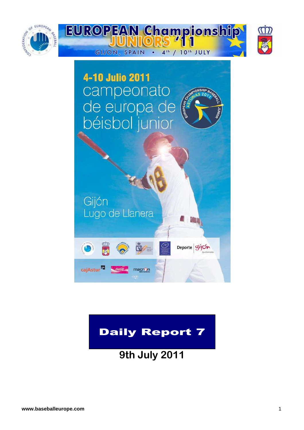



### Daily Report 7

**9th July 2011**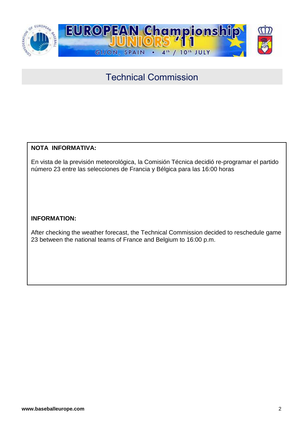

### Technical Commission

### **NOTA INFORMATIVA:**

En vista de la previsión meteorológica, la Comisión Técnica decidió re-programar el partido número 23 entre las selecciones de Francia y Bélgica para las 16:00 horas

### **INFORMATION:**

After checking the weather forecast, the Technical Commission decided to reschedule game 23 between the national teams of France and Belgium to 16:00 p.m.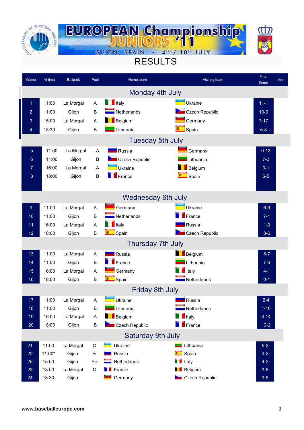



### RESULTS

| Game           | At time | <b>Ballpark</b> | Pool         | Home team                  | Visiting team         | Final<br>Score | Inn. |
|----------------|---------|-----------------|--------------|----------------------------|-----------------------|----------------|------|
|                |         |                 |              | Monday 4th July            |                       |                |      |
| 1              | 11:00   | La Morgal       | Α            | $\blacksquare$ Italy       | Ukraine               | $11 - 1$       |      |
| $\overline{2}$ | 11:00   | Gijon           | В            | $\blacksquare$ Netherlands | Czech Republic        | $10-0$         |      |
| 3              | 15:00   | La Morgal       | A            | Belgium                    | Germany               | $7 - 17$       |      |
| 4              | 18:30   | Gijon           | В            | Lithuania                  | $\Box$ Spain          | $5-8$          |      |
|                |         |                 |              | <b>Tuesday 5th July</b>    |                       |                |      |
| $\overline{5}$ | 11:00   | La Morgal       | A            | Russia                     | Germany               | $0 - 13$       |      |
| 6              | 11:00   | Gijon           | $\sf B$      | Czech Republic             | Lithuania             | $7 - 2$        |      |
| 7              | 16:00   | La Morgal       | $\mathsf{A}$ | Ukraine                    | Belgium               | $3 - 1$        |      |
| 8              | 18:00   | Gijon           | $\sf B$      | France                     | Spain                 | $6-5$          |      |
|                |         |                 |              |                            |                       |                |      |
|                |         |                 |              | <b>Wednesday 6th July</b>  |                       |                |      |
| 9              | 11:00   | La Morgal       | Α            | Germany                    | Ukraine               | $6-9$          |      |
| 10             | 11:00   | Gijon           | B            | $\blacksquare$ Netherlands | $\blacksquare$ France | $7 - 1$        |      |
| 11             | 16:00   | La Morgal       | Α            | $\blacksquare$ Italy       | Russia                | $1 - 3$        |      |
| 12             | 18:00   | Gijon           | B            | <b>Company</b> Spain       | Czech Republic        | $8 - 6$        |      |
|                |         |                 |              | Thursday 7th July          |                       |                |      |
| 13             | 11:00   | La Morgal       | Α            | <b>NASA</b> Russia         | Belgium               | $8 - 7$        |      |
| 14             | 11:00   | Gijon           | В            | $F$ France                 | Lithuania             | $7 - 6$        |      |
| 15             | 16:00   | La Morgal       | A            | Germany                    | $\blacksquare$ Italy  | $4 - 1$        |      |
| 16             | 18:00   | Gijon           | B            | <b>Company</b> Spain       | Netherlands           | $0 - 1$        |      |
|                |         |                 |              | Friday 8th July            |                       |                |      |
| 17             | 11:00   | La Morgal       | A            | Ukraine                    | Russia                | $2 - 4$        |      |
| 18             | 11:00   | Gijon           | B            | Lithuania                  | Netherlands           | $1 - 16$       |      |
| 19             | 16:00   | La Morgal       | A            | <b>Belgium</b>             | $\blacksquare$ Italy  | $3 - 14$       |      |
| $20\,$         | 18:00   | Gijon           | B            | Czech Republic             | $\blacksquare$ France | $12 - 2$       |      |
|                |         |                 |              | Saturday 9th July          |                       |                |      |
| 21             | 11:00   | La Morgal       | $\mathbf C$  | Ukraine                    | Lithuania             | $5-2$          |      |
| 22             | 11:00*  | Gijon           | Fi           | Russia                     | Spain<br>٠            | $1-2$          |      |
| 25             | 15:00   | Gijon           | Se           | Netherlands                | Italy                 | $4 - 2$        |      |
| 23             | 18:00   | La Morgal       | $\mathsf C$  | $\blacksquare$ France      | Belgium               | $3 - 8$        |      |
| 24             | 18:30   | Gijon           |              | Germany                    | Czech Republic        | $3 - 8$        |      |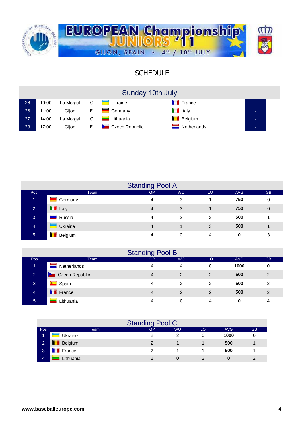

### **SCHEDULE**

|    |       |           |      | Sunday 10th July       |                      |  |
|----|-------|-----------|------|------------------------|----------------------|--|
| 26 | 10:00 | La Morgal |      | C <b>U</b> kraine      | <b>France</b>        |  |
| 28 | 11:00 | Gijon     | Fi.  | <b>Surfall</b> Germany | $\blacksquare$ Italy |  |
| 27 | 14:00 | La Morgal | C    | <b>Lithuania</b>       | <b>Belgium</b>       |  |
| 29 | 17:00 | Giion     | Fi i | Czech Republic         | $\equiv$ Netherlands |  |

|                |                      | <b>Standing Pool A</b> |           |                |            |             |
|----------------|----------------------|------------------------|-----------|----------------|------------|-------------|
| Pos            | Team                 | <b>GP</b>              | <b>WO</b> | LO             | <b>AVG</b> | <b>GB</b>   |
| 1              | Germany              | 4                      | 3         |                | 750        | 0           |
| $\overline{2}$ | $\blacksquare$ Italy | 4                      | 3         |                | 750        | $\mathbf 0$ |
| 3              | Russia               | 4                      | 2         | $\mathfrak{p}$ | 500        |             |
| 4              | Ukraine              | 4                      |           | 3              | 500        |             |
| $\overline{5}$ | <u>na</u><br>Belgium | 4                      | 0         | 4              | 0          | 3           |

|                |                 | <b>Standing Pool B</b> |                |     |            |           |
|----------------|-----------------|------------------------|----------------|-----|------------|-----------|
| Pos            | <b>Team</b>     | <b>GP</b>              | <b>WO</b>      | LO. | <b>AVG</b> | <b>GB</b> |
| 1              | Netherlands     | Δ                      | 4              | 0   | 1000       | 0         |
| $\overline{2}$ | Czech Republic  | 4                      | 2              | 2   | 500        | 2         |
| 3              | <b>C</b> Spain  | 4                      | 2              | 2   | 500        | 2         |
| $\overline{4}$ | <b>T</b> France | 4                      | $\overline{2}$ | 2   | 500        | 2         |
| 5              | Lithuania       |                        |                | 4   | 0          | 4         |

|                |                            | <b>Standing Pool C</b> |           |    |      |           |
|----------------|----------------------------|------------------------|-----------|----|------|-----------|
| Pos            | Team                       | GP                     | <b>WO</b> | LO | AVG  | <b>GB</b> |
|                | Ukraine                    |                        |           |    | 1000 |           |
| $\overline{2}$ | 'n<br>Belgium              | 2                      |           |    | 500  |           |
| 3              | $\blacksquare$ France<br>П | າ                      |           |    | 500  |           |
| 4              | Lithuania                  |                        |           |    |      |           |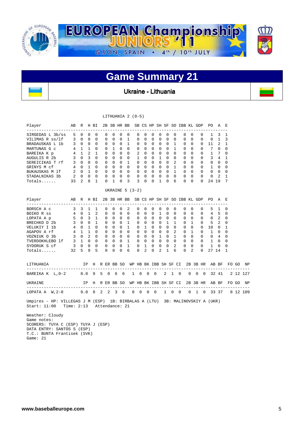

### **Game Summary 21**

Ukraine - Lithuania

|                                                                                                                         |             |             |             |              |              |                   |                          | LITHUANIA $2(0-5)$              |             |                |                |            |              |                          |                          |                                          |                |                |                |                                                      |              |             |          |
|-------------------------------------------------------------------------------------------------------------------------|-------------|-------------|-------------|--------------|--------------|-------------------|--------------------------|---------------------------------|-------------|----------------|----------------|------------|--------------|--------------------------|--------------------------|------------------------------------------|----------------|----------------|----------------|------------------------------------------------------|--------------|-------------|----------|
| Player<br>AB R H BI                                                                                                     |             |             |             |              |              |                   |                          |                                 |             |                |                |            |              |                          |                          | 2B 3B HR BB SB CS HP SH SF SO IBB KL GDP |                |                |                | PO.<br>--------------------                          | AE           |             |          |
| SIRGEDAS L 3b/ss                                                                                                        |             | $5\quad 0$  | $\mathbf 0$ | $\mathbf 0$  | 0            | $\mathbf{0}$      | $\overline{0}$           | 0                               |             | 0              | $\mathbf 0$    | 0          | $\mathbf{0}$ | $\mathbf 0$              | $\overline{\phantom{0}}$ | 0                                        |                | $\mathbf 0$    | 0              | 1                                                    | 3            | 1           |          |
| VILIMAS R ss/lf                                                                                                         |             | $3 \quad 0$ | 0           | $\Omega$     | 0            | 0                 | $\mathbf 0$              | $\mathbf{1}$                    |             | $\mathbf 0$    | $\Omega$       | 0          | $\mathbf 0$  | $\Omega$                 | $\overline{\phantom{0}}$ | 0                                        |                | $\mathbf 0$    | 0              | 0                                                    | $\mathbf{1}$ | 3           |          |
| BRADAUSKAS L 1b 3 0 0                                                                                                   |             |             |             | $\bigcirc$   | 0            | $\overline{0}$    | $\overline{\phantom{0}}$ | 1                               |             | 0              | $\Omega$       |            | $0\quad 0$   | $\mathbf{0}$             | $\overline{1}$           | 0                                        |                | 0              | 0              | - 11                                                 | 2            | 1           |          |
| MARTUNAS G c                                                                                                            | 4 1 1       |             |             | $\Omega$     |              | $0\quad 1$        | $\Omega$                 | $\overline{0}$                  |             | $\mathbf{0}$   | $\Omega$       |            |              | $0 \quad 0 \quad 0$      | $\overline{1}$           |                                          | $\mathbf{0}$   | $\Omega$       | $\Omega$       | 7                                                    | $\Omega$     | $\Omega$    |          |
| BAREIKA K p                                                                                                             | $4$ 1 2 1   |             |             |              | $0 \quad 0$  |                   |                          | $0\quad 0$                      |             | 2              | $\Omega$       |            | $0\quad 0$   | $\Omega$                 | $\Omega$                 | $\mathbf 0$                              |                | $\Omega$       | $\mathbf 0$    |                                                      | 1 7          | $\Omega$    |          |
| AUGULIS R 2b                                                                                                            | 3 0 3 0     |             |             |              | 0            | $\bigcirc$        | $\Omega$                 | $\overline{0}$                  |             | 1              | $\Omega$       |            | $0\quad 1$   | $\Omega$                 | $\overline{0}$           | $\mathbf 0$                              |                | $\Omega$       |                | $0 \quad 3 \quad 4$                                  |              | 1           |          |
| SEREICIKAS T rf 3 0 0 0                                                                                                 |             |             |             |              |              | $0\quad 0\quad 0$ |                          |                                 | 1 0         |                | $\overline{0}$ |            | $0\quad 0$   | $\Omega$                 | $\overline{2}$           |                                          | $\overline{0}$ | 0              |                | $0\qquad 0\qquad 0$                                  |              | $\mathbf 0$ |          |
| GRINYS M cf                                                                                                             | 4 0 1 0     |             |             |              |              |                   |                          | $0\quad 0\quad 0\quad 0$        |             | $\mathbf{0}$   |                |            |              | 0 0 0 0 1                |                          |                                          | $\overline{0}$ | $\mathbf{0}$   |                | $0\quad 1\quad 0$                                    |              | 0           |          |
| BUKAUSKAS M 1f                                                                                                          | 2 0 1 0     |             |             |              |              | $0 \quad 0$       | $\Omega$                 |                                 | $0\qquad 0$ |                | $\Omega$       |            | $0 \quad 0$  | $\Omega$<br>$\Omega$     |                          | 1 0<br>$\overline{0}$                    |                | $\Omega$       |                | $0\qquad 0\qquad 0$                                  |              | $\Omega$    |          |
| STADALNIKAS 3b                                                                                                          | 2 0 0 0     |             |             |              |              |                   |                          | $0\quad 0\quad 0\quad 0$        |             |                | $0\quad 0$     |            | $0\quad 0$   |                          |                          |                                          | $\overline{0}$ | $\Omega$       | 0              | 0                                                    | 2            | 1           |          |
| Totals                                                                                                                  | 33 2 8      |             |             | $\mathbf{1}$ | $\Omega$     | 1                 | $\mathbf 0$              | 3                               |             | 3              | $\bigcirc$     | $\Omega$   | 1            | $\Omega$                 | 6                        |                                          | $\Omega$       | $\Omega$       | $\Omega$       | 24 19                                                |              | 7           |          |
|                                                                                                                         |             |             |             |              |              |                   |                          | UKRAINE $5$ (3-2)               |             |                |                |            |              |                          |                          |                                          |                |                |                |                                                      |              |             |          |
| Player<br>AB R H BI                                                                                                     |             |             |             |              |              |                   |                          |                                 |             |                |                |            |              |                          |                          | 2B 3B HR BB SB CS HP SH SF SO IBB KL GDP |                |                |                | PO A E                                               |              |             |          |
| BORSCH A c 3 3 1 1                                                                                                      |             |             |             |              | $\circ$      | 0                 | $\mathbf{0}$             | $\overline{2}$                  |             | 0              | $\mathbf 0$    |            | $0\quad 0$   | $\circ$                  | $\overline{\phantom{0}}$ | $\mathbf{0}$                             |                | 0              | 0              |                                                      | 5 1          | 0           |          |
| $4\quad 0\quad 1$<br>BOIKO R ss                                                                                         |             |             |             | 2            | $\mathbf{0}$ |                   |                          | $0\quad 0\quad 0$               |             | 0              | $\overline{0}$ |            | $0\quad 1$   | $\circ$                  | $\overline{0}$           |                                          | $\overline{0}$ | $\mathbf{0}$   |                | $0 \t 4 \t 5$                                        |              | 0           |          |
| LOPATA A p                                                                                                              | 5 0 3 1     |             |             |              |              |                   |                          | $0\quad 0\quad 0\quad 0\quad 0$ |             | $\Omega$       |                |            |              |                          | $\overline{0}$           |                                          | $\Omega$       | $\Omega$       | $\overline{0}$ | $0\quad 2$                                           |              | $\Omega$    |          |
| BRECHKO D 2b 3 0 0 1                                                                                                    |             |             |             |              |              | $0\quad 0\quad 0$ |                          |                                 | 1 0         |                | $\Omega$       |            |              | 0 0 1 1                  |                          |                                          | $0\quad 1$     |                |                | $0 \quad 5 \quad 2$                                  |              | $\mathbf 0$ |          |
| VELUKIY I 1b                                                                                                            | $4 \t0 \t1$ |             |             | $\Omega$     |              | $0\quad 0\quad 0$ |                          | 1                               |             | $\overline{0}$ | $\mathbf{1}$   |            |              | $0\quad 0\quad 0\quad 0$ |                          |                                          | $\Omega$       | $\Omega$       |                | $0 10 0$                                             |              | 1           |          |
| AGAPOV A rf                                                                                                             | 4 1 1       |             |             | $\Omega$     | $0 \quad 0$  |                   |                          | $0\quad 0$                      |             | $\mathbf{0}$   |                |            |              | 0 0 0 0 2                |                          |                                          | $0\quad 1$     |                |                | $0\quad 1$                                           | $\mathbf 0$  | $\mathbf 0$ |          |
| $3 \quad 0 \quad 2 \quad 0$<br>VOZNIUK O 3b                                                                             |             |             |             |              | $0 \quad 0$  |                   |                          | $0\quad 0\quad 0$               |             |                |                |            |              | 0 0 1 0 1                |                          | $\overline{0}$                           |                | $\mathbf{0}$   |                | $0 \t 0 \t 4$                                        |              | 0           |          |
|                                                                                                                         |             |             |             |              |              |                   |                          |                                 |             |                |                |            |              |                          |                          |                                          |                |                |                |                                                      |              | $\Omega$    |          |
| TVERDOKHLEBO 1 f 3 1 0 0 0 0 0 1 0 0 0 0 0 0 0 0 0 0 1 0 9YDORUK S cf 3 0 0 0 0 0 0 1 0 1 0 0 0 2 0 0 0 1 0             |             |             |             |              |              |                   |                          |                                 |             |                |                |            |              |                          |                          |                                          |                |                |                |                                                      |              | 0           |          |
| Totals                                                                                                                  | 32 5 9 5    |             |             |              |              |                   |                          | 0 0 0 6                         |             |                | $0 \quad 2$    |            | $0\quad 2$   | $\mathbf{1}$             |                          | 6                                        | $\Omega$       | $\overline{2}$ | $\Omega$       | 27 14                                                |              | 1           |          |
| LITHUANIA                                                                                                               |             |             |             |              |              |                   |                          |                                 |             |                |                |            |              |                          |                          |                                          |                |                |                | IP H R ER BB SO WP HB BK IBB SH SF CI 2B 3B HR AB BF |              |             | FO GO NP |
| BAREIKA K L, 0-2 8.0 9 5 0 6 6                                                                                          |             |             |             |              |              |                   |                          |                                 | 1 0 0 0     |                |                |            |              |                          | $2\quad 1\quad 0$        |                                          |                |                |                | $0 \t 0 \t 0 \t 32 \t 41$                            |              |             | 2 12 127 |
| IP H R ER BB SO WP HB BK IBB SH SF CI 2B 3B HR AB BF FO GO NP<br>UKRAINE                                                |             |             |             |              |              |                   |                          |                                 |             |                |                |            |              |                          |                          |                                          |                |                |                |                                                      |              |             |          |
| LOPATA A W, 2-0 9.0 8 2 2 3 6                                                                                           |             |             |             |              |              |                   |                          |                                 | $0\quad 0$  |                |                | $0\quad 0$ |              |                          | $1 \quad 0 \quad 0$      |                                          |                |                |                | $0 \quad 1 \quad 0 \quad 33 \quad 37$                |              |             | 8 12 109 |
| Umpires - HP: VILLEGAS J M (ESP) 1B: BIRBALAS A (LTU) 3B: MALINOVSKIY A (UKR)<br>Start: 11:00 Time: 2:13 Attendance: 21 |             |             |             |              |              |                   |                          |                                 |             |                |                |            |              |                          |                          |                                          |                |                |                |                                                      |              |             |          |
| Weather: Cloudy<br>Game notes:                                                                                          |             |             |             |              |              |                   |                          |                                 |             |                |                |            |              |                          |                          |                                          |                |                |                |                                                      |              |             |          |

 SCORERS: TUYA C (ESP) TUYA J (ESP) DATA ENTRY: SANTOS S (ESP) T.C.: BUNTA Frantisek (SVK) Game: 21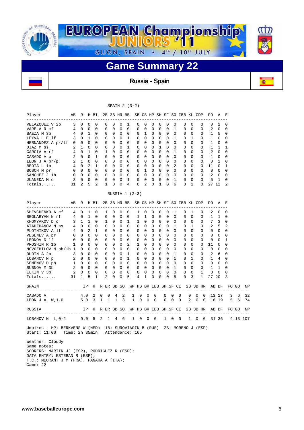

Russia-Spain

| R H BI<br>$---$<br>$\mathbf 0$<br>$\Omega$<br>$\Omega$<br>$\Omega$<br>$\mathbf 0$<br>1<br>0<br>$\mathbf{1}$<br>0<br>$\mathbf 0$<br>0<br>1<br>0<br>1<br>$\mathbf 0$<br>$\mathbf 0$<br>$\mathbf{1}$<br>$\Omega$<br>$\overline{2}$<br>$\Omega$<br>$0\quad 0$<br>$0\quad 0$<br>0<br>0<br>5<br>2<br>R<br>$- - -$<br>$\Omega$<br>$\mathbf{1}$<br>$\mathbf{1}$<br>$\mathbf 0$<br>1<br>1<br>$\Omega$<br>$\Omega$<br>2<br>$\mathbf{0}$ | $\mathbf 0$<br>$\Omega$<br>0<br>0<br>$\mathbf{0}$<br>$\Omega$<br>0<br>$\mathbf{1}$<br>$\Omega$<br>$\mathbf{1}$<br>$\Omega$<br>$\mathbf 0$<br>$\mathbf 0$<br>2<br>H BI<br>$\Omega$<br>0<br>0<br>$\Omega$<br>1<br>$\Omega$ | 0<br>$\Omega$<br>0<br>$\mathbf 0$<br>0<br>0<br>1<br>0<br>$\Omega$<br>$\Omega$<br>$\Omega$<br>$\mathbf 0$<br>$\mathbf 0$<br>1<br>$\mathbf{1}$<br>$\mathbf 0$<br>1<br>$\Omega$<br>$\mathbf 0$<br>$\Omega$ | $\Omega$<br>$\Omega$<br>$\mathbf 0$<br>$\mathbf 0$<br>0<br>$\Omega$<br>$\Omega$<br>$\mathbf 0$<br>$\Omega$<br>$\Omega$<br>$\Omega$<br>$\mathbf 0$<br>0<br>0<br>$\Omega$<br>$\mathbf 0$<br>$\mathbf 0$<br>$\Omega$<br>$\mathbf 0$ | $\mathbf 0$<br>$\Omega$<br>0<br>$\mathbf 0$<br>$\mathbf 0$<br>$\Omega$<br>0<br>0<br>$\Omega$<br>$\Omega$<br>$\Omega$<br>$\mathbf 0$<br>$\mathbf 0$<br>0<br>$\Omega$<br>$\mathbf 0$<br>0<br>$\mathbf 0$ | 1<br>$\Omega$<br>$\mathbf 0$<br>1<br>$\mathbf 0$<br>1<br>$\mathbf 0$<br>$\mathbf 0$<br>$\Omega$<br>$\Omega$<br>0<br>0<br>$\mathbf{1}$<br>4<br>$\Omega$<br>$\mathbf 0$<br>1<br>0 | 0<br>$\Omega$<br>0<br>0<br>0<br>0<br>0<br>$\mathbf 0$<br>$\Omega$<br>$\Omega$<br>$\Omega$<br>$\mathbf 0$<br>0<br>0<br>RUSSIA $1$ $(2-3)$<br>$\mathbf{1}$<br>1<br>1<br>$\Omega$ | $\Omega$<br>$\Omega$<br>$\mathbf{1}$<br>$\mathbf 0$<br>0<br>$\Omega$<br>0<br>$\mathbf 0$<br>$\Omega$<br>$\Omega$<br>$\mathbf{1}$<br>0<br>$\mathbf 0$<br>$\overline{2}$<br>$\Omega$<br>$\mathbf{1}$<br>0<br>$\Omega$ | 0<br>$\Omega$<br>0<br>0<br>0<br>0<br>0<br>0<br>$\Omega$<br>$\Omega$<br>$\Omega$<br>0<br>0<br>0<br>$\Omega$<br>0<br>0 | $\Omega$<br>$\Omega$<br>0<br>0<br>0<br>1<br>0<br>0<br>$\Omega$<br>$\Omega$<br>$\Omega$<br>$\mathbf 0$<br>0<br>1<br>$\Omega$<br>0<br>$\mathbf 0$ | $\Omega$<br>$\Omega$<br>$\mathbf 0$<br>$\mathbf 0$<br>$\Omega$<br>$\Omega$<br>$\Omega$<br>$\mathbf 0$<br>$\Omega$<br>$\Omega$<br>$\Omega$<br>$\Omega$<br>$\mathbf 0$<br>$\mathbf 0$<br>$\Omega$<br>$\Omega$ | 0<br>$\mathbf{1}$<br>0<br>$\mathbf{1}$<br>0<br>$\Omega$<br>1<br>$\mathbf 0$<br>$\Omega$<br>$\overline{2}$<br>$\Omega$<br>$\Omega$<br>$\mathbf{1}$<br>6<br>$\mathbf{1}$<br>$\Omega$ | 2B 3B HR BB SB CS HP SH SF SO IBB KL GDP<br>0<br>$\Omega$<br>0<br>0<br>0<br>0<br>0<br>0<br>$\Omega$<br>$\Omega$<br>0<br>$\mathbf 0$<br>0<br>0<br>2B 3B HR BB SB CS HP SH SF SO IBB KL GDP<br>$\Omega$<br>0 | $\Omega$<br>$\Omega$<br>0<br>1<br>$\Omega$<br>$\Omega$<br>0<br>0<br>$\Omega$<br>$\Omega$<br>$\Omega$<br>$\mathbf 0$<br>$\mathbf 0$<br>1<br>$\mathbf{1}$<br>$\mathbf 0$ |          | 0<br>$\Omega$<br>0<br>0<br>0<br>0<br>0<br>0<br>$\Omega$<br>$\Omega$<br>$\Omega$<br>0<br>0<br>0<br>$\Omega$<br>0 | PO<br>0<br>$\overline{a}$<br>1<br>1<br>1<br>1<br>2<br>$\mathbf 1$<br>$\Omega$<br>11<br>$\Omega$<br>$\overline{a}$<br>5<br>27 12<br>PO.<br>2<br>1 | A<br>$\mathbf{1}$<br>$\Omega$<br>5<br>$\mathbf 0$<br>0<br>3<br>0<br>0<br>2<br>$\Omega$<br>$\Omega$<br>$\mathbf 0$<br>1<br>A<br>$\Omega$<br>$\mathbf 1$ | E<br>0<br>$\Omega$<br>0<br>0<br>0<br>1<br>0<br>$\mathsf 0$<br>$\Omega$<br>1<br>0<br>0<br>0<br>2<br>E.<br>0<br>0 |   |                            |
|-------------------------------------------------------------------------------------------------------------------------------------------------------------------------------------------------------------------------------------------------------------------------------------------------------------------------------------------------------------------------------------------------------------------------------|--------------------------------------------------------------------------------------------------------------------------------------------------------------------------------------------------------------------------|---------------------------------------------------------------------------------------------------------------------------------------------------------------------------------------------------------|----------------------------------------------------------------------------------------------------------------------------------------------------------------------------------------------------------------------------------|--------------------------------------------------------------------------------------------------------------------------------------------------------------------------------------------------------|---------------------------------------------------------------------------------------------------------------------------------------------------------------------------------|--------------------------------------------------------------------------------------------------------------------------------------------------------------------------------|---------------------------------------------------------------------------------------------------------------------------------------------------------------------------------------------------------------------|----------------------------------------------------------------------------------------------------------------------|-------------------------------------------------------------------------------------------------------------------------------------------------|-------------------------------------------------------------------------------------------------------------------------------------------------------------------------------------------------------------|------------------------------------------------------------------------------------------------------------------------------------------------------------------------------------|------------------------------------------------------------------------------------------------------------------------------------------------------------------------------------------------------------|------------------------------------------------------------------------------------------------------------------------------------------------------------------------|----------|-----------------------------------------------------------------------------------------------------------------|--------------------------------------------------------------------------------------------------------------------------------------------------|--------------------------------------------------------------------------------------------------------------------------------------------------------|-----------------------------------------------------------------------------------------------------------------|---|----------------------------|
|                                                                                                                                                                                                                                                                                                                                                                                                                               |                                                                                                                                                                                                                          |                                                                                                                                                                                                         |                                                                                                                                                                                                                                  |                                                                                                                                                                                                        |                                                                                                                                                                                 |                                                                                                                                                                                |                                                                                                                                                                                                                     |                                                                                                                      |                                                                                                                                                 |                                                                                                                                                                                                             |                                                                                                                                                                                    |                                                                                                                                                                                                            |                                                                                                                                                                        |          |                                                                                                                 |                                                                                                                                                  |                                                                                                                                                        |                                                                                                                 |   |                            |
|                                                                                                                                                                                                                                                                                                                                                                                                                               |                                                                                                                                                                                                                          |                                                                                                                                                                                                         |                                                                                                                                                                                                                                  |                                                                                                                                                                                                        |                                                                                                                                                                                 |                                                                                                                                                                                |                                                                                                                                                                                                                     |                                                                                                                      |                                                                                                                                                 |                                                                                                                                                                                                             |                                                                                                                                                                                    |                                                                                                                                                                                                            |                                                                                                                                                                        |          |                                                                                                                 |                                                                                                                                                  |                                                                                                                                                        |                                                                                                                 |   |                            |
|                                                                                                                                                                                                                                                                                                                                                                                                                               |                                                                                                                                                                                                                          |                                                                                                                                                                                                         |                                                                                                                                                                                                                                  |                                                                                                                                                                                                        |                                                                                                                                                                                 |                                                                                                                                                                                |                                                                                                                                                                                                                     |                                                                                                                      |                                                                                                                                                 |                                                                                                                                                                                                             |                                                                                                                                                                                    |                                                                                                                                                                                                            |                                                                                                                                                                        |          |                                                                                                                 |                                                                                                                                                  |                                                                                                                                                        |                                                                                                                 |   |                            |
|                                                                                                                                                                                                                                                                                                                                                                                                                               |                                                                                                                                                                                                                          |                                                                                                                                                                                                         |                                                                                                                                                                                                                                  |                                                                                                                                                                                                        |                                                                                                                                                                                 |                                                                                                                                                                                |                                                                                                                                                                                                                     |                                                                                                                      |                                                                                                                                                 |                                                                                                                                                                                                             |                                                                                                                                                                                    |                                                                                                                                                                                                            |                                                                                                                                                                        |          |                                                                                                                 |                                                                                                                                                  |                                                                                                                                                        |                                                                                                                 |   |                            |
|                                                                                                                                                                                                                                                                                                                                                                                                                               |                                                                                                                                                                                                                          |                                                                                                                                                                                                         |                                                                                                                                                                                                                                  |                                                                                                                                                                                                        |                                                                                                                                                                                 |                                                                                                                                                                                |                                                                                                                                                                                                                     |                                                                                                                      |                                                                                                                                                 |                                                                                                                                                                                                             |                                                                                                                                                                                    |                                                                                                                                                                                                            |                                                                                                                                                                        |          |                                                                                                                 |                                                                                                                                                  |                                                                                                                                                        |                                                                                                                 |   |                            |
|                                                                                                                                                                                                                                                                                                                                                                                                                               |                                                                                                                                                                                                                          |                                                                                                                                                                                                         |                                                                                                                                                                                                                                  |                                                                                                                                                                                                        |                                                                                                                                                                                 |                                                                                                                                                                                |                                                                                                                                                                                                                     |                                                                                                                      |                                                                                                                                                 |                                                                                                                                                                                                             |                                                                                                                                                                                    |                                                                                                                                                                                                            |                                                                                                                                                                        |          |                                                                                                                 |                                                                                                                                                  |                                                                                                                                                        |                                                                                                                 |   |                            |
|                                                                                                                                                                                                                                                                                                                                                                                                                               |                                                                                                                                                                                                                          |                                                                                                                                                                                                         |                                                                                                                                                                                                                                  |                                                                                                                                                                                                        |                                                                                                                                                                                 |                                                                                                                                                                                |                                                                                                                                                                                                                     |                                                                                                                      |                                                                                                                                                 |                                                                                                                                                                                                             |                                                                                                                                                                                    |                                                                                                                                                                                                            |                                                                                                                                                                        |          |                                                                                                                 |                                                                                                                                                  |                                                                                                                                                        |                                                                                                                 |   |                            |
|                                                                                                                                                                                                                                                                                                                                                                                                                               |                                                                                                                                                                                                                          |                                                                                                                                                                                                         |                                                                                                                                                                                                                                  |                                                                                                                                                                                                        |                                                                                                                                                                                 |                                                                                                                                                                                |                                                                                                                                                                                                                     |                                                                                                                      |                                                                                                                                                 |                                                                                                                                                                                                             |                                                                                                                                                                                    |                                                                                                                                                                                                            |                                                                                                                                                                        |          |                                                                                                                 |                                                                                                                                                  |                                                                                                                                                        |                                                                                                                 |   |                            |
|                                                                                                                                                                                                                                                                                                                                                                                                                               |                                                                                                                                                                                                                          |                                                                                                                                                                                                         |                                                                                                                                                                                                                                  |                                                                                                                                                                                                        |                                                                                                                                                                                 |                                                                                                                                                                                |                                                                                                                                                                                                                     |                                                                                                                      |                                                                                                                                                 |                                                                                                                                                                                                             |                                                                                                                                                                                    |                                                                                                                                                                                                            |                                                                                                                                                                        |          |                                                                                                                 |                                                                                                                                                  |                                                                                                                                                        |                                                                                                                 |   |                            |
|                                                                                                                                                                                                                                                                                                                                                                                                                               |                                                                                                                                                                                                                          |                                                                                                                                                                                                         |                                                                                                                                                                                                                                  |                                                                                                                                                                                                        |                                                                                                                                                                                 |                                                                                                                                                                                |                                                                                                                                                                                                                     |                                                                                                                      |                                                                                                                                                 |                                                                                                                                                                                                             |                                                                                                                                                                                    |                                                                                                                                                                                                            |                                                                                                                                                                        |          |                                                                                                                 |                                                                                                                                                  |                                                                                                                                                        |                                                                                                                 |   |                            |
|                                                                                                                                                                                                                                                                                                                                                                                                                               |                                                                                                                                                                                                                          |                                                                                                                                                                                                         |                                                                                                                                                                                                                                  |                                                                                                                                                                                                        |                                                                                                                                                                                 |                                                                                                                                                                                |                                                                                                                                                                                                                     |                                                                                                                      |                                                                                                                                                 |                                                                                                                                                                                                             |                                                                                                                                                                                    |                                                                                                                                                                                                            |                                                                                                                                                                        |          |                                                                                                                 |                                                                                                                                                  |                                                                                                                                                        |                                                                                                                 |   |                            |
|                                                                                                                                                                                                                                                                                                                                                                                                                               |                                                                                                                                                                                                                          |                                                                                                                                                                                                         |                                                                                                                                                                                                                                  |                                                                                                                                                                                                        |                                                                                                                                                                                 |                                                                                                                                                                                |                                                                                                                                                                                                                     |                                                                                                                      |                                                                                                                                                 |                                                                                                                                                                                                             |                                                                                                                                                                                    |                                                                                                                                                                                                            |                                                                                                                                                                        |          |                                                                                                                 |                                                                                                                                                  |                                                                                                                                                        |                                                                                                                 |   |                            |
|                                                                                                                                                                                                                                                                                                                                                                                                                               |                                                                                                                                                                                                                          |                                                                                                                                                                                                         |                                                                                                                                                                                                                                  |                                                                                                                                                                                                        |                                                                                                                                                                                 |                                                                                                                                                                                |                                                                                                                                                                                                                     |                                                                                                                      |                                                                                                                                                 |                                                                                                                                                                                                             |                                                                                                                                                                                    |                                                                                                                                                                                                            |                                                                                                                                                                        |          |                                                                                                                 |                                                                                                                                                  |                                                                                                                                                        |                                                                                                                 |   |                            |
|                                                                                                                                                                                                                                                                                                                                                                                                                               |                                                                                                                                                                                                                          |                                                                                                                                                                                                         |                                                                                                                                                                                                                                  |                                                                                                                                                                                                        |                                                                                                                                                                                 |                                                                                                                                                                                |                                                                                                                                                                                                                     |                                                                                                                      |                                                                                                                                                 |                                                                                                                                                                                                             |                                                                                                                                                                                    |                                                                                                                                                                                                            |                                                                                                                                                                        |          |                                                                                                                 |                                                                                                                                                  |                                                                                                                                                        |                                                                                                                 |   |                            |
|                                                                                                                                                                                                                                                                                                                                                                                                                               |                                                                                                                                                                                                                          |                                                                                                                                                                                                         |                                                                                                                                                                                                                                  |                                                                                                                                                                                                        |                                                                                                                                                                                 |                                                                                                                                                                                |                                                                                                                                                                                                                     |                                                                                                                      |                                                                                                                                                 |                                                                                                                                                                                                             |                                                                                                                                                                                    |                                                                                                                                                                                                            |                                                                                                                                                                        |          |                                                                                                                 |                                                                                                                                                  |                                                                                                                                                        |                                                                                                                 |   |                            |
|                                                                                                                                                                                                                                                                                                                                                                                                                               |                                                                                                                                                                                                                          |                                                                                                                                                                                                         |                                                                                                                                                                                                                                  |                                                                                                                                                                                                        |                                                                                                                                                                                 |                                                                                                                                                                                |                                                                                                                                                                                                                     |                                                                                                                      |                                                                                                                                                 |                                                                                                                                                                                                             |                                                                                                                                                                                    |                                                                                                                                                                                                            |                                                                                                                                                                        |          |                                                                                                                 |                                                                                                                                                  |                                                                                                                                                        |                                                                                                                 |   |                            |
|                                                                                                                                                                                                                                                                                                                                                                                                                               |                                                                                                                                                                                                                          |                                                                                                                                                                                                         |                                                                                                                                                                                                                                  |                                                                                                                                                                                                        |                                                                                                                                                                                 |                                                                                                                                                                                |                                                                                                                                                                                                                     |                                                                                                                      |                                                                                                                                                 |                                                                                                                                                                                                             |                                                                                                                                                                                    |                                                                                                                                                                                                            |                                                                                                                                                                        |          |                                                                                                                 |                                                                                                                                                  |                                                                                                                                                        |                                                                                                                 |   |                            |
|                                                                                                                                                                                                                                                                                                                                                                                                                               |                                                                                                                                                                                                                          |                                                                                                                                                                                                         |                                                                                                                                                                                                                                  |                                                                                                                                                                                                        |                                                                                                                                                                                 |                                                                                                                                                                                |                                                                                                                                                                                                                     |                                                                                                                      |                                                                                                                                                 |                                                                                                                                                                                                             |                                                                                                                                                                                    |                                                                                                                                                                                                            |                                                                                                                                                                        |          |                                                                                                                 |                                                                                                                                                  |                                                                                                                                                        |                                                                                                                 |   |                            |
|                                                                                                                                                                                                                                                                                                                                                                                                                               |                                                                                                                                                                                                                          |                                                                                                                                                                                                         |                                                                                                                                                                                                                                  |                                                                                                                                                                                                        |                                                                                                                                                                                 |                                                                                                                                                                                |                                                                                                                                                                                                                     |                                                                                                                      |                                                                                                                                                 |                                                                                                                                                                                                             |                                                                                                                                                                                    |                                                                                                                                                                                                            |                                                                                                                                                                        |          |                                                                                                                 |                                                                                                                                                  |                                                                                                                                                        |                                                                                                                 |   |                            |
|                                                                                                                                                                                                                                                                                                                                                                                                                               |                                                                                                                                                                                                                          |                                                                                                                                                                                                         |                                                                                                                                                                                                                                  |                                                                                                                                                                                                        |                                                                                                                                                                                 |                                                                                                                                                                                |                                                                                                                                                                                                                     |                                                                                                                      |                                                                                                                                                 | $\mathbf 0$                                                                                                                                                                                                 | $\mathbf 0$                                                                                                                                                                        | 0                                                                                                                                                                                                          | 0                                                                                                                                                                      |          | 0                                                                                                               | 7                                                                                                                                                | 3                                                                                                                                                      | 0                                                                                                               |   |                            |
|                                                                                                                                                                                                                                                                                                                                                                                                                               |                                                                                                                                                                                                                          |                                                                                                                                                                                                         |                                                                                                                                                                                                                                  |                                                                                                                                                                                                        |                                                                                                                                                                                 |                                                                                                                                                                                |                                                                                                                                                                                                                     |                                                                                                                      | 0<br>$\mathbf 0$                                                                                                                                | $\Omega$                                                                                                                                                                                                    | 1                                                                                                                                                                                  | 0                                                                                                                                                                                                          | 1                                                                                                                                                                      |          | 0                                                                                                               | 2                                                                                                                                                | 5                                                                                                                                                      | 2                                                                                                               |   |                            |
|                                                                                                                                                                                                                                                                                                                                                                                                                               |                                                                                                                                                                                                                          |                                                                                                                                                                                                         |                                                                                                                                                                                                                                  | $\mathbf 0$                                                                                                                                                                                            | 0                                                                                                                                                                               | 0                                                                                                                                                                              | $\mathbf 0$                                                                                                                                                                                                         | 0                                                                                                                    | 0                                                                                                                                               | $\Omega$                                                                                                                                                                                                    | $\mathbf{0}$                                                                                                                                                                       | 0                                                                                                                                                                                                          | $\Omega$                                                                                                                                                               |          | 0                                                                                                               | 0                                                                                                                                                | $\mathbf 0$                                                                                                                                            | 0                                                                                                               |   |                            |
| $\Omega$<br>$\Omega$                                                                                                                                                                                                                                                                                                                                                                                                          |                                                                                                                                                                                                                          |                                                                                                                                                                                                         | $\Omega$                                                                                                                                                                                                                         | $\Omega$                                                                                                                                                                                               | $\Omega$                                                                                                                                                                        | $\Omega$                                                                                                                                                                       | $\Omega$                                                                                                                                                                                                            | $\Omega$                                                                                                             | $\Omega$                                                                                                                                        | $\Omega$                                                                                                                                                                                                    | $\Omega$                                                                                                                                                                           | $\Omega$                                                                                                                                                                                                   | $\Omega$                                                                                                                                                               |          | $\Omega$                                                                                                        | 0                                                                                                                                                | $\Omega$                                                                                                                                               | 0                                                                                                               |   |                            |
| $\mathbf 0$<br>$\mathbf 0$                                                                                                                                                                                                                                                                                                                                                                                                    | $\mathbf 0$                                                                                                                                                                                                              | 0                                                                                                                                                                                                       | 0                                                                                                                                                                                                                                | 0                                                                                                                                                                                                      | $\mathbf 0$                                                                                                                                                                     | 0                                                                                                                                                                              | $\mathbf 0$                                                                                                                                                                                                         | 0                                                                                                                    | 0                                                                                                                                               | $\mathbf 0$                                                                                                                                                                                                 | 0                                                                                                                                                                                  | 0                                                                                                                                                                                                          | 0                                                                                                                                                                      |          | 0                                                                                                               | 0                                                                                                                                                | 0                                                                                                                                                      | 1                                                                                                               |   |                            |
| $\mathbf 0$<br>0                                                                                                                                                                                                                                                                                                                                                                                                              | 0                                                                                                                                                                                                                        | $\mathbf 0$                                                                                                                                                                                             | $\mathbf 0$                                                                                                                                                                                                                      | $\mathbf 0$                                                                                                                                                                                            | 2                                                                                                                                                                               | 1                                                                                                                                                                              | $\mathbf 0$                                                                                                                                                                                                         | 0                                                                                                                    | 0                                                                                                                                               | $\mathbf 0$                                                                                                                                                                                                 | 0                                                                                                                                                                                  | 0                                                                                                                                                                                                          | 0                                                                                                                                                                      |          | 0                                                                                                               | 11                                                                                                                                               | 0                                                                                                                                                      | 0                                                                                                               |   |                            |
| $\mathbf{0}$<br>$\mathbf 0$                                                                                                                                                                                                                                                                                                                                                                                                   | $\mathbf{0}$                                                                                                                                                                                                             | $\mathbf 0$                                                                                                                                                                                             | 0                                                                                                                                                                                                                                | $\mathbf 0$                                                                                                                                                                                            | $\mathbf 0$                                                                                                                                                                     | 0                                                                                                                                                                              | $\mathbf 0$                                                                                                                                                                                                         | 0                                                                                                                    | 0                                                                                                                                               | $\mathbf 0$                                                                                                                                                                                                 | 0                                                                                                                                                                                  | 0                                                                                                                                                                                                          | $\mathbf 0$                                                                                                                                                            |          | 0                                                                                                               | 0                                                                                                                                                | $\mathbf 0$                                                                                                                                            | 0                                                                                                               |   |                            |
| $\Omega$<br>0                                                                                                                                                                                                                                                                                                                                                                                                                 | $\Omega$                                                                                                                                                                                                                 | $\Omega$                                                                                                                                                                                                | $\Omega$                                                                                                                                                                                                                         | $\Omega$                                                                                                                                                                                               | $\mathbf{1}$                                                                                                                                                                    | $\mathbf 0$                                                                                                                                                                    | $\Omega$                                                                                                                                                                                                            | $\Omega$                                                                                                             | $\Omega$                                                                                                                                        | $\Omega$                                                                                                                                                                                                    | $\mathbf{1}$                                                                                                                                                                       | 0                                                                                                                                                                                                          | $\Omega$                                                                                                                                                               |          | 0                                                                                                               | 2                                                                                                                                                | 6                                                                                                                                                      | 0                                                                                                               |   |                            |
| $\Omega$<br>$\Omega$                                                                                                                                                                                                                                                                                                                                                                                                          | $\Omega$                                                                                                                                                                                                                 | $\Omega$                                                                                                                                                                                                | $\Omega$                                                                                                                                                                                                                         | $\Omega$                                                                                                                                                                                               | $\mathbf{1}$                                                                                                                                                                    | $\Omega$                                                                                                                                                                       | $\Omega$                                                                                                                                                                                                            | $\Omega$                                                                                                             | $\Omega$                                                                                                                                        | $\Omega$                                                                                                                                                                                                    | $\mathbf{1}$                                                                                                                                                                       | $\Omega$                                                                                                                                                                                                   | $\mathbf{1}$                                                                                                                                                           |          | $\Omega$                                                                                                        | 1                                                                                                                                                | 4                                                                                                                                                      | $\Omega$                                                                                                        |   |                            |
| 0<br>$\mathbf{0}$                                                                                                                                                                                                                                                                                                                                                                                                             | $\mathbf 0$                                                                                                                                                                                                              | $\mathbf 0$                                                                                                                                                                                             | $\mathbf 0$                                                                                                                                                                                                                      | $\mathbf 0$                                                                                                                                                                                            | $\mathbf{0}$                                                                                                                                                                    | $\mathbf 0$                                                                                                                                                                    | $\mathbf 0$                                                                                                                                                                                                         | 0                                                                                                                    | $\mathbf 0$                                                                                                                                     | $\mathbf 0$                                                                                                                                                                                                 | $\mathbf 0$                                                                                                                                                                        | $\mathbf 0$                                                                                                                                                                                                | 0                                                                                                                                                                      |          | 0                                                                                                               | 0                                                                                                                                                | $\mathbf 0$                                                                                                                                            | 0                                                                                                               |   |                            |
| $\mathbf 0$<br>$\mathbf{0}$                                                                                                                                                                                                                                                                                                                                                                                                   | $\mathbf 0$                                                                                                                                                                                                              | $\mathbf 0$                                                                                                                                                                                             | $\mathbf 0$                                                                                                                                                                                                                      | $\mathbf 0$                                                                                                                                                                                            | 0                                                                                                                                                                               | $\mathbf 0$                                                                                                                                                                    | $\mathbf 0$                                                                                                                                                                                                         | 0                                                                                                                    | 0                                                                                                                                               | $\Omega$                                                                                                                                                                                                    | 1                                                                                                                                                                                  | 0                                                                                                                                                                                                          | $\Omega$                                                                                                                                                               |          | 0                                                                                                               | 1                                                                                                                                                | 1                                                                                                                                                      | 0                                                                                                               |   |                            |
| 0<br>0                                                                                                                                                                                                                                                                                                                                                                                                                        | $\mathbf{0}$                                                                                                                                                                                                             | $\mathbf 0$                                                                                                                                                                                             | 0                                                                                                                                                                                                                                | $\mathbf 0$                                                                                                                                                                                            | $\mathbf{0}$                                                                                                                                                                    | 0                                                                                                                                                                              | 0                                                                                                                                                                                                                   | $\mathbf 0$                                                                                                          | 0                                                                                                                                               | $\mathbf 0$                                                                                                                                                                                                 | $\mathbf 0$                                                                                                                                                                        | 0                                                                                                                                                                                                          | $\Omega$                                                                                                                                                               |          | $\mathbf{1}$                                                                                                    | 0                                                                                                                                                | $\mathbf 0$                                                                                                                                            | 0                                                                                                               |   |                            |
| 1<br>5                                                                                                                                                                                                                                                                                                                                                                                                                        | 1                                                                                                                                                                                                                        | 2                                                                                                                                                                                                       | 0                                                                                                                                                                                                                                | 0                                                                                                                                                                                                      | 5                                                                                                                                                                               | 4                                                                                                                                                                              | 1                                                                                                                                                                                                                   | 0                                                                                                                    | 0                                                                                                                                               | 0                                                                                                                                                                                                           | 5                                                                                                                                                                                  | 0                                                                                                                                                                                                          | 3                                                                                                                                                                      |          | 1                                                                                                               | 27                                                                                                                                               | 20                                                                                                                                                     | 3                                                                                                               |   |                            |
| IP                                                                                                                                                                                                                                                                                                                                                                                                                            |                                                                                                                                                                                                                          |                                                                                                                                                                                                         |                                                                                                                                                                                                                                  |                                                                                                                                                                                                        |                                                                                                                                                                                 |                                                                                                                                                                                |                                                                                                                                                                                                                     |                                                                                                                      |                                                                                                                                                 |                                                                                                                                                                                                             |                                                                                                                                                                                    |                                                                                                                                                                                                            |                                                                                                                                                                        |          |                                                                                                                 |                                                                                                                                                  |                                                                                                                                                        |                                                                                                                 |   | ΝP                         |
| 4.0                                                                                                                                                                                                                                                                                                                                                                                                                           | 2                                                                                                                                                                                                                        | 0                                                                                                                                                                                                       |                                                                                                                                                                                                                                  |                                                                                                                                                                                                        |                                                                                                                                                                                 | 1                                                                                                                                                                              |                                                                                                                                                                                                                     |                                                                                                                      | $\Omega$                                                                                                                                        | $\mathbf 0$                                                                                                                                                                                                 | 0                                                                                                                                                                                  | $\Omega$                                                                                                                                                                                                   | $\mathbf 0$                                                                                                                                                            | 0        | 0                                                                                                               |                                                                                                                                                  |                                                                                                                                                        | 3                                                                                                               | 6 | 32                         |
| 5.0                                                                                                                                                                                                                                                                                                                                                                                                                           | 3                                                                                                                                                                                                                        | $\mathbf{1}$                                                                                                                                                                                            |                                                                                                                                                                                                                                  |                                                                                                                                                                                                        |                                                                                                                                                                                 | 1                                                                                                                                                                              |                                                                                                                                                                                                                     |                                                                                                                      | $\Omega$                                                                                                                                        | 0                                                                                                                                                                                                           | $\Omega$                                                                                                                                                                           | $\Omega$                                                                                                                                                                                                   | 2                                                                                                                                                                      | $\Omega$ | $\Omega$                                                                                                        |                                                                                                                                                  |                                                                                                                                                        | 5                                                                                                               | 6 | 74                         |
| ΙP                                                                                                                                                                                                                                                                                                                                                                                                                            | Η                                                                                                                                                                                                                        |                                                                                                                                                                                                         |                                                                                                                                                                                                                                  |                                                                                                                                                                                                        |                                                                                                                                                                                 |                                                                                                                                                                                |                                                                                                                                                                                                                     |                                                                                                                      |                                                                                                                                                 |                                                                                                                                                                                                             |                                                                                                                                                                                    |                                                                                                                                                                                                            |                                                                                                                                                                        |          |                                                                                                                 |                                                                                                                                                  |                                                                                                                                                        |                                                                                                                 |   | ΝP                         |
| ---------------------------                                                                                                                                                                                                                                                                                                                                                                                                   |                                                                                                                                                                                                                          |                                                                                                                                                                                                         |                                                                                                                                                                                                                                  |                                                                                                                                                                                                        |                                                                                                                                                                                 |                                                                                                                                                                                |                                                                                                                                                                                                                     |                                                                                                                      |                                                                                                                                                 |                                                                                                                                                                                                             |                                                                                                                                                                                    |                                                                                                                                                                                                            |                                                                                                                                                                        |          |                                                                                                                 |                                                                                                                                                  |                                                                                                                                                        |                                                                                                                 |   |                            |
|                                                                                                                                                                                                                                                                                                                                                                                                                               |                                                                                                                                                                                                                          |                                                                                                                                                                                                         |                                                                                                                                                                                                                                  |                                                                                                                                                                                                        |                                                                                                                                                                                 |                                                                                                                                                                                |                                                                                                                                                                                                                     |                                                                                                                      |                                                                                                                                                 |                                                                                                                                                                                                             |                                                                                                                                                                                    |                                                                                                                                                                                                            |                                                                                                                                                                        |          |                                                                                                                 |                                                                                                                                                  |                                                                                                                                                        |                                                                                                                 |   |                            |
|                                                                                                                                                                                                                                                                                                                                                                                                                               | --------------------------                                                                                                                                                                                               |                                                                                                                                                                                                         |                                                                                                                                                                                                                                  | $\mathbf 0$<br>$\mathbf 1$<br>$9.0 \t5 \t2 \t1$                                                                                                                                                        | 4<br>1                                                                                                                                                                          | H R ER BB SO<br>$\overline{2}$<br>3<br>R ER BB SO<br>4 6                                                                                                                       | 1                                                                                                                                                                                                                   | $\mathbf 0$<br>0<br>$\overline{0}$<br>Time: 2h 35min Attendance: 165                                                 | 0<br>0                                                                                                                                          | $0\quad 0$                                                                                                                                                                                                  |                                                                                                                                                                                    |                                                                                                                                                                                                            | WP HB BK IBB SH SF CI<br>WP HB BK IBB SH SF CI<br>$1 \quad 0 \quad 0$                                                                                                  |          | $1 \quad 0$                                                                                                     | 2B 3B HR<br>2B 3B HR<br>$\overline{0}$                                                                                                           | Umpires - HP: BERKVENS W (NED) 1B: SUROVIAGIN B (RUS) 2B: MORENO J (ESP)                                                                               | AB BF<br>13 17<br>18 19<br>AB BF<br>31 36<br>SCORERS: MARTIN JJ (ESP), RODRIGUEZ R (ESP);                       |   | FO GO<br>FO GO<br>4 13 107 |

 DATA ENTRY: ESTEBAN R (ESP); T.C.: MEURANT J M (FRA), FANARA A (ITA); Game: 22

ļ,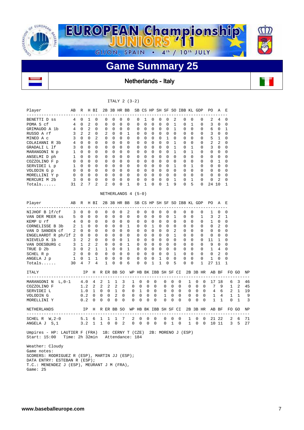

Netherlands - Italy

#### ITALY 2 (3-2)

| Player                                                                                                            | AВ             | R                 |                   | H BI             |   |                  | 2B 3B HR BB      |                  |                     |                       |                  |             |             |                            |                      |                                | SB CS HP SH SF SO IBB KL GDP |   |               |          | PO.         | Α                | Е            |                |    |
|-------------------------------------------------------------------------------------------------------------------|----------------|-------------------|-------------------|------------------|---|------------------|------------------|------------------|---------------------|-----------------------|------------------|-------------|-------------|----------------------------|----------------------|--------------------------------|------------------------------|---|---------------|----------|-------------|------------------|--------------|----------------|----|
| -----------------<br>BENETTI D SS                                                                                 | 4              | 0                 | 1                 | 0                |   | $\Omega$         | 0                | 0                | 0                   | 0                     | 1                |             | 0           | 0                          | 0                    | 2                              | 0                            |   | 0             | 0        | 2           | 4                | 0            |                |    |
| POMA S cf                                                                                                         | 4              | 0                 | 2                 | $\Omega$         |   | 0                | $\Omega$         | $\Omega$         | 0                   | 0                     | $\Omega$         |             | 0           | $\Omega$                   | $\Omega$             | 1                              | 0                            |   | 1             | 0        | 3           | $\Omega$         | 0            |                |    |
| GRIMAUDO A 1b                                                                                                     | 4              | 0                 | 2                 | 0                |   | 0                | 0                | 0                | 0                   | 0                     | 0                |             | 0           | 0                          | 0                    | $\mathbf{1}$                   | 0                            |   | 0             | 0        | 6           | 0                | 1            |                |    |
| RUSSO A rf                                                                                                        | 3              | 2                 | 2                 | $\mathbf 0$      |   | 2                | 0                | $\mathbf 0$      | 1                   | 0                     | $\mathbf 0$      |             | 0           | $\mathbf 0$                | $\mathbf 0$          | $\mathbf 0$                    | 0                            |   | $\Omega$      | 0        | 3           | 0                | 0            |                |    |
| MINEO A c                                                                                                         | 3              | 0                 | 0                 | 2                |   | 0                | 0                | 0                | 0                   | 0                     | 0                |             | 0           | 0                          | $\mathbf{1}$         | 0                              | 0                            |   | 0             | 0        | 5           | 1                | 0            |                |    |
| COLAIANNI R 3b                                                                                                    | 4              | $\Omega$          | $\Omega$          | $\Omega$         |   | $\Omega$         | $\Omega$         | $\Omega$         | $\Omega$            | $\Omega$              | $\Omega$         |             | $\Omega$    | $\Omega$                   | $\Omega$             | $\mathbf{1}$                   | $\Omega$                     |   | $\Omega$      | $\Omega$ | 2           | 2                | 0            |                |    |
| GRADALI L lf                                                                                                      | 3              | $\mathbf{0}$      | $\mathbf 0$       | 0                |   | $\mathbf 0$      | $\mathbf 0$      | $\mathbf 0$      | $\mathbf 0$         | $\mathbf 0$           | $\mathbf 0$      |             | $\mathbf 0$ | $\mathbf 0$                | $\mathbf 0$          | $\mathbf{1}$                   | 0                            |   | 1             | 0        | 3           | $\mathbf 0$      | 0            |                |    |
| MARANGONI N p                                                                                                     | 1              | $\Omega$          | $\Omega$          | $\Omega$         |   | $\Omega$         | $\Omega$         | $\Omega$         | $\Omega$            | $\Omega$              | $\Omega$         |             | $\Omega$    | $\Omega$                   | $\Omega$             | $\mathbf{1}$                   | $\Omega$                     |   | $\mathbf{1}$  | $\Omega$ | 0           | $\mathbf 0$      | $\Omega$     |                |    |
| ANSELMI D ph                                                                                                      | $\mathbf 1$    | $\mathbf{0}$      | $\mathbf{0}$      | 0                |   | 0                | $\mathbf 0$      | $\mathbf 0$      | $\mathbf 0$         | $\mathbf 0$           | $\mathbf 0$      |             | $\mathbf 0$ | 0                          | $\Omega$             | $\mathbf 0$                    | $\mathbf 0$                  |   | $\mathbf 0$   | 0        | 0           | $\mathbf 0$      | 0            |                |    |
| COZZOLINO F p                                                                                                     | 0              | $\mathbf{0}$      | 0                 | 0                |   | 0                | 0                | 0                | 0                   | 0                     | 0                |             | 0           | 0                          | $\Omega$             | 0                              | 0                            |   | $\Omega$      | 0        | 0           | 1                | 0            |                |    |
| SERVIDEI L p                                                                                                      | $\mathbf 1$    | $\mathbf 0$       | $\overline{0}$    | 0<br>$\mathbf 0$ |   | 0                | 0                | 0                | 0<br>$\mathbf 0$    | 0                     | 0                |             | 0<br>0      | 0                          | 0<br>$\Omega$        | $\mathbf{1}$<br>$\mathbf 0$    | 0                            |   | 1<br>$\Omega$ | 0        | 0           | 0                | 0            |                |    |
| VOLODIN G p                                                                                                       | 0<br>0         | $\mathbf{0}$<br>0 | 0<br>$\mathbf{0}$ | $\mathbf 0$      |   | 0<br>$\mathbf 0$ | 0<br>0           | 0<br>$\mathbf 0$ | 0                   | 0<br>0                | 0<br>$\mathbf 0$ |             | 0           | 0<br>0                     | $\mathbf 0$          | $\mathbf 0$                    | 0<br>$\mathbf 0$             |   | 0             | 0<br>0   | 0<br>0      | 0<br>$\mathbf 0$ | 0<br>0       |                |    |
| MORELLINI Y p<br>MERCURI M 2b                                                                                     | 3              | 0                 | $\mathbf 0$       | 0                |   | 0                | 0                | 0                | $\mathbf 0$         | 0                     | 0                |             | 0           | 0                          | $\mathbf 0$          | 1                              | 0                            |   | 1             | 0        | 0           | 2                | 0            |                |    |
|                                                                                                                   | 31             | 2                 | 7                 | 2                |   | 2                | 0                | 0                | 1                   | 0                     | 1                |             | 0           | $\Omega$                   | $\mathbf{1}$         | 9                              | $\Omega$                     |   | 5             | $\Omega$ | 24 10       |                  | 1            |                |    |
|                                                                                                                   |                |                   |                   |                  |   |                  |                  |                  |                     |                       |                  |             |             |                            |                      |                                |                              |   |               |          |             |                  |              |                |    |
|                                                                                                                   |                |                   |                   |                  |   |                  |                  |                  | NETHERLANDS 4 (5-0) |                       |                  |             |             |                            |                      |                                |                              |   |               |          |             |                  |              |                |    |
| Player<br>----------                                                                                              | AB             | R                 |                   | H BI             |   |                  |                  |                  | 2B 3B HR BB         |                       |                  |             |             |                            |                      |                                | SB CS HP SH SF SO IBB KL GDP |   |               |          | PO.         | A                | E.           |                |    |
| NIJHOF B lf/cf                                                                                                    | 3              | 0                 | 0                 | 0                |   | 0                | 0                | 0                | 2                   | 0                     | 0                |             | 0           | 0                          | $\mathbf 0$          | 0                              | 0                            |   | $\mathbf 0$   | 0        | 1           | 0                | 0            |                |    |
| VAN DER MEER SS                                                                                                   | 5              | 0                 | $\mathbf 0$       | 0                |   | 0                | 0                | $\mathbf 0$      | $\mathbf 0$         | 0                     | 0                |             | 0           | 0                          | $\mathbf 0$          | $\mathbf{1}$                   | 0                            |   | $\mathbf 0$   | 1        | 3           | 2                | 1            |                |    |
| KEMP U rf                                                                                                         | 4              | 0                 | 0                 | 0                |   | 0                | $\mathbf 0$      | 0                | 0                   | 0                     | $\mathbf 0$      |             | 0           | 0                          | $\Omega$             | 0                              | 0                            |   | $\Omega$      | 0        | 1           | 0                | 0            |                |    |
| CORNELISSE B 3b                                                                                                   | 2              | $\mathbf{1}$      | 0                 | $\mathbf 0$      |   | $\mathbf 0$      | $\mathbf 0$      | $\mathbf 0$      | $\mathbf{1}$        | 0                     | $\mathbf 0$      |             | 1           | $\mathbf 0$                | $\mathbf 0$          | $\mathbf 0$                    | 0                            |   | 0             | 0        | 0           | 2                | 0            |                |    |
| VAN D SANDEN Cf                                                                                                   | 2              | 0                 | $\mathbf{0}$      | 0                |   | $\mathbf 0$      | $\mathbf 0$      | $\mathbf 0$      | 0                   | $\mathbf 0$           | 0                |             | 0           | $\mathbf 0$                | $\mathbf 0$          | 2                              | 0                            |   | 0             | 0        | 0           | 0                | 0            |                |    |
| ENGELHARDT R ph/lf 2                                                                                              |                | $\mathbf 0$       | 0                 | 0                |   | 0                | 0                | $\mathbf 0$      | 0                   | 0                     | $\mathbf 0$      |             | 0           | $\mathbf 0$                | $\mathbf 0$          | 1                              | 0                            |   | $\mathbf 0$   | 0        | 0           | 0                | 0            |                |    |
| NIEVELD K 1b                                                                                                      | 3              | 2                 | 2                 | $\Omega$         |   | 0                | $\Omega$         | $\Omega$         | 1                   | 0                     | $\Omega$         |             | $\Omega$    | $\Omega$                   | $\Omega$             | $\Omega$                       | 0                            |   | $\Omega$      | 0        | 11          | 1                | 0            |                |    |
| VAN DOESBURG C                                                                                                    | 3              | $\mathbf{1}$      | 2                 | 2                |   | $\mathbf 0$      | 0                | $\mathbf 0$      | $\mathbf{1}$        | $\mathbf 0$           | 0                |             | 0           | 0                          | $\mathbf 0$          | $\mathbf 0$                    | $\mathbf 0$                  |   | $\mathbf 0$   | 0        | 9           | $\mathbf 0$      | 0            |                |    |
| TRUE D 2b                                                                                                         | $\overline{2}$ | 3 0<br>$0\quad 0$ | 2                 | 1<br>$\mathbf 0$ |   | 1<br>0           | 0<br>$\mathbf 0$ | 0<br>$\mathbf 0$ | 1<br>0              | 0<br>$\mathbf 0$      | 0<br>$\mathbf 0$ |             | 0<br>0      | $\mathbf 0$<br>$\mathbf 0$ | $\Omega$<br>$\Omega$ | $\overline{0}$<br>$\mathbf{1}$ | 0<br>$\mathbf 0$             |   | 0<br>$\Omega$ | 0<br>0   | 1<br>0      | 4<br>2           | 0<br>0       |                |    |
| SCHEL R p<br>ANGELA J p                                                                                           | 1              | $\mathbf{0}$      | 1                 | $\mathbf{1}$     |   | 0                | 0                | 0                | $\mathbf 0$         | 0                     | 0                |             | 0           | 1                          | 0                    | $\mathbf 0$                    | 0                            |   | 0             | 0        | $\mathbf 1$ | 0                | 0            |                |    |
| $Totals$                                                                                                          | 30             | 4                 | 7                 | 4                |   | 1                | 0                | $\mathbf 0$      | 6                   | 0                     | 0                |             | 1           | 1                          | $\mathbf 0$          | 5                              | 0                            |   | $\mathbf 0$   | 1        | 27 11       |                  | 1            |                |    |
|                                                                                                                   |                |                   |                   |                  |   |                  |                  |                  |                     |                       |                  |             |             |                            |                      |                                |                              |   |               |          |             |                  |              |                |    |
| ITALY<br>--------------------------                                                                               |                |                   | IP                |                  |   |                  | H R ER BB SO     |                  |                     | WP HB BK IBB SH SF CI |                  |             |             |                            |                      |                                |                              |   |               | 2B 3B HR |             | AB BF            |              | FO GO          | NP |
| MARANGONI N L, 0-1                                                                                                |                | 4.0               |                   | 4                | 2 | 1                | 1                | 3                |                     | 1                     | 0                | 0           | 0           |                            | 0                    | 0                              | $\Omega$                     | 1 | 0             | 0        |             | 17 18            | 6            | 3              | 46 |
| COZZOLINO F                                                                                                       |                | 1.2               |                   | 2                | 2 | 2                | 2                | $\overline{2}$   |                     | 0                     | 0                | 0           | 0           |                            | 0                    | 0                              | 0                            | 0 | 0             | 0        | 7           | 9                | $\mathbf{1}$ | 2              | 45 |
| SERVIDEI L                                                                                                        |                | 1.0               |                   | 1                | 0 | 0                | 1                | 0                |                     | 0                     | 1                | 0           | 0           |                            | 0                    | 0                              | 0                            | 0 | 0             | 0        | 4           | 6                | 2            | -1             | 19 |
| VOLODIN G                                                                                                         |                | 0.2               |                   | 0                | 0 | 0                | 2                | 0                |                     | 0                     | 0                | 0           | 0           |                            | 1                    | 0                              | 0                            | 0 | 0             | 0        | 1           | 4                | 1            | 1              | 9  |
| MORELLINI Y                                                                                                       |                | 0.2               |                   | 0                | 0 | $\mathbf 0$      | $\mathbf 0$      | 0                |                     | 0                     | 0                | 0           | 0           |                            | 0                    | 0                              | 0                            | 0 | 0             | 0        | 1           | 1                | 0            | 1              | 3  |
| NETHERLANDS                                                                                                       |                |                   |                   | IP H             |   |                  | R ER BB SO       |                  |                     | WP HB BK IBB SH SF CI |                  |             |             |                            |                      |                                |                              |   |               | 2B 3B HR |             | AB BF            |              | FO GO          | ΝP |
| ----------------------------<br>SCHEL $R$ W, $2-0$                                                                |                | 5.1               |                   | 6                | 1 | 1                | 1                | 7                |                     | 2                     | 0                | 0           | 0           |                            | 0                    | 0                              | $- - -$<br>0                 | 1 | 0             | 0        |             | 21 22            |              | 2 6            | 71 |
| ANGELA J S, 1                                                                                                     |                | 3.2               |                   | $\mathbf{1}$     |   | $1 \quad 0$      | $\overline{0}$   | 2                |                     | $\mathbf{0}$          | 0                | $\mathbf 0$ | $\mathbf 0$ |                            | 0                    | 1                              | 0                            |   | $1 \quad 0$   |          | $0$ 10 11   |                  |              | 3 <sub>5</sub> | 27 |
| Umpires - HP: LAUTIER F (FRA) 1B: CERNY T (CZE) 2B: MORENO J (ESP)<br>Start: 15:00 Time: 2h 32min Attendance: 184 |                |                   |                   |                  |   |                  |                  |                  |                     |                       |                  |             |             |                            |                      |                                |                              |   |               |          |             |                  |              |                |    |
| Weather: Cloudy                                                                                                   |                |                   |                   |                  |   |                  |                  |                  |                     |                       |                  |             |             |                            |                      |                                |                              |   |               |          |             |                  |              |                |    |
| Game notes:                                                                                                       |                |                   |                   |                  |   |                  |                  |                  |                     |                       |                  |             |             |                            |                      |                                |                              |   |               |          |             |                  |              |                |    |
| SCORERS: RODRIGUEZ R (ESP), MARTIN JJ (ESP);                                                                      |                |                   |                   |                  |   |                  |                  |                  |                     |                       |                  |             |             |                            |                      |                                |                              |   |               |          |             |                  |              |                |    |
| DATA ENTRY: ESTEBAN R (ESP);                                                                                      |                |                   |                   |                  |   |                  |                  |                  |                     |                       |                  |             |             |                            |                      |                                |                              |   |               |          |             |                  |              |                |    |

 T.C.: MENENDEZ J (ESP), MEURANT J M (FRA), Game: 25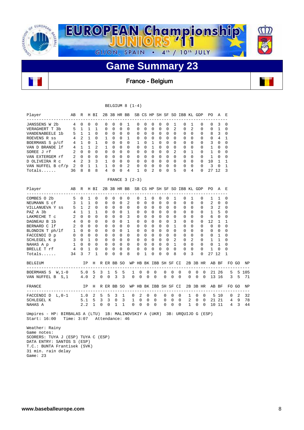

France - Belgium

|                                                                                                              |                |              |                |              |             |              |                |             | BELGIUM 8 $(1-4)$ |                       |             |   |                            |              |                |                              |                |              |             |                |              |                |       |       |
|--------------------------------------------------------------------------------------------------------------|----------------|--------------|----------------|--------------|-------------|--------------|----------------|-------------|-------------------|-----------------------|-------------|---|----------------------------|--------------|----------------|------------------------------|----------------|--------------|-------------|----------------|--------------|----------------|-------|-------|
| Player                                                                                                       | AВ             | R            |                | H BI         |             |              | 2B 3B HR BB    |             |                   |                       |             |   |                            |              |                | SB CS HP SH SF SO IBB KL GDP |                |              |             | PO.            | A            | Е              |       |       |
| JANSSENS W 2b                                                                                                | 4              | $\Omega$     | $\Omega$       | $\Omega$     |             | $\Omega$     | $\Omega$       | $\Omega$    | $\mathbf{1}$      | $\Omega$              | $\Omega$    |   | $\Omega$<br>$\Omega$       | $\Omega$     | 1              |                              | $\Omega$       | $\mathbf{1}$ | $\Omega$    | $\Omega$       | 3            | $\Omega$       |       |       |
| VERAGHERT T 3b                                                                                               | 5              | $\mathbf{1}$ | $\mathbf{1}$   | $\mathbf{1}$ |             | $\Omega$     | $\Omega$       | $\Omega$    | $\Omega$          | $\Omega$              | $\Omega$    |   | $\Omega$<br>$\Omega$       | $\Omega$     | $\overline{2}$ |                              | $\Omega$       | 2            | $\Omega$    | 0              | $\mathbf{1}$ | $\Omega$       |       |       |
| VANDENABEELE 1b                                                                                              | 5              | $\mathbf{1}$ | $\mathbf{1}$   | $\Omega$     |             | 0            | $\Omega$       | $\Omega$    | $\mathbf 0$       | 0                     | $\Omega$    |   | $\Omega$<br>0              | $\Omega$     | $\Omega$       |                              | 0              | $\Omega$     | $\Omega$    | 8              | 3            | 0              |       |       |
| ROEVENS R ss                                                                                                 | 4              | 2            | 1              | 0            |             | 1            | $\mathbf 0$    | $\mathbf 0$ | 1                 | 0                     | $\mathbf 0$ |   | 0<br>0                     | $\mathbf 0$  | 0              |                              | 0              | $\mathbf 0$  | 0           | 0              | 4            | 1              |       |       |
| BOERMANS S p/cf                                                                                              |                | 4 1          | $\Omega$       | $\mathbf{1}$ |             | $\Omega$     | $\Omega$       | $\Omega$    | $\Omega$          | $\mathbf{1}$          | $\Omega$    |   | $\mathbf{1}$<br>$\Omega$   | $\Omega$     | $\Omega$       |                              | $\Omega$       | $\Omega$     | $\Omega$    | 3              | $\Omega$     | 0              |       |       |
| VAN D BRANDE 1f                                                                                              | 4              | $\mathbf{1}$ | $\mathbf{1}$   | 2            |             | $\mathbf{1}$ | $\Omega$       | $\Omega$    | $\mathbf 0$       | $\Omega$              | $\Omega$    |   | 1<br>$\Omega$              | $\Omega$     | $\Omega$       |                              | 0              | $\Omega$     | $\Omega$    | 1              | $\Omega$     | 0              |       |       |
| SOREE J rf                                                                                                   | $\overline{a}$ | $\Omega$     | $\mathbf 0$    | $\Omega$     |             | $\Omega$     | $\Omega$       | 0           | $\mathbf 0$       | 0                     | $\Omega$    |   | 0<br>0                     | $\Omega$     | $\overline{2}$ |                              | 0              | $\mathbf{1}$ | 0           | $\mathbf{1}$   | $\mathbf 0$  | 0              |       |       |
| VAN EXTERGEM rf                                                                                              | 2              | $\mathbf{0}$ | $\overline{0}$ | 0            |             | $\mathbf 0$  | $\mathbf 0$    | 0           | $\mathbf 0$       | $\mathbf 0$           | $\mathbf 0$ |   | 0<br>0                     | $\mathbf 0$  | $\mathbf 0$    |                              | $\mathbf 0$    | $\mathbf 0$  | 0           | 1              | 0            | 0              |       |       |
| D OLIVEIRA R C                                                                                               | 4              | 2            | 3              | 3            |             | 1            | $\Omega$       | $\Omega$    | $\Omega$          | $\Omega$              | $\Omega$    |   | $\Omega$<br>$\Omega$       | $\Omega$     | $\Omega$       |                              | 0              | $\Omega$     | $\Omega$    | 10             | 1            | 1              |       |       |
| VAN NUFFEL B cf/p                                                                                            | 2              | $\Omega$     | 1              | $\mathbf{1}$ |             | $\mathbf{1}$ | $\Omega$       | $\Omega$    | $\overline{2}$    | $\Omega$              | $\Omega$    |   | $\Omega$<br>$\Omega$       | $\Omega$     | $\Omega$       |                              | $\Omega$       | $\Omega$     | $\Omega$    | 3              | $\Omega$     | $\mathbf{1}$   |       |       |
| Totals                                                                                                       | 36             | 8            | 8              | 8            |             | 4            | $\Omega$       | $\Omega$    | 4                 | $\mathbf{1}$          | $\Omega$    |   | 2<br>$\Omega$              | $\Omega$     | 5              |                              | $\Omega$       | 4            | 0           | 27 12          |              | 3              |       |       |
|                                                                                                              |                |              |                |              |             |              |                |             | FRANCE $3(2-3)$   |                       |             |   |                            |              |                |                              |                |              |             |                |              |                |       |       |
| Player<br>----------------                                                                                   | АB             | R            |                | H BI         |             |              | 2B 3B HR BB    |             |                   |                       |             |   |                            |              |                | SB CS HP SH SF SO IBB KL GDP |                |              |             | PO.            | A            | E              |       |       |
| COMBES 0 2b                                                                                                  | 5              | $\Omega$     | $\mathbf{1}$   | $\Omega$     |             | 0            | $\Omega$       | $\Omega$    | $\Omega$          | $\Omega$              | 1           |   | $\Omega$<br>$\Omega$       | $\Omega$     | 1              |                              | $\Omega$       | 1            | $\Omega$    | 1              | $\mathbf{1}$ | $\Omega$       |       |       |
| NEUMANN S cf                                                                                                 | 3              | $\mathbf{1}$ | $\mathbf{1}$   | $\Omega$     |             | $\Omega$     | $\Omega$       | $\Omega$    | 2                 | $\Omega$              | $\Omega$    |   | $\Omega$<br>$\Omega$       | $\Omega$     | $\Omega$       |                              | $\Omega$       | $\Omega$     | $\Omega$    | $\overline{a}$ | $\Omega$     | $\Omega$       |       |       |
| VILLANUEVA Y SS                                                                                              | 5              | 1            | $\overline{2}$ | $\Omega$     |             | 0            | $\Omega$       | $\mathbf 0$ | 0                 | 0                     | $\Omega$    |   | 0<br>0                     | $\Omega$     | $\Omega$       |                              | 0              | $\Omega$     | 0           | 3              | 2            | 0              |       |       |
| PAZ A 3b                                                                                                     | 4              | $\mathbf{1}$ | 1              | 1            |             | $\Omega$     | $\mathbf 0$    | $\mathbf 0$ | 1                 | 0                     | $\Omega$    |   | 0<br>0                     | $\Omega$     | $\mathbf 0$    |                              | 0              | $\Omega$     | $\Omega$    | 1              | 5            | 0              |       |       |
| LAKMECHE T C                                                                                                 | 2              | $\Omega$     | $\Omega$       | $\Omega$     |             | $\Omega$     | $\Omega$       | $\Omega$    | 3                 | $\Omega$              | $\Omega$    |   | $\Omega$<br>$\Omega$       | $\Omega$     | $\Omega$       |                              | $\Omega$       | $\Omega$     | $\Omega$    | 6              | $\Omega$     | $\Omega$       |       |       |
| DAGNEAU B 1b                                                                                                 | 4              | $\Omega$     | $\Omega$       | $\Omega$     |             | $\Omega$     | $\Omega$       | $\Omega$    | $\mathbf{1}$      | $\Omega$              | $\Omega$    |   | $\Omega$<br>$\Omega$       | $\Omega$     | 3              |                              | 0              | $\Omega$     | $\Omega$    | 12             | $\mathbf{1}$ | $\mathbf{1}$   |       |       |
| BERNARD C 1f                                                                                                 | 2              | $\Omega$     | $\Omega$       | $\Omega$     |             | $\Omega$     | $\Omega$       | $\Omega$    | $\mathbf 0$       | 0                     | $\Omega$    |   | 0<br>0                     | $\Omega$     | $\mathbf{1}$   |                              | $\mathbf 0$    | $\Omega$     | 0           | $\mathbf 0$    | $\Omega$     | 0              |       |       |
| BLONDIN T ph/lf                                                                                              | $\mathbf 1$    | $\mathbf{0}$ | 0              | $\Omega$     |             | $\Omega$     | $\mathbf 0$    | $\mathbf 0$ | $\mathbf{1}$      | 0                     | $\Omega$    |   | 0<br>0                     | $\Omega$     | $\mathbf 0$    |                              | 0              | $\Omega$     | 0           | 0              | $\mathbf 0$  | 0              |       |       |
| FACCENDI D p                                                                                                 | 0              | $\mathbf{0}$ | 0              | $\mathbf 0$  |             | 0            | $\mathbf 0$    | $\mathbf 0$ | $\mathbf 0$       | 0                     | $\mathbf 0$ |   | 0<br>0                     | $\mathbf 0$  | $\mathbf 0$    |                              | 0              | $\mathbf 0$  | 0           | 0              | 1            | 0              |       |       |
| SCHLEGEL K p                                                                                                 |                | $3 \quad 0$  | $\mathbf{1}$   | $\Omega$     |             | $\Omega$     | $\mathbf 0$    | $\mathbf 0$ | $\mathbf 0$       | $\mathbf 0$           | $\Omega$    |   | $\mathbf 0$<br>$\mathbf 0$ | $\Omega$     | $\overline{a}$ |                              | $\mathbf 0$    | 2            | $\mathbf 0$ | $\mathbf{1}$   | 1            | 0              |       |       |
| NAHAS A p                                                                                                    | 1              | $\mathbf 0$  | 0              | $\Omega$     |             | $\mathbf 0$  | $\Omega$       | 0           | $\mathbf 0$       | $\mathbf 0$           | $\Omega$    |   | 0<br>0                     | $\Omega$     | $\mathbf{1}$   |                              | $\mathbf 0$    | $\Omega$     | $\mathbf 0$ | $\Omega$       | $\mathbf{1}$ | $\Omega$       |       |       |
| BRELLE T rf                                                                                                  | 4              | $\mathbf 0$  | $\mathbf{1}$   | $\Omega$     |             | 0            | 0              | 0           | $\mathbf 0$       | 0                     | $\mathbf 0$ |   | $\mathbf 0$<br>0           | $\mathbf{0}$ | $\Omega$       |                              | 0              | $\Omega$     | 0           | 1              | 0            | 0              |       |       |
| Totals                                                                                                       | 34             | 3            | 7              | 1            |             | 0            | 0              | $\Omega$    | 8                 | 0                     | 1           |   | 0<br>0                     | $\Omega$     | 8              |                              | $\Omega$       | 3            | 0           | 27 12          |              | 1              |       |       |
| <b>BELGIUM</b>                                                                                               |                |              | ΙP             | $--$         |             |              | H R ER BB SO   |             |                   | WP HB BK IBB SH SF CI |             |   |                            |              |                |                              |                |              | 2B 3B HR    |                | AB BF        |                | FO GO | ΝP    |
| BOERMANS S W, 1-0                                                                                            |                | 5.0          |                | 5            | 3           | 1            | 5              | 5           |                   | 1                     | 0           | 0 | $\Omega$                   | 0            | 0              | 0                            | 0              | 0            | $\Omega$    |                | 21 26        | 5              |       | 5 105 |
| VAN NUFFEL B S, 1                                                                                            |                | 4.0          |                | 2            | $\mathbf 0$ | $\mathbf{0}$ | 3              | 3           |                   | 0                     | 0           | 0 | $\Omega$                   | 0            | $\mathbf 0$    | $\Omega$                     | 0              | $\Omega$     | $\Omega$    |                | 13 16        | 3              | 5     | 71    |
| FRANCE<br>--------------                                                                                     |                |              | ΙP             | н<br>$- - -$ |             |              | R ER BB SO     |             |                   | WP HB BK IBB SH SF CI |             |   |                            |              |                |                              |                |              | 2B 3B HR    |                | AB BF        |                | FO GO | ΝP    |
| FACCENDI D L, 0-1                                                                                            |                | 1.0          |                | 2            | 5           | 5            | 3              | 1           |                   | 0                     | 2           | 0 | $\Omega$                   | 0            | $\mathbf 0$    | $\Omega$                     | 1              | 0            | $\Omega$    |                | 5 10         | 0              | 2     | 32    |
| SCHLEGEL K                                                                                                   |                | 5.1          |                | 5            | 3           | 3            | $\mathbf 0$    | 3           |                   | 1                     | $\mathbf 0$ | 0 | 0                          | $\mathbf 0$  | 0              | 0                            | $\overline{a}$ | 0            | $\mathbf 0$ |                | 21 21        | 4              | 9     | 78    |
| NAHAS A                                                                                                      |                | 2.2          |                | 1            | 0           | 0            | $\mathbf{1}$   | 1           |                   | 0<br>0                |             | 0 | $\mathbf 0$                | 0            | $\mathbf 0$    | 0                            | $\mathbf{1}$   | $\Omega$     | 0           |                | 10 11        | $\overline{4}$ | 3     | 44    |
| Umpires - HP: BIRBALAS A (LTU) 1B: MALINOVSKIY A (UKR) 3B: URQUIJO G (ESP)<br>Start: 16:00<br>Weather: Rainy | Time: $3:07$   |              |                |              |             |              | Attendance: 46 |             |                   |                       |             |   |                            |              |                |                              |                |              |             |                |              |                |       |       |

 Game notes: SCORERS: TUYA J (ESP) TUYA C (ESP) DATA ENTRY: SANTOS S (ESP) T.C.: BUNTA Frantisek (SVK) 31 min. rain delay Game: 23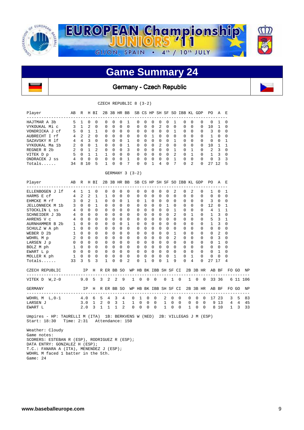

### **Game Summary 24**

Germany - Czech Republic

| R<br>1<br>$\mathbf{1}$<br>$\mathbf{0}$<br>2<br>$\Omega$<br>$\Omega$<br>$\Omega$<br>R | $\Omega$<br>2<br>$\mathbf{1}$<br>$\overline{2}$<br>$4 \quad 3$<br>$\Omega$<br>$0\quad 1$<br>$\mathbf{1}$<br>$\Omega$<br>8 10 | H BI<br>$\Omega$<br>0<br>$\mathbf{1}$<br>$\Omega$<br>$\Omega$<br>$\mathbf{1}$<br>2<br>$\mathbf{1}$<br>$\Omega$<br>5 |                  | 0<br>$\mathbf 0$<br>0<br>$\Omega$<br>$\mathbf 0$<br>$\Omega$<br>$\Omega$<br>$\mathbf{1}$<br>$\Omega$ | $\Omega$<br>$\mathbf 0$<br>$\Omega$<br>$\Omega$<br>$\Omega$<br>$\Omega$<br>0<br>$\Omega$ | $\Omega$<br>0<br>0<br>$\Omega$<br>0<br>$\Omega$ | 1<br>$\mathbf 0$<br>$\mathbf 0$<br>$\Omega$<br>1 | 0<br>$\mathbf 0$<br>0<br>$\Omega$<br>0      | $\Omega$<br>0<br>$\Omega$<br>$\Omega$ | $\Omega$<br>$\mathbf 0$<br>0 | $\Omega$<br>$\overline{c}$ | $\mathbf 0$<br>$\mathbf 0$ | 1<br>$\mathbf 0$ | 2B 3B HR BB SB CS HP SH SF SO IBB KL GDP<br>0<br>0 | $\Omega$<br>$\mathbf 0$                                                                |                                                              | 0<br>0                                                                                                                                                     | PO.<br>$\Omega$<br>10 | AE<br>1<br>1   | 0<br>0                                            |   |                                                   |
|--------------------------------------------------------------------------------------|------------------------------------------------------------------------------------------------------------------------------|---------------------------------------------------------------------------------------------------------------------|------------------|------------------------------------------------------------------------------------------------------|------------------------------------------------------------------------------------------|-------------------------------------------------|--------------------------------------------------|---------------------------------------------|---------------------------------------|------------------------------|----------------------------|----------------------------|------------------|----------------------------------------------------|----------------------------------------------------------------------------------------|--------------------------------------------------------------|------------------------------------------------------------------------------------------------------------------------------------------------------------|-----------------------|----------------|---------------------------------------------------|---|---------------------------------------------------|
|                                                                                      |                                                                                                                              |                                                                                                                     |                  |                                                                                                      |                                                                                          |                                                 |                                                  |                                             |                                       |                              |                            |                            |                  |                                                    |                                                                                        |                                                              |                                                                                                                                                            |                       |                |                                                   |   |                                                   |
|                                                                                      |                                                                                                                              |                                                                                                                     |                  |                                                                                                      |                                                                                          |                                                 |                                                  |                                             |                                       |                              |                            |                            |                  |                                                    |                                                                                        |                                                              |                                                                                                                                                            |                       |                |                                                   |   |                                                   |
|                                                                                      |                                                                                                                              |                                                                                                                     |                  |                                                                                                      |                                                                                          |                                                 |                                                  |                                             |                                       |                              |                            |                            |                  |                                                    |                                                                                        |                                                              |                                                                                                                                                            |                       |                |                                                   |   |                                                   |
|                                                                                      |                                                                                                                              |                                                                                                                     |                  |                                                                                                      |                                                                                          |                                                 |                                                  |                                             |                                       |                              | 0                          | $\Omega$                   | $\mathbf{1}$     | 0                                                  | $\Omega$                                                                               |                                                              | 0                                                                                                                                                          | 3                     | 0              | $\Omega$                                          |   |                                                   |
|                                                                                      |                                                                                                                              |                                                                                                                     |                  |                                                                                                      |                                                                                          |                                                 |                                                  |                                             |                                       | 1                            | $\Omega$                   | $\Omega$                   | $\Omega$         | $\Omega$                                           | $\Omega$                                                                               |                                                              | $\Omega$                                                                                                                                                   | 1                     | $\Omega$       | $\Omega$                                          |   |                                                   |
|                                                                                      |                                                                                                                              |                                                                                                                     |                  |                                                                                                      |                                                                                          |                                                 |                                                  |                                             | $\Omega$                              | 0                            | 0                          | $\Omega$                   | 1                | 0                                                  | $\Omega$                                                                               |                                                              | 0                                                                                                                                                          | 0                     | $\mathbf 0$    | 1                                                 |   |                                                   |
|                                                                                      |                                                                                                                              |                                                                                                                     |                  |                                                                                                      |                                                                                          |                                                 | $\mathbf{1}$                                     | $\Omega$                                    | $\Omega$                              | $\Omega$                     | $\overline{a}$             | $\Omega$                   | $\Omega$         | $\Omega$                                           | $\Omega$                                                                               |                                                              | $\Omega$                                                                                                                                                   | 10                    | 1              | $\mathbf{1}$                                      |   |                                                   |
|                                                                                      |                                                                                                                              |                                                                                                                     |                  |                                                                                                      |                                                                                          | 0                                               | 3                                                | $\mathbf 0$                                 | $\Omega$                              | 0                            | 0                          | $\Omega$                   | 1                | 0                                                  | $\mathbf{1}$                                                                           |                                                              | 0                                                                                                                                                          | 2                     | 3              | 0                                                 |   |                                                   |
|                                                                                      |                                                                                                                              |                                                                                                                     |                  |                                                                                                      |                                                                                          | $\Omega$                                        | $\mathbf 0$                                      | $\Omega$                                    | $\Omega$                              | $\Omega$                     | $\Omega$                   | $\Omega$                   | $\overline{2}$   | $\Omega$                                           | $\mathbf{1}$                                                                           |                                                              | $\Omega$                                                                                                                                                   | $\mathbf{1}$          | 3              | $\Omega$                                          |   |                                                   |
|                                                                                      |                                                                                                                              |                                                                                                                     |                  |                                                                                                      | $\Omega$                                                                                 | $\Omega$                                        | $\mathbf{1}$                                     | $\Omega$                                    | $\Omega$                              | $\Omega$                     | $\Omega$                   | $\Omega$                   | $\mathbf{1}$     | 0                                                  | $\Omega$                                                                               |                                                              | $\Omega$                                                                                                                                                   | $\Omega$              | 3              | 3                                                 |   |                                                   |
|                                                                                      |                                                                                                                              |                                                                                                                     |                  | 1                                                                                                    | $\Omega$                                                                                 | $\Omega$                                        | 7                                                | $\Omega$                                    | $\Omega$                              | 1                            | 4                          | $\Omega$                   | 7                | 0                                                  | 2                                                                                      |                                                              | 0                                                                                                                                                          | 27 12                 |                | 5                                                 |   |                                                   |
|                                                                                      |                                                                                                                              |                                                                                                                     |                  |                                                                                                      |                                                                                          |                                                 |                                                  | GERMANY $3$ (3-2)                           |                                       |                              |                            |                            |                  |                                                    |                                                                                        |                                                              |                                                                                                                                                            |                       |                |                                                   |   |                                                   |
|                                                                                      |                                                                                                                              | H BI                                                                                                                |                  |                                                                                                      | 2B 3B HR BB                                                                              |                                                 |                                                  |                                             |                                       |                              |                            |                            |                  | SB CS HP SH SF SO IBB KL GDP                       |                                                                                        |                                                              |                                                                                                                                                            | PO.                   | AE             |                                                   |   |                                                   |
| 1                                                                                    | 1                                                                                                                            | 0                                                                                                                   |                  | 0                                                                                                    | 0                                                                                        | $\mathbf 0$                                     | $\mathbf 0$                                      | 0                                           | 0                                     | 0                            | 0                          | $\mathbf 0$                | 2                | 0                                                  | 2                                                                                      |                                                              | 0                                                                                                                                                          | 1                     | 0              | 1                                                 |   |                                                   |
| 2                                                                                    | 2                                                                                                                            | $\mathbf{1}$                                                                                                        |                  | $\mathbf{1}$                                                                                         | $\Omega$                                                                                 | 0                                               | $\Omega$                                         | $\Omega$                                    | $\Omega$                              | $\Omega$                     | 0                          | $\Omega$                   | $\Omega$         | 0                                                  | $\Omega$                                                                               |                                                              | $\Omega$                                                                                                                                                   | $\Omega$              | $\Omega$       | $\Omega$                                          |   |                                                   |
| 0                                                                                    | 2                                                                                                                            | 1                                                                                                                   |                  | 0                                                                                                    | 0                                                                                        | 0                                               | 1                                                | 0                                           | 1                                     | 0                            | 0                          | 0                          | $\Omega$         | 0                                                  | 0                                                                                      |                                                              | 0                                                                                                                                                          | 3                     | 0              | 0                                                 |   |                                                   |
| $\Omega$                                                                             | $\Omega$                                                                                                                     | $\mathbf{1}$                                                                                                        |                  | $\Omega$                                                                                             | $\Omega$                                                                                 | $\Omega$                                        | $\Omega$                                         | $\Omega$                                    | $\Omega$                              | $\Omega$                     | $\Omega$                   | $\mathbf{1}$               | $\Omega$         | $\Omega$                                           | $\Omega$                                                                               |                                                              | $\Omega$                                                                                                                                                   | 12                    | $\Omega$       | $\mathbf{1}$                                      |   |                                                   |
| $\Omega$                                                                             | $\Omega$                                                                                                                     | $\Omega$                                                                                                            |                  | $\Omega$                                                                                             | $\Omega$                                                                                 | 0                                               | $\Omega$                                         | $\Omega$                                    | $\Omega$                              | $\Omega$                     | $\Omega$                   | $\Omega$                   | $\mathbf{1}$     | $\Omega$                                           | $\Omega$                                                                               |                                                              | $\Omega$                                                                                                                                                   | 4                     | 1              | 1                                                 |   |                                                   |
| $\Omega$                                                                             | $\Omega$                                                                                                                     | $\Omega$                                                                                                            |                  | $\Omega$                                                                                             | 0                                                                                        | $\mathbf 0$                                     | $\mathbf 0$                                      | 0                                           | $\mathbf 0$                           | 0                            | 0                          | $\Omega$                   | 2                |                                                    |                                                                                        |                                                              | 0                                                                                                                                                          | 1                     | 3              | 0                                                 |   |                                                   |
| $\Omega$                                                                             | $\Omega$                                                                                                                     | $\Omega$                                                                                                            |                  | 0                                                                                                    | $\Omega$                                                                                 | $\Omega$                                        | $\Omega$                                         | $\Omega$                                    | $\Omega$                              | $\Omega$                     | $\Omega$                   | $\Omega$                   | $\Omega$         |                                                    |                                                                                        |                                                              | $\Omega$                                                                                                                                                   | 5                     | 3              | 1                                                 |   |                                                   |
| $\Omega$                                                                             | $\Omega$                                                                                                                     | $\Omega$                                                                                                            |                  | 0                                                                                                    | $\Omega$                                                                                 | 0                                               | 1                                                | 0                                           | 0                                     | 0                            | 0                          | $\Omega$                   | $\Omega$         |                                                    |                                                                                        |                                                              | 0                                                                                                                                                          | 1                     | 3              | 0                                                 |   |                                                   |
| $\Omega$                                                                             | $\Omega$                                                                                                                     | $\Omega$                                                                                                            |                  | 0                                                                                                    | $\Omega$                                                                                 | $\Omega$                                        | $\mathbf 0$                                      | $\mathbf 0$                                 | $\Omega$                              | $\mathbf 0$                  | 0                          | $\Omega$                   | $\Omega$         |                                                    |                                                                                        |                                                              | 0                                                                                                                                                          | 0                     | $\mathbf 0$    | 0                                                 |   |                                                   |
| $\Omega$                                                                             | $\Omega$                                                                                                                     | $\Omega$                                                                                                            |                  | $\Omega$                                                                                             | $\Omega$                                                                                 | 0                                               | $\Omega$                                         | $\Omega$                                    | $\Omega$                              | $\Omega$                     | $\Omega$                   | $\Omega$                   | 1                |                                                    |                                                                                        |                                                              | 0                                                                                                                                                          | $\Omega$              | $\overline{2}$ | $\Omega$                                          |   |                                                   |
| $\Omega$                                                                             | $\mathbf 0$                                                                                                                  | 0                                                                                                                   |                  | 0                                                                                                    | $\mathbf 0$                                                                              | $\mathbf 0$                                     | 0                                                | 0                                           | $\mathbf 0$                           | 0                            | 0                          | $\mathbf 0$                | $\overline{2}$   |                                                    |                                                                                        |                                                              | 0                                                                                                                                                          | 0                     | 3              | 0                                                 |   |                                                   |
| 0                                                                                    | $\mathbf 0$                                                                                                                  | 0                                                                                                                   |                  | $\mathbf 0$                                                                                          | $\mathbf 0$                                                                              | $\mathbf 0$                                     | $\mathbf 0$                                      | 0                                           | 0                                     | 0                            | 0                          | $\mathbf 0$                | $\mathbf 0$      |                                                    |                                                                                        |                                                              | 0                                                                                                                                                          | 0                     | 1              | 0                                                 |   |                                                   |
| $\Omega$                                                                             | $\Omega$                                                                                                                     | $\Omega$                                                                                                            |                  | 0                                                                                                    | $\mathbf 0$                                                                              | $\mathbf 0$                                     | $\mathbf 0$                                      | 0                                           | $\Omega$                              | 0                            | 0                          | $\Omega$                   | $\Omega$         |                                                    |                                                                                        |                                                              | 0                                                                                                                                                          | 0                     | $\Omega$       | $\Omega$                                          |   |                                                   |
| $\Omega$                                                                             | $\mathbf 0$                                                                                                                  | $\Omega$                                                                                                            |                  | $\mathbf 0$                                                                                          | $\mathbf 0$                                                                              | $\mathbf 0$                                     | $\mathbf 0$                                      | 0                                           | $\Omega$                              | 0                            | 0                          | $\Omega$                   | $\Omega$         |                                                    |                                                                                        |                                                              | 0                                                                                                                                                          | 0                     | 1              | 0                                                 |   |                                                   |
| $\mathbf 0$                                                                          | $\Omega$                                                                                                                     | $\Omega$                                                                                                            |                  | $\Omega$                                                                                             | $\Omega$                                                                                 | $\Omega$                                        | $\Omega$                                         | $\Omega$                                    | 0                                     | $\Omega$                     | $\Omega$                   | $\Omega$                   | $\mathbf{1}$     |                                                    |                                                                                        |                                                              | $\Omega$                                                                                                                                                   | $\Omega$              | $\Omega$       | $\Omega$                                          |   |                                                   |
| 3                                                                                    | 5                                                                                                                            | 3                                                                                                                   |                  | 1                                                                                                    | $\Omega$                                                                                 | $\Omega$                                        | 2                                                | 0                                           | 1                                     | $\Omega$                     | $\Omega$                   | $\mathbf{1}$               | 9                |                                                    |                                                                                        |                                                              | $\Omega$                                                                                                                                                   |                       |                | 4                                                 |   |                                                   |
|                                                                                      |                                                                                                                              |                                                                                                                     |                  |                                                                                                      |                                                                                          |                                                 |                                                  |                                             |                                       |                              |                            |                            |                  |                                                    |                                                                                        |                                                              |                                                                                                                                                            |                       |                |                                                   |   | NP                                                |
|                                                                                      |                                                                                                                              | 5                                                                                                                   |                  | 2                                                                                                    | 2                                                                                        |                                                 |                                                  |                                             |                                       |                              |                            |                            | $\mathbf{1}$     |                                                    |                                                                                        | $\mathbf 0$                                                  | $\overline{0}$                                                                                                                                             |                       |                |                                                   |   |                                                   |
|                                                                                      |                                                                                                                              | Н                                                                                                                   |                  |                                                                                                      |                                                                                          |                                                 |                                                  |                                             |                                       |                              |                            |                            |                  |                                                    |                                                                                        |                                                              |                                                                                                                                                            |                       |                |                                                   |   | ΝP                                                |
|                                                                                      |                                                                                                                              |                                                                                                                     | 5                | 4                                                                                                    | 3                                                                                        |                                                 |                                                  |                                             |                                       |                              |                            | 2                          | $\mathbf 0$      | $\mathbf 0$                                        | 0                                                                                      | 0                                                            | 0                                                                                                                                                          |                       |                |                                                   | 5 | 83                                                |
|                                                                                      |                                                                                                                              | 1                                                                                                                   | 2                | 0                                                                                                    | 3                                                                                        |                                                 |                                                  |                                             |                                       |                              |                            | 1                          | 0                | 0                                                  | 0                                                                                      | 0                                                            | 0                                                                                                                                                          |                       |                |                                                   | 4 | 45                                                |
|                                                                                      |                                                                                                                              | 3                                                                                                                   | $\mathbf{1}$     | $\mathbf{1}$                                                                                         | $\mathbf{1}$                                                                             | $\overline{a}$                                  |                                                  |                                             |                                       |                              |                            |                            |                  |                                                    |                                                                                        |                                                              |                                                                                                                                                            |                       |                |                                                   |   |                                                   |
|                                                                                      |                                                                                                                              | IP.<br>--------------<br>9.0<br>ΙP<br>3.0<br>2.0                                                                    | 4.0 <sub>6</sub> |                                                                                                      | 3 <sup>7</sup>                                                                           |                                                 |                                                  | H R ER BB SO<br>- 9<br>R ER BB SO<br>4<br>1 | 1<br>0<br>1                           | 0<br>1<br>0                  | $\mathbf 0$<br>0<br>0      | $\mathbf{0}$<br>0<br>0     |                  | $\mathbf{0}$                                       | $\Omega$<br>WP HB BK IBB SH SF CI<br>$\overline{\phantom{0}}$<br>WP HB BK IBB SH SF CI | 0<br>0<br>0<br>0<br>$\Omega$<br>0<br>0<br>0<br>0<br>$\Omega$ | 1<br>$\Omega$<br>$\Omega$<br>$\Omega$<br>$\Omega$<br>$\Omega$<br>$\mathbf 0$<br>$\Omega$<br>$\Omega$<br>$\mathbf{1}$<br>$\overline{4}$<br>-----------<br>1 | 2B 3B HR<br>2B 3B HR  |                | 27 17<br>AB BF<br>33 36<br>AB BF<br>17 23<br>9 13 |   | FO GO<br>6 11 106<br>FO GO<br>3<br>$4\phantom{0}$ |

Start: 18:30 Time: 2:31 Attendance: 150

 Weather: Cloudy Game notes: SCORERS: ESTEBAN R (ESP), RODRIGUEZ R (ESP); DATA ENTRY: GONZALEZ H (ESP);  $\mathtt{T.C.}$  : FANARA A (ITA), MENENDEZ J (ESP); WOHRL M faced 1 batter in the 5th. Game: 24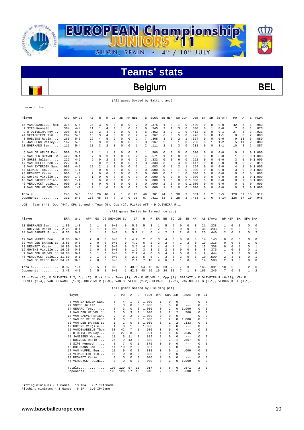

### Belgium BEL

(All games Sorted by Batting avg)

record: 1-4

| Player               | <b>AVG</b> | $GP - GS$ | AB  | R              | Н              | 2B       | 3B | <b>HR</b> | RBI            | TB | SLG <sup>§</sup> |                         | BB HBP         | SO GDP       |          | OB%    | SF             | SH       | SB-ATT   | PO. | Α        | E              | FLD%   |
|----------------------|------------|-----------|-----|----------------|----------------|----------|----|-----------|----------------|----|------------------|-------------------------|----------------|--------------|----------|--------|----------------|----------|----------|-----|----------|----------------|--------|
| 15 VANDENABEELE Thom | .375       | $5 - 5$   | 2.4 | 3              | 9              | $\Omega$ | 0  | 0         | 2              | 9  | .375             |                         | $\Omega$       |              | $\Omega$ | .400   | $\Omega$       | $\Omega$ | $0 - 0$  | 42  |          |                | .980   |
| 2 SIPS Kenneth       | .364       | $4 - 4$   | 11  |                | 4              | $\Omega$ |    | $\Omega$  |                | 6  | .545             | $\overline{\mathbf{c}}$ |                | 3            |          | .500   | $\Omega$       |          | $0 - 0$  | 7   | 0        |                | .875   |
| 9 D OLIVEIRA Roy     | .308       | $5 - 5$   | 13  | $\mathfrak{D}$ | 4              | 2        | 0  | $\Omega$  | 5.             | 6  | .462             |                         | $\mathfrak{D}$ |              | $\Omega$ | .412   |                | $\Omega$ | $0 - 1$  | 27  | 8        | 3              | .921   |
| 24 VERAGHTERT Tim    | .267       | $5 - 5$   | 15  | 3              |                | $\Omega$ | 0  | $\Omega$  | $\mathfrak{D}$ | 4  | 267              | 6                       | 0              | 5            | $\Omega$ | .476   | $\Omega$       | $\Omega$ | $1 - 1$  | 0   | 8        | $\mathfrak{D}$ | .800   |
| 3 ROEVENS Robin      | .263       | $5 - 5$   | 19  | 4              |                | 2        | 0  | $\Omega$  | 2              |    | .368             | 3                       | $\Omega$       | 2            |          | .364   | 0              | 0        | $0 - 0$  | 9   | 13       | ર              | .880   |
| 10 JANSSENS Wesley   | .167       | $5 - 5$   | 18  | 3              |                | $\Omega$ | O  | 0         | 0              | 3  | .167             | $\mathfrak{D}$          | $\Omega$       |              |          | .250   | $\Omega$       |          | $1 - 2$  | 5   | 11       | 2.             | .889   |
| 13 BOERMANS Sam      | .111       | $5 - 4$   | 18  | 3              |                | $\Omega$ | 0  | 0         |                |    | .111             | 2                       |                | 3            |          | .238   | 0              | $\Omega$ | $1 - 1$  | 10  | 2        | 2              | .857   |
| -------------        |            |           |     |                |                |          |    |           |                |    |                  |                         |                |              |          |        |                |          |          |     |          |                |        |
| 6 VAN DE VELDE Kenn  | .500       | $2 - 0$   | 2   |                |                | $\Omega$ | 0  | $\Omega$  | 0              |    | .500             | 0                       | 0              | 0            | 0        | .500   | $\Omega$       | $\Omega$ | $0 - 0$  | 0   |          |                | 01.000 |
| 32 VAN DEN BRANDE Be | .429       | $3 - 1$   |     | 3              | 3              |          | 0  | $\Omega$  | 2              | 4  | .571             |                         |                | 0            |          | .556   | $\Omega$       | $\Omega$ | $0 - 0$  |     | $\Omega$ |                | 01.000 |
| 27 SOREE Julien      | .222       | $4 - 2$   | 9   | $\Omega$       | 2              |          | 0  | $\Omega$  | 2              | 3  | .333             | U                       | 0              | 6            |          | .222   | $\Omega$       | $\Omega$ | $0 - 0$  | 3   | $\Omega$ |                | 01.000 |
| 17 VAN NUFFEL Ben    | .222       | $3 - 3$   | 9   | $\Omega$       | $\mathfrak{D}$ |          | 0  | $\Omega$  |                | 3  | .333             | 3                       | $\Omega$       | 4            |          | .417   | $\Omega$       | $\Omega$ | $0 - 0$  | 9   | $\Omega$ | 2              | .818   |
| 8 VAN EXTERGEM Sam.  | .083       | $4 - 2$   | 12  | 2              |                | $\Omega$ | 0  | $\Omega$  | 2              | 1  | .083             | 0                       |                | 2            |          | .154   | $\Omega$       | $\Omega$ | $0 - 0$  | 4   |          |                | 01.000 |
| 54 GERARD Tom        | .000       | $1 - 1$   | 3   | $\Omega$       | 0              | $\Omega$ | 0  | $\Omega$  | 0              | 0  | .000             | 0                       | 0              |              | $\Omega$ | .000   | $\Omega$       | $\Omega$ | $0 - 0$  | 3   | 0        |                | 01.000 |
| 23 DESMEDT Kevin     | .000       | $1 - 0$   |     | $\Omega$       | O              | $\Omega$ | 0  | 0         | <sup>n</sup>   | 0  | . 000            | 0                       | <sup>n</sup>   |              |          | .000   | $\Omega$       | $\Omega$ | $0 - 0$  | 0   | 0        | 0              | .000   |
| 19 GOYENS Virgile    | .000       | $1 - 0$   |     | $\Omega$       | O              | $\Omega$ | 0  | 0         | 0              | 0  | .000             | U                       | <sup>n</sup>   | U            |          | .000   | $\Omega$       | $\Omega$ | $0 - 0$  | 0   |          |                | 01.000 |
| 18 VAN GAEVER Brian. | .000       | $1 - 1$   |     | $\Omega$       | $\Omega$       | $\Omega$ | 0  | 0         | $\cap$         | 0  | .000             |                         | $\Omega$       | <sup>n</sup> |          | 01.000 | $\Omega$       | $\Omega$ | $0 - 0$  | 0   | 2        |                | 01.000 |
| 46 VERDUYCKT Luigi.  | .000       | $3 - 1$   | 0   | 0              | 0              | 0        | 0  | $\Omega$  | $\Omega$       | 0  | .000             |                         | $\Omega$       | 0            |          | 01.000 | 0              | $\Omega$ | $0 - 0$  | 0   | $\Omega$ | 0              | .000   |
| 7 VAN DEN HEUVEL JO  | .000       | $1 - 1$   | 0   |                | 0              | $\Omega$ | O  | 0         | 0              | 0  | .000             |                         | $\Omega$       | 0            |          | 01.000 | $\Omega$       | $\Omega$ | $0 - 0$  | 0   | 3        |                | 01.000 |
|                      | .245       | $5 - 5$   | 163 | 26             | 40             |          |    | 0         | 20             | 49 | .301             | 24                      | 6              | 30           | 2        | .361   |                | 2        | $3 - 5$  | 120 | 57       | 16             | .917   |
| Opponents            | .331       | $5 - 5$   | 163 | 45             | 54             |          |    | 0         | 35             | 67 | .411             | 33                      | 5              | 28           |          | .453   | $\mathfrak{D}$ | 6        | $8 - 14$ | 126 | 57       | 10             | .948   |

LOB - Team (44), Opp (44). DPs turned - Team (5), Opp (2). Picked off - D OLIVEIRA R 1.

|                           |      |         |                |          |              |               |          | (All games Sorted by Earned run avg) |    |              |    |    |     |          |          |          |     |          |               |          |              |                |                |
|---------------------------|------|---------|----------------|----------|--------------|---------------|----------|--------------------------------------|----|--------------|----|----|-----|----------|----------|----------|-----|----------|---------------|----------|--------------|----------------|----------------|
| Player                    | ERA  | $W-L$   | APP            | GS       |              | CG SHO/CBO SV |          | ΙP                                   | Н  | R            | ER | BB | SO. | 2B       | 3B       | HR       |     | AB B/Avq | WP HBP        |          | BK           | SFA SHA        |                |
| 13 BOERMANS Sam           | 1.80 | $1 - 0$ |                |          | $\Omega$     | 0/0           | 0        | 5.0                                  |    |              |    | 5  | 5.  | $\Omega$ | $\Omega$ | $\Omega$ | 21  | .238     |               | $\Omega$ | $\Omega$     | $\Omega$       | $\Omega$       |
| 3 ROEVENS Robin           | 2.25 | $0 - 1$ |                |          |              | 0/0           | $\Omega$ | 8.0                                  |    | 3            | 2. |    | Б.  | $\Omega$ | $\Omega$ | $\Omega$ | 30  | .233     |               | $\Omega$ | $\Omega$     |                | $\overline{1}$ |
| 18 VAN GAEVER Brian.      | 6.35 | $0 - 1$ |                |          | 0            | 0/0           | $\Omega$ | 5.2                                  | 11 | б            | 4  |    |     | 2        | 0        | $\Omega$ | 25  | .440     | 2             | $\Omega$ |              | $\Omega$       | $\overline{2}$ |
| . <u>.</u> .              |      |         |                |          |              |               |          |                                      |    |              |    |    |     |          |          |          |     |          |               |          |              |                |                |
| 17 VAN NUFFEL Ben         | 0.00 | $0 - 0$ | $\mathfrak{D}$ | $\Omega$ | $\Omega$     | 0/0           |          | 4.2                                  |    | <sup>n</sup> |    |    |     | $\Omega$ | $\Omega$ | $\Omega$ | 14  | .143     | $\Omega$      | $\Omega$ | $\Omega$     | $\Omega$       | $\Omega$       |
| 32 VAN DEN BRANDE Be      | 3.86 | $0 - 0$ |                | $\Omega$ | $\Omega$     | 0/0           |          | 4.2                                  | 6  | 2            | 2  |    |     |          |          | $\Omega$ | 19  | .316     | $\Omega$      | 0        | $\Omega$     |                | $\Omega$       |
| 23 DESMEDT Kevin 10.80    |      | $0 - 0$ |                | $\Omega$ | 0            | 0/0           |          | 3.1                                  |    |              |    |    |     |          |          |          | 13  | .308     | 0             |          |              | 0              |                |
| 19 GOYENS Virgile 16.20   |      | $0 - 0$ |                | 0        | 0            | 0/0           |          | 1.2                                  |    |              |    |    |     | $\Omega$ |          | 0        | R   | .375     |               | 0        | <sup>n</sup> | $\Omega$       |                |
| 7 VAN DEN HEUVEL Jo 16.88 |      | $0 - 1$ |                |          | n            | 0/0           |          | 2.2                                  |    |              |    |    |     | $\Omega$ |          | 0        | 9   | .444     |               |          | <sup>n</sup> | 0              | $\Omega$       |
| 46 VERDUYCKT Luigi 31.50  |      | $0 - 1$ |                |          | <sup>n</sup> | 0/0           | 0.       | 2.0                                  |    | 8            |    | ર  |     | 2        | 0        | $\Omega$ | 10  | .500     | 2.            |          |              | 0              |                |
| 6 VAN DE VELDE Kenn 34.71 |      | $0 - 0$ |                | 0        | 0            | 0/0           |          | 2.1                                  |    | 10           | 9  | 6  |     |          |          |          | 14  | .500     | $\mathcal{L}$ |          | $\Omega$     | 0              | $\Omega$       |
| Totals                    | 8.32 | $1 - 4$ |                |          |              | 0/0           |          | 40.0                                 | 54 | 45           | 37 | スス | 28  |          |          |          | 163 | .331     | 10            | 5.       | 3            | $\mathfrak{D}$ | 6              |
| Opponents                 | 3.43 | $4 - 1$ |                |          |              | 0/0           |          | 42.0                                 | 40 | 26           | 16 | 24 | 30  |          |          |          | 163 | .245     |               | 6        |              |                | 2              |

PB - Team (2), D OLIVEIRA R 2, Opp (2). Pickoffs - Team (1), VAN D HEUVEL 1, Opp (1). SBA/ATT - D OLIVEIRA R (6-11), VAN D<br>HEUVEL (2-4), VAN D BRANDE (1-3), ROEVENS R (2-3), VAN DE VELDE (2-2), GERARD T (2-2), VAN NUFFEL B

|                         |                |                |                |          | (All games Sorted by Fielding pct) |                |                |                |         |          |            |
|-------------------------|----------------|----------------|----------------|----------|------------------------------------|----------------|----------------|----------------|---------|----------|------------|
| Player                  | C              | P <sub>0</sub> | A              | E.       | FLD%                               | DPs            |                | SBA CSB        | SBA%    | PB       | CI         |
| VAN EXTERGEM Sam.<br>8. | 5              | 4              | 1              | $\Omega$ | 1.000                              | 1              | 0              | 0              | $- - -$ | $\Omega$ | $\Omega$   |
| SOREE Julien<br>27      | 3              | 3              | $\Omega$       | 0        | 1,000                              | $\Omega$       | 0              | 0              | $--$    | 0        | 0          |
| 54 GERARD Tom           | 3              | 3              | $\Omega$       | 0        | 1,000                              | 0              | $\mathfrak{D}$ | 0              | 1,000   | 0        | $\Omega$   |
| VAN DEN HEUVEL JO       | 3              | $\Omega$       | 3              | 0        | 1,000                              | 0              | $\mathfrak{D}$ | $\mathfrak{D}$ | .500    | $\Omega$ | $\Omega$   |
| VAN GAEVER Brian.<br>18 | $\mathfrak{D}$ | 0              | $\mathfrak{D}$ | 0        | 1,000                              | <sup>n</sup>   | <sup>n</sup>   | 0              | $---$   | $\Omega$ | $\Omega$   |
| VAN DE VELDE Kenn<br>6  | 1              | $\Omega$       | 1              | $\Omega$ | 1,000                              | 0              | $\mathfrak{D}$ | 0              | 1,000   | $\Omega$ | $\Omega$   |
| VAN DEN BRANDE Be<br>32 | 1              | 1              | $\Omega$       | $\Omega$ | 1,000                              | 0              |                | $\mathfrak{D}$ | .333    | $\Omega$ | $\Omega$   |
| 19 GOYENS Virgile       | 1              | $\Omega$       | 1              | $\Omega$ | 1,000                              | 0              | 0              | 0              | $---$   | $\Omega$ | $\Omega$   |
| 15 VANDENABEELE Thom    | 50             | 42             | 7              | 1        | .980                               | 3              | 0              | 0              | $- - -$ | $\Omega$ | 0          |
| 9 D OLIVEIRA Roy        | 38             | 27             | 8              | 3        | .921                               | 1              | 6              | 5              | .545    | 2        | 0          |
| 10 JANSSENS Wesley      | 18             | 5              | 11             | 2        | .889                               | $\mathfrak{D}$ | 0              | 0              | $-- -$  | $\Omega$ | $\Omega$   |
| 3 ROEVENS Robin         | 25             | 9              | 13             | 3        | .880                               | 3              | $\mathfrak{D}$ | 1.             | .667    | 0        | $\Omega$   |
| 2 SIPS Kenneth          | 8              | 7              | $\Omega$       | 1        | .875                               | 0              | 0              | 0              | $---$   | $\Omega$ | $\Omega$   |
| BOERMANS Sam<br>13.     | 14             | 10             | $\mathfrak{D}$ | 2        | .857                               | 0              | 0              | 0              | $- - -$ | 0        | $\Omega$   |
| VAN NUFFEL Ben<br>17    | 11             | 9              | 0              | 2        | .818                               | 0              | 0              | 1              | .000    | 0        | 0          |
| 24 VERAGHTERT Tim       | 10             | 0              | 8              | 2        | .800                               | <sup>n</sup>   | <sup>n</sup>   | 0              | $-- -$  | $\Omega$ | $\Omega$   |
| 23 DESMEDT Kevin        | $\Omega$       | 0              | $\Omega$       | $\Omega$ | .000                               | 0              | 0              | 0              | $- - -$ | $\Omega$ | 0          |
| 46 VERDUYCKT Luigi      | 0              | 0              | $\Omega$       | $\Omega$ | .000                               | $\Omega$       | 1              | <sup>0</sup>   | 1.000   | $\Omega$ | $\Omega$   |
| Totals                  | 193            | 120            | 57             | 16       | .917                               | 5              | 8              | 6              | .571    | 2        | 0          |
| Opponents               | 193            | 126            | 57             | 10       | .948                               | 2              | 3              | $\mathfrak{D}$ | .600    | 2        | $^{\circ}$ |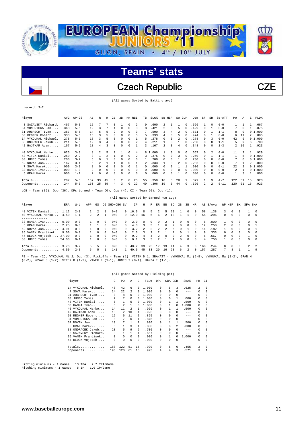

Czech Republic CZE

(All games Sorted by Batting avg)

#### record: 3-2

| Player                                                                                                    | AVG   | $GP - GS$ | AB  | R        | Н        | 2B       | 3B       |             | HR RBI   | TB       | SLG <sup>§</sup> | BB. | HBP      | SO GDP   |          | OB%  | SF       | SH           | SB-ATT   | PO. | Α        | Е  | FLD%   |
|-----------------------------------------------------------------------------------------------------------|-------|-----------|-----|----------|----------|----------|----------|-------------|----------|----------|------------------|-----|----------|----------|----------|------|----------|--------------|----------|-----|----------|----|--------|
| 3 SAZAVSKY Richard.                                                                                       | .467  | $5 - 3$   | 15  |          |          | $\Omega$ |          | $\Omega$    | 2        | 9        | .600             | 2.  |          |          | $\Omega$ | .526 |          | $\Omega$     | $0 - 0$  |     |          |    | .667   |
| 34 VONDRICKA Jan                                                                                          | .368  | $5 - 5$   | 19  | ঽ        |          |          | 0        | $\Omega$    | 3        | 8        | .421             | 2   | $\Omega$ | 5        | $\Omega$ | .429 | 0        |              | $0 - 0$  |     | $\Omega$ |    | .875   |
| 31 AUBRECHT Ivan                                                                                          | .357  | $5 - 5$   | 14  | 5        |          |          |          | $\Omega$    | 3        |          | .500             | 3   | 4        |          |          | .571 |          |              | $1 - 1$  | 8   |          |    | 01.000 |
| 50 REGNER Robert.                                                                                         | . 333 | $5 - 5$   | 15  | 3        |          | $\Omega$ |          | $\Omega$    | 5.       | 5        | .333             | 4   | $\Omega$ | 5        |          | .474 | $\Omega$ |              | $0 - 0$  | 6   | 11       | 2  | .895   |
| 14 VYKOUKAL Michael.                                                                                      | .278  | $5 - 5$   | 18  | 3        |          | 0        | 0        | $\mathbf 0$ |          | 5        | .278             | 0   | 0        | 2        | 0        | .278 | 0        | 3            | $0 - 0$  | 42  | 6        |    | 01.000 |
| 38 ONDRACEK Jakub                                                                                         | .211  | $5 - 5$   | 19  | 3        | 4        | 0        | 0        | $\mathbf 0$ | 2        | 4        | .211             |     | $\Omega$ |          |          | .250 | 0        | $\Omega$     | $1 - 1$  | 5   | 9        | 6  | .700   |
| 42 HAJTMAR Adam                                                                                           | .167  | $5 - 5$   | 18  | 4        | ς        | $\Omega$ | 0        | $\Omega$    |          | 3        | .167             | 2.  | 3        | 4        | $\Omega$ | .348 | 0        | $\Omega$     | $1 - 3$  | 2   | 10       |    | .923   |
|                                                                                                           |       |           |     |          |          |          |          |             |          |          |                  |     |          |          |          |      |          |              |          |     |          |    |        |
| 40 VYKOUKAL Marko                                                                                         | .625  | $3 - 3$   | 8   | 2        | 5        |          |          | 0           | 4        |          | 8 1.000          |     | $\Omega$ | $\Omega$ | $\Omega$ | .667 | 0        | 2            | $0 - 0$  | 11  | 2        |    | .929   |
| 48 VITEK Daniel.<br>1.1111                                                                                | .250  | $2 - 2$   | 8   |          |          |          | 0        | $^{\circ}$  |          | 3        | .375             | 0   | 0        | 3        | $\Omega$ | .250 | 0        |              | $1 - 1$  |     | 5        |    | 01.000 |
| 30 JUNEC Tomas                                                                                            | .200  | $3 - 2$   |     | n        |          | 0        | 0        | $^{\circ}$  | 0        |          | .200             | 0   | O        |          |          | .200 | 0        | n            | $0 - 0$  |     | 0        |    | 01.000 |
| $52$ NOVAK Jan                                                                                            | .167  | $3 - 1$   | 6   | 2        |          |          | 0        | $\Omega$    |          |          | .333             |     | $\Omega$ | 2        |          | .286 | 0        | 0            | $0 - 0$  | 7   |          | 2  | .800   |
| 7 SOVA Marek                                                                                              | .000  | $3 - 3$   | 8   | $\Omega$ | 0        | $\Omega$ | $\Omega$ | $\Omega$    |          | 0        | .000             | n.  | $\Omega$ |          |          | .000 | 0        | <sup>n</sup> | $0 - 1$  | 22  |          |    | 01.000 |
| 33 HAMZA Ivan                                                                                             | .000  | $1 - 0$   | 2   | 0        | 0        | 0        | 0        | $\Omega$    | 0        | $\Omega$ | .000             | 0   | $\Omega$ | $\Omega$ |          | .000 | 0        | <sup>n</sup> | $0 - 0$  | 2   |          |    | 01.000 |
| 5 GRAN Marek                                                                                              | .000  | $1 - 1$   | 2.  | $\Omega$ | $\Omega$ | 0        |          | $\Omega$    | $\Omega$ | 0        | .000             | 0   | $\Omega$ |          | $\Omega$ | .000 | 0        | $\Omega$     | $0 - 0$  |     | 3        |    | .800   |
| Totals                                                                                                    | .287  | $5 - 5$   | 157 | 33       | 45       | 6        | 2        | $\Omega$    | 25       | 55       | .350             | 16  | 8        | 28       |          | .379 |          | 9            | $4 - 7$  | 122 | 51       | 15 | .920   |
| Opponents                                                                                                 | .244  | $5 - 5$   | 160 | 25       | 39       | 4        | 3        | 0           | 22       | 49       | .306             | 19  | $\Omega$ | 44       | $\Omega$ | .320 | 2        |              | $5 - 11$ | 120 | 61       | 15 | .923   |
| Team $(39)$ , Opp $(36)$ . DPs turned - Team $(0)$ , Opp $(4)$ . CI - Team $(0)$ , Opp $(1)$ .<br>$LOB -$ |       |           |     |          |          |          |          |             |          |          |                  |     |          |          |          |      |          |              |          |     |          |    |        |

|  |  |  |  |  | (All games Sorted by Earned run avg) |  |  |  |
|--|--|--|--|--|--------------------------------------|--|--|--|
|--|--|--|--|--|--------------------------------------|--|--|--|

| Player                 | ERA  | W-L     | APP            | GS            |          | CG SHO/CBO SV |              | ΙP      | Н             | R        | ER            | BB     | SO.           | 2B            | 3B           | HR           |     | AB B/Avg | WP HBP         |            | BK           | SFA SHA        |           |
|------------------------|------|---------|----------------|---------------|----------|---------------|--------------|---------|---------------|----------|---------------|--------|---------------|---------------|--------------|--------------|-----|----------|----------------|------------|--------------|----------------|-----------|
| 48 VITEK Daniel        | 1.12 | $2 - 0$ | $\mathfrak{D}$ | 2             |          | 0/0           | $\Omega$     | 16.0    | 8             | 5.       | $\mathcal{L}$ | 5.     | 20            |               | <sup>n</sup> | $\Omega$     | 58  | .138     | $\mathcal{R}$  | $^{\circ}$ | $\Omega$     |                | - 0       |
| 40 VYKOUKAL Marko      | 4.50 | $1 - 1$ | $\mathfrak{D}$ | $\mathcal{L}$ |          | 0/0           |              | 0, 12.0 | 16            | 6.       | 6             |        | 13            |               |              | $^{\circ}$   | 54  | .296     | $\Omega$       | $^{\circ}$ | 0            | 0              | - 0       |
| 33 HAMZA Ivan          | 0.00 | $0 - 0$ |                |               | $\cap$   | 0/0           | $\Omega$     | 2.0     | $\cap$        | $\Omega$ | $^{\circ}$    |        |               |               | <sup>n</sup> | $\Omega$     | -6  | . 000    |                | 0          |              | $\cap$         | $\Omega$  |
| 5 GRAN Marek           | 2.25 | $0 - 0$ |                |               | $\Omega$ | 0/0           | $\mathsf{O}$ | 4.0     | 3             | 3        |               | б.     | $\mathcal{L}$ | $\Omega$      | $\Omega$     | $^{\circ}$   | 12  | .250     | $\overline{2}$ | $\Omega$   | <sup>n</sup> | <sup>n</sup>   |           |
| $52$ NOVAK Jan         | 4.91 | $0 - 0$ |                | $\Omega$      | $\Omega$ | 0/0           | $\mathsf{O}$ | 3.2     | $\mathcal{L}$ | 2.       | $\mathcal{L}$ | 2      | 6.            |               |              |              |     | .182     |                | $\Omega$   | $\cap$       | $\cap$         |           |
| 35 VANEK Frantisek     | 9.00 | $0 - 0$ |                |               | $\Omega$ | 0/0           | $\cap$       | 2.0     |               |          |               |        |               |               |              | $\mathbf{v}$ | 9   | .333     | n.             | $\Omega$   | $\cap$       | $\Omega$       | $\cap$    |
| 47 DEDEK Vojetch 27.00 |      | $0 - 0$ |                | $\Omega$      | $\Omega$ | 0/0           | $\Omega$     | 0.2     | 4             | 4        | $\mathcal{L}$ | $\cap$ | $\Omega$      | $\mathcal{L}$ | $\cap$       | $\Omega$     | 6   | 667      | $\cap$         | $\Omega$   | $\Omega$     |                | $\bigcap$ |
| 30 JUNEC Tomas 54.00   |      | $0 - 1$ |                |               | $\Omega$ | 0/0           | $\cap$       | 0.1     | ર             | 3        | $\mathcal{L}$ |        |               | $\cap$        | $\cap$       | $\Omega$     | 4   | .750     |                | $\Omega$   | $\Omega$     | $\cap$         | $\Omega$  |
| Totals                 | 3.76 | $3 - 2$ | 5.             |               |          | 0/0           | $^{\circ}$   | 40.2    | 39            | 25       |               | 19     | 44            | 4             | ર            | $^{\circ}$   | 160 | .244     | 8.             | $\Omega$   | $\Omega$     | $\mathfrak{D}$ | 2         |
| Opponents $4.50$       |      | $2 - 3$ |                |               |          | 1/1           |              | 40.0    | 45            | 33       | $20^{\circ}$  | 16     | 28            | 6             |              | $\mathbf{r}$ | 157 | 287      |                | R          |              |                | - q       |

PB - Team (2), VYKOUKAL Mi 2, Opp (3). Pickoffs - Team (1), VITEK D 1. SBA/ATT - VYKOUKAL Mi (5-8), VYKOUKAL Ma (1-2), GRAN M<br>(0-2), NOVAK J (1-2), VITEK D (1-2), VANEK F (1-1), JUNEC T (0-1), HAMZA I (1-1).

#### (All games Sorted by Fielding pct)

|    | Player               | C   | PO                      | Α        | Е        | FLD%  | <b>DPs</b> | SBA CSB      |   | SBA%    | PB       | CI       |
|----|----------------------|-----|-------------------------|----------|----------|-------|------------|--------------|---|---------|----------|----------|
|    | 14 VYKOUKAL Michael. | 48  | 42                      | 6        | 0        | 1,000 | 0          | 5            | 3 | .625    | 2        | $\Omega$ |
| 7  | SOVA Marek           | 24  | 22                      | 2        | 0        | 1,000 | 0          | 0            |   | $---$   | $\Omega$ | $\Omega$ |
|    | 31 AUBRECHT Ivan     | 8   | 8                       | $\Omega$ | 0        | 1,000 | 0          |              | 0 | $-- -$  | 0        | $\Omega$ |
|    | $30$ JUNEC Tomas     | 7   | 7                       | $\Omega$ | 0        | 1,000 | 0          | <sup>n</sup> | 1 | .000    | 0        | $\Omega$ |
|    | 48 VITEK Daniel      | 6   | 1                       | 5        | 0        | 1,000 | 0          |              |   | .500    | 0        | $\Omega$ |
|    | 33 HAMZA Ivan        | 3   | $\overline{\mathbf{c}}$ | 1        | 0        | 1,000 | 0          |              |   | 1.000   | 0        | 0        |
|    | 40 VYKOUKAL Marko    | 14  | 11                      | 2        | 1        | .929  | 0          |              |   | .500    | 0        | 0        |
|    | 42 HAJTMAR Adam      | 13  | 2                       | 10       | 1        | .923  | 0          | <sup>n</sup> | 0 | $---$   | 0        | $\Omega$ |
|    | 50 REGNER Robert     | 19  | 6                       | 11       | 2        | .895  | 0          | 0            | 0 | $- - -$ | 0        | $\Omega$ |
|    | 34 VONDRICKA Jan     | 8   | 7                       | $\Omega$ | 1        | .875  | 0          | 0            | 0 | $-- -$  | 0        | $\Omega$ |
|    | $52$ NOVAK Jan       | 10  | 7                       |          | 2        | .800  | 0          |              |   | .500    | 0        | 0        |
|    | $5$ GRAN Marek       | 5   |                         | 3        | 1        | .800  | 0          |              | 2 | .000    | 0        | $\Omega$ |
|    | 38 ONDRACEK Jakub    | 20  | 5                       | 9        | 6        | .700  | 0          | <sup>n</sup> | 0 | $---$   | 0        | $\Omega$ |
|    | 3 SAZAVSKY Richard.  | 3   | 1                       | 1        | 1        | .667  | 0          | 0            | 0 | $- - -$ | 0        | $\Omega$ |
|    | 35 VANEK Frantisek   | 0   | 0                       | $\Omega$ | $\Omega$ | .000  | 0          |              | 0 | 1.000   | 0        | $\Omega$ |
| 47 | DEDEK Vojetch        | 0   | 0                       | 0        | 0        | .000  | 0          | 0            | 0 | $- - -$ | 0        | $\Omega$ |
|    | $Totals$             | 188 | 122                     | 51       | 15       | .920  | 0          | 5            | 6 | .455    | 2        | $\Omega$ |
|    | Opponents            | 196 | 120                     | 61       | 15       | .923  | 4          | 4            | 3 | .571    | 3        |          |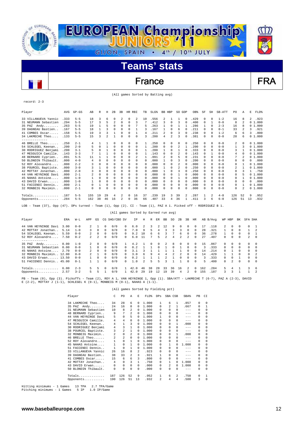

### France FRA

(All games Sorted by Batting avg)

record: 2-3

| Player               | AVG   | $GP - GS$ | AB       | R        | Н        | 2B       | 3B             | HR RBI      |          | TB           | $SLG$ $%$ | BB HBP |                          | SO.      | GDP            | OB <sup>8</sup> | SF           | SH       | SB-ATT  | PO. | Α        | E<br>FLD%  |
|----------------------|-------|-----------|----------|----------|----------|----------|----------------|-------------|----------|--------------|-----------|--------|--------------------------|----------|----------------|-----------------|--------------|----------|---------|-----|----------|------------|
| 33 VILLANUEVA Yannic | .333  | $5 - 5$   | 18       | 3        | 6        | n        | 2              | 0           | 2        | 10           | .556      | 2      |                          |          | $\Omega$       | .429            | 0            | $\Omega$ | $1 - 2$ | 16  | 8        | .923<br>2  |
| 31 NEUMANN Sebastien | .294  | $5 - 5$   | 17       | 3        | 5        | 2        | 0              | 0           | 3        |              | .412      |        | 0                        | 3        | $\Omega$       | .400            | 0            |          | $0 - 0$ | 8   | 2        | 01.000     |
| Andy<br>35 PAZ       | .263  | $5 - 5$   | 19       |          | 5        | $\Omega$ | $\Omega$       | $\Omega$    |          | 5            | .263      |        | $\Omega$                 |          |                | .286            |              | $\Omega$ | $2 - 3$ | 16  | 8        | 01.000     |
| 39 DAGNEAU Bastien.  | .167  | $5 - 5$   | 18       |          |          | $\Omega$ | 0              | $\mathbf 0$ |          | 3            | .167      |        | $\Omega$                 | 6        | 0              | .211            | $\Omega$     | $\Omega$ | $0 - 1$ | 33  | 2        | .921<br>3  |
| 41 COMBES Oscar      | .158  | $5 - 5$   | 19       | 3        |          |          |                | 0           |          | 4            | .211      | 2      | $^{\circ}$               | 3        | $\Omega$       | .238            | $\Omega$     | $\Omega$ | $1 - 2$ | 6   | 6        | .800<br>3  |
| 34 LAKMECHE Theo     | .133  | $5 - 5$   | 15       | 3        | 2        |          | 0              | $\Omega$    | 0        | 3            | .200      | 4      | $\overline{\mathcal{L}}$ | 3        | $\Omega$       | .381            | $\Omega$     | $\Omega$ | $0 - 0$ | 28  | 6        | 01.000     |
|                      |       |           |          |          |          |          |                |             |          |              |           |        |                          |          |                |                 |              |          |         |     |          |            |
| 46 BRELLE Theo       | .250  | $2 - 1$   | 4        |          |          | $\Omega$ | $\Omega$       | 0           | 0        |              | 250       | 0      | 0                        | 0        | $\Omega$       | .250            | $\Omega$     | $\Omega$ | $0 - 0$ | 2   | $\Omega$ | 01.000     |
| 54 SCHLEGEL Keenan.  | .200  | $2 - 0$   |          | 0        |          | $\Omega$ |                | 0           | 0        |              | .200      | 0      | $\Omega$                 | 2        |                | .200            | 0            | $\Omega$ | $0 - 0$ |     | 3        | 01.000     |
| 30 RODRIGUEZ Benjami | .200  | $3 - 1$   |          | n        |          | $\Omega$ | 0              | $\Omega$    | 0        |              | .200      |        | n                        |          |                | .333            | 0            | $\Omega$ | $0 - 0$ | 3   | 1        | 01.000     |
| 47 MESGUICH Camille  | .143  | $3 - 3$   |          |          |          | $\Omega$ |                | 0           | 0        |              | .143      |        | $\Omega$                 |          | $\Omega$       | .143            | $\Omega$     |          | $0 - 0$ | 4   | 0        | 01.000     |
| 48 BERNARD Cyprien.  | .091  | $5 - 5$   | 11       |          |          | $\Omega$ |                | $\mathbf 0$ | 2        |              | .091      | 2      | $\Omega$                 | 5        | n              | .231            | 0            | $\Omega$ | $0 - 0$ | 7   | 2        | 01.000     |
| 50 BLONDIN Thibault  | .000  | $4 - 0$   |          | $\Omega$ | 0        | $\Omega$ | 0              | 0           | $\Omega$ | 0            | .000      |        | 0                        | 3        | n              | .200            | 0            | $\Omega$ | $0 - 0$ | 0   | 0        | .000<br>0  |
| 52 ROY Alexandre     | . 000 | $2 - 2$   |          | n        | $\Omega$ | $\Omega$ | 0              | $\Omega$    | 0        | 0            | .000      | 0      | $\Omega$                 |          | n              | . 000           | $\Omega$     | $\Omega$ | $0 - 0$ | 0   | 1        | 01.000     |
| 38 POURCEL Baptiste  | .000  | $3 - 0$   |          |          | $\Omega$ | $\Omega$ | 0              | $\circ$     | 0        | $\Omega$     | .000      |        | $\Omega$                 | 2        | $\Omega$       | .250            | $\Omega$     | $\Omega$ | $0 - 0$ | 2   | -1       | 01.000     |
| 42 MOTTAY Jonathan.  | .000  | $2 - 0$   |          | $\Omega$ | $\Omega$ | $\Omega$ | 0              | 0           | 0        | 0            | .000      |        | $\Omega$                 |          |                | .250            | 0            | n        | $0 - 0$ | 0   | ٦        | .750       |
| 44 VAN HEYNINGE Davi | .000  | $2 - 1$   |          | n        | $\Omega$ | $\Omega$ | 0              | 0           | $\Omega$ | $\Omega$     | .000      | 0      | $\Omega$                 |          |                | .000            | $\Omega$     | $\Omega$ | $0 - 0$ | 0   | 5        | 01.000     |
| 45 NAHAS Antoine     | .000  | $1 - 0$   |          | n        | $\Omega$ | $\Omega$ |                | $\mathbf 0$ | 0        | 0            | .000      |        | $\Omega$                 |          |                | .000            | $\Omega$     | $\Omega$ | $0 - 0$ | 0   |          | 01.000     |
| 43 DAVID Erwan       | .000  | $1 - 0$   |          | n        | $\Omega$ | $\Omega$ | 0              | $\circ$     | 0        | $\Omega$     | .000      | 0      | 0                        | 0        | n              | .000            | 0            | $\Omega$ | $0 - 0$ | 0   | 0        | .000<br>0  |
| 51 FACCENDI Dennis.  | .000  | $2 - 1$   | $\Omega$ |          | $\Omega$ | $\Omega$ | 0              | 0           | 0        | $\Omega$     | .000      | 0      | $^{\circ}$               | $\Omega$ | $\Omega$       | .000            | $\Omega$     | $\Omega$ | $0 - 0$ | 0   | 1        | 01.000     |
| 32 MONBEIG Maximin.  | .000  | $2 - 1$   | $\Omega$ | n        | $\Omega$ | $\Omega$ |                | $\Omega$    | 0        | <sup>n</sup> | .000      | U.     | $\Omega$                 | U        |                | .000            | <sup>0</sup> | $\Omega$ | $0 - 0$ | 0   | 2        | 01.000     |
| Totals               | .187  | $5 - 5$   | 155      | 19       | 29       | 4        | 2.             | $\Omega$    | 16       | 37           | .239      | 19     | 3                        | 39       | $\mathfrak{D}$ | .287            | 1            | 2        | $4 - 8$ | 126 | 52       | 9<br>.952  |
| Opponents            | .284  | $5 - 5$   | 162      | 38       | 46       | 16       | $\mathfrak{D}$ | $\Omega$    | 36       | 66           | .407      | 33     | 4                        | 36       |                | .411            | ς            | 6        | $6 - 8$ | 126 | 51       | .932<br>13 |

LOB - Team (37), Opp (47). DPs turned - Team (1), Opp (2). CI - Team (1), PAZ A 1. Picked off - RODRIGUEZ B 1.

|  | (All games Sorted by Earned run avg) |  |  |  |
|--|--------------------------------------|--|--|--|
|  |                                      |  |  |  |

| Player               | ERA   | $W-L$   | APP          | GS       | CG SHO/CBO SV |              | IP.  | Н  | R  | ER. | BB | SO. | 2B             | 3B           | HR           |     | AB B/Avq | WP HBP               |          | BK         | SFA SHA  |                |
|----------------------|-------|---------|--------------|----------|---------------|--------------|------|----|----|-----|----|-----|----------------|--------------|--------------|-----|----------|----------------------|----------|------------|----------|----------------|
| 44 VAN HEYNINGE Davi | 3.00  | $0 - 0$ | 2            |          | 0/0           | 0            | 6.0  |    | 3  |     | 12 | 9.  | 0              |              | 0            | 17  | .118     | $\mathbf{2}^{\circ}$ | $\Omega$ | $^{\circ}$ | 0        |                |
| 42 MOTTAY Jonathan   | 5.14  | $1 - 0$ | 3.           | $\Omega$ | 0/0           |              | 7.0  | 9  | ь  |     |    |     | 3              | $\Omega$     | 0            | 2.8 | .321     |                      | 0        | $\cap$     |          | $\overline{2}$ |
| 54 SCHLEGEL Keenan   | 5.59  | $0 - 0$ | 2            | $\Omega$ | 0/0           | 0            | 9.2  | 10 | б. | 6.  |    |     | 6              |              | 0            | 36  | .278     |                      | 0        |            | 0        |                |
| 52 ROY Alexandre     | 7.50  | $0 - 2$ | 2.           |          | 0/0           | 0            | 6.0  |    |    | ъ.  |    | 4   | 2              | 2            | 0            | 27  | .407     | $\Omega$             | 0        | $\Omega$   | 2        | $\overline{0}$ |
| -----------          |       |         |              |          |               |              |      |    |    |     |    |     |                |              |              |     |          |                      |          |            |          |                |
| 35 PAZ<br>Andy       | 0.00  | $1 - 0$ | 2.           | $\Omega$ | 0/0           |              | 4.2  |    |    |     |    | 8   | 0              |              | 0            | 15  | .067     | $\cap$               | 0        |            |          | $\Omega$       |
| 31 NEUMANN Sebastien | 0.00  | $0 - 0$ |              | $\Omega$ | 0/0           | 0            | 0.2  |    |    |     |    | 0   |                | <sup>n</sup> | 0            |     | .333     | $\Omega$             | 0        | $\cap$     | 0        | $\Omega$       |
| 45 NAHAS Antoine     | 2.70  | $0 - 0$ | 2.           | $\Omega$ | 0/0           |              | 3.1  |    |    |     |    |     |                |              | 0            | 14  | .214     | 0                    |          | $^{\circ}$ | $\Omega$ | $\Omega$       |
| 32 MONBEIG Maximin   | 12.00 | $0 - 0$ | $\mathbf{2}$ |          | 0/0           | 0.           | 3.0  | 6  | a  |     |    |     | $\mathfrak{D}$ | <sup>n</sup> | 0            | 14  | .429     |                      |          | $\cap$     | $\Omega$ | $\overline{2}$ |
| 43 DAVID Erwan 13.50 |       | $0 - 0$ |              | $\Omega$ | 0/0           | <sup>n</sup> | 0.2  |    |    |     |    |     | <sup>n</sup>   | <sup>n</sup> | <sup>n</sup> |     | 333      | $\cap$               | $\Omega$ |            | $\cap$   | $\Omega$       |
| 51 FACCENDI Dennis   | 45.00 | $0 - 1$ |              |          | 0/0           | 0            | 1.0  |    | Б. |     |    |     |                | <sup>n</sup> | $\Omega$     | 5.  | 400      | $\Omega$             | 2        | $\Omega$   | 0        | $\Omega$       |
| Totals               | 6.00  | $2 - 3$ | 5.           | ь        | 0/0           |              | 42.0 | 46 | 38 | 28  | 33 | 36  | 16             |              | 0            | 162 | .284     | 5.                   | 4        |            | 3        | -6             |
| Opponents            | 2.57  | $3 - 2$ | 5.           |          | 0/0           |              | 42.0 | 29 | 19 | 12  | 19 | 39  | 4              |              |              | 155 | .187     | 3                    |          |            |          | $\mathfrak{D}$ |

PB - Team (0), Opp (3). Pickoffs - Team (2), ROY A 1, VAN HEYNINGE 1, Opp (1). SBA/ATT - LAKMECHE T (6-7), PAZ A (2-3), DAVID<br>E (2-2), MOTTAY J (1-1), SCHLEGEL K (0-1), MONBEIG M (0-1), NAHAS A (1-1).

|                         |               |                |                |          | (All games Sorted by Fielding pct) |              |          |              |         |          |            |
|-------------------------|---------------|----------------|----------------|----------|------------------------------------|--------------|----------|--------------|---------|----------|------------|
| Player                  | $\mathcal{C}$ | P <sub>0</sub> | A              | E.       | FLD%                               | DPs          | SBA CSB  |              | SBA%    | PB       | CI         |
| 34 LAKMECHE Theo        | 34            | 28             | 6              | 0        | 1,000                              | 1            | 6        | $\mathbf{1}$ | .857    | 0        | $\Omega$   |
| $35$ PAZ Andy           | 24            | 16             | 8              | 0        | 1,000                              | 0            |          | 1.           | .667    | 0        | 1          |
| 31 NEUMANN Sebastien    | 10            | 8              | 2              | 0        | 1,000                              | $\Omega$     | $\Omega$ | $\Omega$     | $---$   | 0        | 0          |
| 48 BERNARD Cyprien      | 9             | 7              | 2              | $\Omega$ | 1,000                              | 0            | $\Omega$ | 0            | $-- -$  | 0        | $\Omega$   |
| 44 VAN HEYNINGE Davi    | 5             | $\Omega$       | 5              | 0        | 1,000                              | 1            | 0        | 0            | $-- -$  | $\Omega$ | $\Omega$   |
| MESGUICH Camille.<br>47 | 4             | 4              | $\mathbf 0$    | 0        | 1.000                              | 0            | 0        | 0            | $- - -$ | $\Omega$ | $\Omega$   |
| 54 SCHLEGEL Keenan      | 4             | 1              | 3              | 0        | 1,000                              | 0            | $\Omega$ | 1            | .000    | 0        | 0          |
| 30 RODRIGUEZ Benjami    | 4             | 3              | $\mathbf{1}$   | 0        | 1,000                              | 0            | 0        | 0            | $-- -$  | 0        | 0          |
| 38 POURCEL Baptiste.    | 3             | 2              | $\mathbf{1}$   | 0        | 1,000                              | <sup>n</sup> | 0        | 0            | $---$   | $\Omega$ | $\Omega$   |
| 32 MONBEIG Maximin      | 2             | 0              | 2              | 0        | 1,000                              | 0            | 0        | 1            | .000    | 0        | $^{\circ}$ |
| 46 BRELLE Theo          | 2             | $\mathfrak{D}$ | 0              | 0        | 1,000                              | 0            | $\Omega$ | 0            | $-- -$  | 0        | $\Omega$   |
| 52 ROY Alexandre        | $\mathbf{1}$  | 0              | $\mathbf{1}$   | 0        | 1,000                              | 0            | 0        | 0            | $- - -$ | 0        | 0          |
| 45 NAHAS Antoine        | 1             | $\Omega$       | $\mathbf{1}$   | $\Omega$ | 1,000                              | 0            | 1        | 0            | 1,000   | $\Omega$ | $\Omega$   |
| FACCENDI Dennis<br>51.  | 1             | 0              | $\mathbf{1}$   | 0        | 1,000                              | 0            | 0        | 0            | $-- -$  | $\Omega$ | 0          |
| 33 VILLANUEVA Yannic    | 26            | 16             | 8              | 2        | .923                               | 0            | 0        | 0            | $-- -$  | $\Omega$ | 0          |
| 39 DAGNEAU Bastien      | 38            | 33             | $\mathfrak{D}$ | 3        | .921                               |              | 0        | 0            | $- - -$ | $\Omega$ | $\Omega$   |
| 41 COMBES Oscar         | 15            | 6              | 6              | 3        | .800                               | 0            | 0        | 0            | $- - -$ | $\Omega$ | $\Omega$   |
| 42 MOTTAY Jonathan      | 4             | 0              | 3              | 1        | .750                               | 0            | 1        | 0            | 1,000   | 0        | 0          |
| 43 DAVID Erwan          | 0             | $\Omega$       | $\Omega$       | 0        | .000                               | $\Omega$     | 2        | 0            | 1,000   | $\Omega$ | 0          |
| 50 BLONDIN Thibault.    | 0             | 0              | $\Omega$       | 0        | .000                               | 0            | 0        | $\Omega$     | $- - -$ | 0        | $\Omega$   |
| Totals                  | 187           | 126            | 52             | 9        | .952                               | 1            | 6        | 2            | .750    | 0        | 1          |
| Opponents               | 190           | 126            | 51             | 13       | .932                               | 2            | 4        | 4            | .500    | 3        | 0          |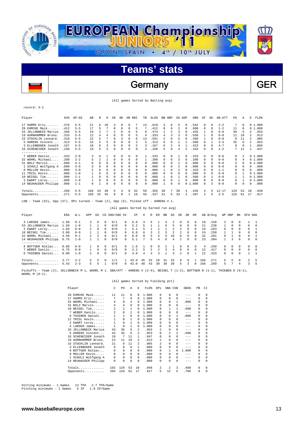

### Germany GER

(All games Sorted by Batting avg)

record: 3-2

| <b>AVG</b><br>Player         | $GP - GS$ | AB  | R        | Н  | 2B       | 3B | HR       | RBI | TB | $SLG$ $%$ | BB HBP |                | SO. | GDP      | OB%                    | SF       | SH       | SB-ATT    | PO.      | Α        | E   | FLD%   |
|------------------------------|-----------|-----|----------|----|----------|----|----------|-----|----|-----------|--------|----------------|-----|----------|------------------------|----------|----------|-----------|----------|----------|-----|--------|
| 17 HARMS Eric<br>.476        | $5 - 5$   | 21  | 6        | 10 |          | 0  | $\Omega$ | 7   | 13 | .619      | 3      | $\Omega$       | 5   | $\Omega$ | .542                   | $\Omega$ | $\Omega$ | $2 - 2$   | 7        | $\Omega$ |     | 01.000 |
| 28 EHMCKE Maik<br>.412       | $5 - 5$   | 17  | 5        |    | $\Omega$ | 0  | $\Omega$ | 5   |    | .412      | 8      | 0              | 2   |          | .600                   | 0        | $\Omega$ | $1 - 2$   | 11       | $\Omega$ |     | 01.000 |
| 33 JELLONNECK Marius<br>.368 | $5 - 5$   | 19  | 2        |    | 2        | 0  | $\Omega$ | 5   | 9  | 474       |        | $\mathfrak{D}$ | 3   |          | .435                   |          | $\Omega$ | $0 - 0$   | 36       | 5        |     | .953   |
| 19 AURNHAMMER Bruno.<br>.333 | $5 - 5$   | 12  | 4        | 4  |          | 0  | $\Omega$ | 5   | 4  | .333      | 4      |                |     |          | .550                   |          | $\Omega$ | $0 - 0$   | 11       | 10       |     | .913   |
| 15 STOCKLIN Lennard<br>.318  | $5 - 5$   | 22  | 5        |    | $\Omega$ | 3  | $\Omega$ | 6   | 13 | .591      | 2      |                | 5   |          | .360                   |          | $\Omega$ | $0 - 0$   | 8        | 11       |     | .905   |
| 5 AHRENS Vincent.<br>.313    | $5 - 5$   | 16  | 5        | 5  | $\Omega$ | 0  | $\Omega$ | 2   | 5  | .313      | 6      |                |     |          | .500                   | 0        |          | $3 - 3$   | 35       | 6        |     | .953   |
| .167<br>3 ELLENBOGEN Jonath  | $5 - 5$   | 18  | 8        |    | $\Omega$ | 0  | $\Omega$ |     | 3  | .167      | 6      |                | 4   |          | .423                   | 0        | $\Omega$ | $4 - 7$   | 8        | $\Omega$ |     | .889   |
| .158<br>16 SCHENEIDER Jonath | $5 - 5$   | 19  | 5        | ς  | $\Omega$ | 0  | $\Omega$ | 0   | 3  | .158      | 5      |                | 4   |          | .333                   | 0        | $\Omega$ | $1 - 2$   |          | 11       |     | .947   |
| -------------                |           |     |          |    |          |    |          |     |    |           |        |                |     |          |                        |          |          |           |          |          |     |        |
| 7 WEBER Danilo.<br>.333<br>. | $2 - 0$   | 3   | $\Omega$ |    | $\Omega$ | 0  | $\Omega$ | 0   |    | 333       | 0      | 0              |     | U        | .333                   | 0        | $\Omega$ | $0 - 0$   | $\Omega$ |          |     | 01.000 |
| 32 WOHRL Michael.<br>.200    | $2 - 2$   | 5   | 2        |    |          | 0  | 0        | 0   |    | 200       | 0      | 0              | 3   |          | .200                   | $\Omega$ | $\Omega$ | $0 - 0$   | $\Omega$ | 4        |     | 01.000 |
| .000<br>31 BOLZ Marvin       | $4 - 1$   | 6   | n        |    |          | 0  | 0        | 0   | 0  | .000      | 0      |                |     |          | .000                   | 0        | $\Omega$ | $0 - 0$   | 4        | $\Omega$ |     | 01.000 |
| 1 SCHULZ Wolfgang A<br>.000  | $3 - 0$   |     | $\Omega$ |    |          | U  | 0        | 0   | 0  | .000      | 0      |                |     |          | .000                   | 0        | $\Omega$ | $0 - 0$   | 0        | $\Omega$ | 0   | .000   |
| 8 MOLLER Kevin<br>.000       | $3 - 0$   |     | $\Omega$ | 0  | $\Omega$ | 0  | 0        | 0   | 0  | .000      |        | 0              |     |          | .333                   | 0        | $\Omega$ | $1 - 1$   | 0        | $\Omega$ | 0   | .000   |
| 11 TRISL Kevin<br>.000       | $1 - 0$   |     | 0        | 0  | 0        | 0  | 0        | 0   | 0  | .000      | 0      | 0              |     |          | .000                   | 0        | $\Omega$ | $0 - 0$   | 0        |          |     | 01.000 |
| .000<br>$10$ BEIGEL Tim      | $1 - 1$   |     | $\Omega$ | 0  | 0        | 0  | 0        | 0   | 0  | .000      |        |                |     |          | .500                   |          |          | $0 - 0$   |          |          |     | 01.000 |
| .000<br>2 EWART Leroy        | $1 - 0$   |     | $\Omega$ | U  |          | U  | O        | 0   | 0  | .000      | 0      |                |     |          | .000                   | 0        | $\Omega$ | $0 - 0$   | 0        |          |     | 01.000 |
| 14 NEUHAUSER Philipp<br>.000 | $1 - 1$   | 0   |          | 0  | $\Omega$ | 0  | $\Omega$ | 0   | 0  | .000      |        |                | 0   |          | .000<br>0 <sub>1</sub> | $\Omega$ | 3        | $0 - 0$   | 0        | 0        | 0   | .000   |
| .289<br>$Totals$             | $5 - 5$   | 166 | 43       | 48 | 5        | 3  | $\Omega$ | 32  | 59 | . 355     | 38     |                | 38  | 4        | .435                   | 3        | 5        | $12 - 17$ | 129      | 53       | 1 O | .948   |
| .271<br>Opponents            | $5 - 5$   | 166 | 25       | 45 | 8        | 0  |          | 19  | 56 | .337      | 31     | 5              | 33  |          | .397                   | 2        | 5        | $2 - 5$   | 126      | 61       | 17  | .917   |

LOB - Team (52), Opp (57). DPs turned - Team (2), Opp (5). Picked off - AHRENS V 1.

|                           |      |         |                |               |          |               |          | (All games Sorted by Earned run avg) |    |               |          |    |    |                |          |          |     |          |              |            |          |               |                |
|---------------------------|------|---------|----------------|---------------|----------|---------------|----------|--------------------------------------|----|---------------|----------|----|----|----------------|----------|----------|-----|----------|--------------|------------|----------|---------------|----------------|
| Player                    | ERA  | $W-L$   | APP            | GS            |          | CG SHO/CBO SV |          | ΙP                                   | Н  | R.            | ER.      | BB | SO | 2B             | 3B       | HR.      |     | AB B/Avq | WP HBP       |            | BK       | SFA SHA       |                |
| 4 LARSEN James            | 1.50 | $0 - 1$ | $\mathcal{R}$  | 0             | 0        | 0/1           | 0        | 6.0                                  | 3  | 5.            |          | 4  | 2. | 0              | 0        | $\Omega$ | 19  | .158     | $\mathbf{2}$ | $^{\circ}$ |          |               | $\mathbf{1}$   |
| 33 JELLONNECK Marius      | 1.59 | $1 - 0$ |                |               | $\Omega$ | 0/0           | $\cap$   | 5.2                                  | 5. |               |          | 6  | Б. | $\Omega$       | $\cap$   | $\Omega$ | 21  | .238     | $\mathbf{1}$ | $\Omega$   | $\Omega$ | $\Omega$      | $\Omega$       |
| 2 EWART Leroy             | 1.69 | $0 - 0$ | $\overline{a}$ | 0             | 0        | 0/0           |          | 5.1                                  |    |               |          |    |    | 2              | $\Omega$ | $\Omega$ | 19  | .263     | $\Omega$     | $\Omega$   | $\Omega$ | $\Omega$      | - 1            |
| 10 BEIGEL Tim             | 3.00 | $0 - 0$ |                |               | $\Omega$ | 0/0           | $\Omega$ | 6.0                                  | 6  |               |          |    |    | $\mathcal{L}$  | $\Omega$ | $\Omega$ | 2.4 | .250     |              |            | $\Omega$ | $\Omega$      | $\Omega$       |
| 32 WOHRL Michael          | 4.50 | $0 - 1$ | $\overline{2}$ | $\mathcal{L}$ | $\Omega$ | 0/1           | $\cap$   | 8.0                                  | q  | 5.            | 4        | 5  | 10 | $\Omega$       | $\Omega$ | $\Omega$ | 32  | .281     | $\cap$       |            | $\Omega$ | $\Omega$      | $\overline{2}$ |
| 14 NEUHAUSER Philipp 6.75 |      | $1 - 0$ |                |               | 0        | 0/0           | $\cap$   | 5.1                                  |    |               |          | 6  | 4  | $\mathcal{L}$  | $\Omega$ | $\Omega$ | 23  | .304     |              | 3          | $\Omega$ | $\Omega$      | $\Omega$       |
| .                         |      |         |                |               |          |               |          |                                      |    |               |          |    |    |                |          |          |     |          |              |            |          |               |                |
| 9 BOTTGER Niklas          | 0.00 | $0 - 0$ |                | 0             | $\Omega$ | 0/1           | $\cap$   | 1.0                                  |    | 0             | $\Omega$ |    |    | $\Omega$       | $\Omega$ | $\Omega$ | 4   | .250     | $\Omega$     | 0          | $\Omega$ | $\Omega$      | $\Omega$       |
| 7 WEBER Danilo            | 6.75 | $0 - 0$ |                | 0             | $\Omega$ | 0/0           | $\Omega$ | 2.2                                  | 5  | $\mathcal{L}$ |          |    |    | $^{\circ}$     | $\Omega$ | $\Omega$ | 12  | .417     | $\Omega$     | $\Omega$   | $\Omega$ | 0             | $\overline{0}$ |
| 6 THIEBEN Daniel          | 9.00 | $1 - 0$ | $2^{\circ}$    | $\Omega$      | $\Omega$ | 0/1           | $\cap$   | 3.0                                  |    |               |          |    |    | $\mathfrak{D}$ | $\Omega$ |          | 12. | .333     | 0            | $\Omega$   | $\Omega$ |               | $\overline{1}$ |
| Totals                    | 3.77 | $3 - 2$ | 5.             | 5.            | 0        | 1/1           |          | 43.0                                 | 45 | 25            | 18       | 31 | 33 | 8              | 0        |          | 166 | .271     | 5.           | 5.         | $\Omega$ | $\mathcal{L}$ | -5             |
| Opponents $6.43$          |      | $2 - 3$ | 5.             | 5             |          | 0/0           | $\Omega$ | 42.0                                 | 48 | 43            | 30       | 38 | 38 | 5              | 3        | $\Omega$ | 166 | .289     | 5.           |            | 4        | 3             | $-5$           |
|                           |      |         |                |               |          |               |          |                                      |    |               |          |    |    |                |          |          |     |          |              |            |          |               |                |

Pickoffs - Team (2), JELLONNECK M 1, WOHRL M 1. SBA/ATT - AHRENS V (2-4), BEIGEL T (1-2), BOTTGER N (1-1), THIEBEN D (0-1), WOHRL M (0-1).

|  |  |  |  |  | (All games Sorted by Fielding pct) |  |  |
|--|--|--|--|--|------------------------------------|--|--|
|--|--|--|--|--|------------------------------------|--|--|

|    | Player               | C              | P <sub>0</sub> | Α            | E.       | FLD%  | DPs          | SBA CSB        |                | SBA%    | PB       | CI       |
|----|----------------------|----------------|----------------|--------------|----------|-------|--------------|----------------|----------------|---------|----------|----------|
| 28 | EHMCKE Maik          | 11             | 11             | 0            | 0        | 1,000 | 0            | 0              | 0              | $--$    | $\Omega$ | 0        |
| 17 | HARMS Eric           | 7              | 7              | $\Omega$     | $\Omega$ | 1.000 | 0            | 0              | $\Omega$       | $- - -$ | $\Omega$ | $\Omega$ |
| 32 | WOHRL Michael        | 4              | 0              | 4            | 0        | 1.000 | 0            | 0              | 1              | .000    | 0        | 0        |
| 31 | BOLZ Marvin          | 4              | 4              | 0            | 0        | 1,000 | 0            | 0              | 0              | $---$   | $\Omega$ | $\Omega$ |
|    | 10 BEIGEL Tim        | $\mathfrak{D}$ | 1              | 1            | 0        | 1,000 | $\Omega$     |                | 1              | .500    | 0        | $\Omega$ |
|    | 7 WEBER Danilo       | $\mathfrak{D}$ | 0              | 2            | 0        | 1,000 | <sup>n</sup> | <sup>n</sup>   | 0              | $-- -$  | $\Omega$ | $\Omega$ |
| 6  | THIEBEN Daniel       | 1              | $\mathbf{1}$   | $\Omega$     | 0        | 1,000 | $\Omega$     | 0              | 1              | .000    | 0        | $\Omega$ |
| 11 | TRISL Kevin          | 1              | 0              | 1            | 0        | 1,000 | 0            | 0              | 0              | $-- -$  | $\Omega$ | $\Omega$ |
| 2  | EWART Leroy          | 1              | 0              | 1            | $\Omega$ | 1,000 | $\Omega$     | 0              | 0              | $--$    | $\Omega$ | $\Omega$ |
|    | 4 LARSEN James       | 1              | $\Omega$       | $\mathbf{1}$ | $\Omega$ | 1,000 | $\Omega$     | 0              | 0              | $- - -$ | $\Omega$ | $\Omega$ |
|    | 33 JELLONNECK Marius | 43             | 36             | 5            | 2        | .953  | 2            | 0              | 0              | $- - -$ | $\Omega$ | $\Omega$ |
| 5  | AHRENS Vincent       | 43             | 35             | 6            | 2        | .953  | 0            | $\mathfrak{D}$ | $\mathfrak{D}$ | .500    | $\Omega$ | $\Omega$ |
| 16 | SCHENEIDER Jonath    | 19             | 7              | 11           | 1        | .947  | $\Omega$     | 0              | 0              | $-- -$  | $\Omega$ | 0        |
| 19 | AURNHAMMER Bruno.    | 23             | 11             | 10           | 2        | .913  | 1            | 0              | 0              | $- - -$ | $\Omega$ | $\Omega$ |
| 15 | STOCKLIN Lennard.    | 21             | 8              | 11           | 2        | .905  | 2            | 0              | 0              | $- - -$ | $\Omega$ | $\Omega$ |
| 3. | ELLENBOGEN Jonath    | 9              | 8              | $\Omega$     | 1        | .889  | 0            | 0              | 0              | $- - -$ | 0        | $\Omega$ |
|    | 9 BOTTGER Niklas     | 0              | 0              | $\Omega$     | 0        | .000  | 0            | 1              | <sup>0</sup>   | 1,000   | $\Omega$ | $\Omega$ |
|    | 8 MOLLER Kevin       | 0              | 0              | $\Omega$     | $\Omega$ | .000  | <sup>n</sup> | 0              | <sup>0</sup>   | $- - -$ | $\Omega$ | $\Omega$ |
|    | 1 SCHULZ Wolfgang A  | 0              | 0              | $\Omega$     | 0        | .000  | 0            | 0              | 0              | $- - -$ | 0        | $\Omega$ |
|    | 14 NEUHAUSER Philipp | 0              | 0              | $\Omega$     | $\Omega$ | .000  | $\Omega$     | 0              | $\Omega$       | $- - -$ | $\Omega$ | $\Omega$ |
|    | Totals               | 192            | 129            | 53           | 10       | .948  | 2            | 2              | 3              | .400    | $\Omega$ | $\Omega$ |
|    | Opponents            | 204            | 126            | 61           | 17       | .917  | 5            | 12             | 5              | .706    | 0        | 0        |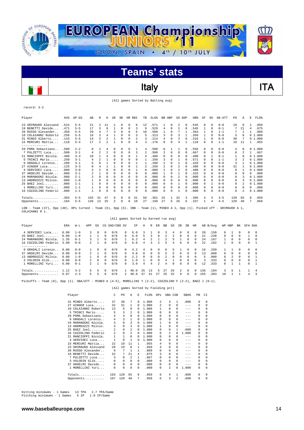

### Italy **ITA**

(All games Sorted by Batting avg)

record: 3-2

| Player                                                                                                                    | AVG   | $GP - GS$ | AB             | R                        | Η              | 2B           | 3B       |            | HR RBI | TB       | SLG <sup>§</sup> | <b>BB</b>      | HBP      | SO.      | GDP      | OB%  | SF       | SH       | SB-ATT  | PO.      | Α        | E        | FLD%   |
|---------------------------------------------------------------------------------------------------------------------------|-------|-----------|----------------|--------------------------|----------------|--------------|----------|------------|--------|----------|------------------|----------------|----------|----------|----------|------|----------|----------|---------|----------|----------|----------|--------|
| 23 GRIMAUDO Alessand                                                                                                      | .524  | $5 - 5$   | 21             | 2                        | 11             |              | 0        | 0          | 6      | 12       | .571             |                | 0        | 2        | 0        | .545 | 0        | $\Omega$ | $0 - 0$ | 19       | $\Omega$ |          | .950   |
| 19 BENETTI Davide                                                                                                         | .471  | $5 - 5$   | 17             | 3                        | 8              | $\mathbf{1}$ | 0        | $\Omega$   | 3      | 9        | .529             | 4              | 0        | 2        | $\Omega$ | .545 | 1        | $\Omega$ | $0 - 1$ |          | 21       | 4        | .875   |
| 20 RUSSO Alexander.                                                                                                       | .350  | $5 - 5$   | 20             | 4                        |                | 3            | 0        | $\Omega$   | 5      | 10       | .500             |                | $\Omega$ |          |          | .364 | 1        | 0        | $1 - 1$ |          |          |          | .889   |
| 10 COLAIANNI Roberto                                                                                                      | .250  | $5 - 5$   | 16             | 3                        | 4              |              | 0        | $\Omega$   | 3      | 5        | .313             | 3              | $\Omega$ | 3        |          | .350 | 1        | $\Omega$ | $0 - 0$ | 5        | 8        |          | 01.000 |
| 31 MINEO Alberto                                                                                                          | . 143 | $5 - 5$   | 14             | 3                        | 2              | 1            | 0        | 0          | 2      | 3        | .214             | 4              | $\Omega$ | 2        | $\Omega$ | .316 | 1        | $\Omega$ | $0 - 0$ | 30       |          |          | 01.000 |
| 15 MERCURI Mattia                                                                                                         | .118  | $5 - 4$   | 17             | $\overline{\mathcal{L}}$ | $\mathfrak{D}$ | $\mathbf{1}$ | 0        | $\Omega$   | 4      | 3        | .176             | 0              | $\Omega$ | 4        |          | .118 | $\Omega$ | $\Omega$ | $1 - 1$ | 10       | 11       |          | 1.955  |
| --------------                                                                                                            |       |           |                |                          |                |              |          |            |        |          |                  |                |          |          |          |      |          |          |         |          |          |          |        |
| 29 POMA Sebastiano.                                                                                                       | .500  | $2 - 2$   | 8              | $\overline{2}$           | 4              | 0            | 0        | 0          |        | 4        | .500             | $\Omega$       |          |          | $\Omega$ | .556 | 0        | $\Omega$ | $0 - 0$ | 4        | 0        |          | 01.000 |
| 7 PULZETTI Luca                                                                                                           | .500  | $3 - 1$   | 4              | $\mathfrak{D}$           | 2              | $\Omega$     | 0        | $\Omega$   | 3      | 2        | .500             | 2              | $\Omega$ | $\Omega$ | $\Omega$ | .667 | 0        | $\Omega$ | $0 - 0$ | $\Omega$ |          | 1.       | .667   |
| 21 MANCIOPPI Nicola                                                                                                       | .400  | $3 - 3$   | 10             |                          | $\overline{4}$ | $\Omega$     | 0        | $\Omega$   |        | 4        | .400             |                | $\Omega$ | $\Omega$ |          | .400 | 0        |          | $0 - 1$ |          | n        |          | 01.000 |
| 5 TRINCI Mario                                                                                                            | .250  | $3 - 1$   | 4              | $\overline{\mathcal{L}}$ |                | $\Omega$     |          | $\Omega$   | 0      |          | .250             |                | $\Omega$ |          | $\Omega$ | .571 | 0        | 0        | $1 - 1$ | 3        |          |          | 01.000 |
| 9 GRADALI Lorenzo.                                                                                                        | .200  | $3 - 1$   |                | n                        |                | $\Omega$     | 0        | $\Omega$   |        |          | .200             | $\mathfrak{D}$ | $\Omega$ |          | O        | .429 | 0        | 0        | $0 - 0$ | 3        |          |          | 01.000 |
| 27 AINGER Luca                                                                                                            | .125  | $3 - 3$   | 8              | $\overline{4}$           |                |              | 0        | $\Omega$   |        | 2        | .250             | 2              | 0        | 2        | $\Omega$ | .300 | $\Omega$ | 0        | $0 - 0$ | 31       |          |          | 01.000 |
| 4 SERVIDEI Luca                                                                                                           | .000  | $3 - 0$   |                | $\overline{2}$           |                | 0            |          | $\Omega$   |        | 0        | .000             |                | 0        | 2        | $\Omega$ | .400 | 0        | $\Omega$ | $0 - 0$ | $\Omega$ |          |          | 01.000 |
| 37 ANSELMI Davide                                                                                                         | .000  | $3 - 1$   |                |                          | 0              | 0            | 0        | $\Omega$   | 0      | 0        | .000             |                | $\Omega$ |          |          | .333 | 0        | 0        | $0 - 0$ | 0        | n        | 0        | .000   |
| 24 MARANGONI Nicola                                                                                                       | .000  | $2 - 1$   | $\mathfrak{D}$ | $\Omega$                 | $\Omega$       | $\Omega$     | 0        | $\Omega$   | 0      | $\Omega$ | .000             | n              | $\Omega$ | 2        | $\Omega$ | .000 | $\Omega$ | $\Omega$ | $0 - 0$ | $\Omega$ | 3        |          | 01.000 |
| 13 ANDREOZZI Milvio.                                                                                                      | .000  | $1 - 0$   |                | $\Omega$                 |                | $\Omega$     |          | $\Omega$   | 0      | 0        | .000             |                | $\Omega$ | n        | $\Omega$ | .000 | 0        | $\Omega$ | $0 - 0$ | 0        |          |          | 01.000 |
| $25$ BAEZ Joel                                                                                                            | . 000 | $1 - 1$   |                | $\Omega$                 | $\Omega$       | $\Omega$     | 0        | $\Omega$   | 0      | $\Omega$ | .000             | 0              | $\Omega$ |          |          | .000 | 0        | 2        | $0 - 0$ | $\Omega$ |          |          | 01.000 |
| 1 MORELLINI Yuri                                                                                                          | .000  | $1 - 1$   |                | $\Omega$                 | $\Omega$       | 0            | 0        | 0          | 0      | $\Omega$ | .000             | 0              | 0        | 0        | $\Omega$ | .000 | 0        | $\Omega$ | $0 - 0$ | $\Omega$ | $\Omega$ | $\Omega$ | .000   |
| 16 COZZOLINO Federic                                                                                                      | .000  | $1 - 1$   |                | $\Omega$                 | $\Omega$       | $\Omega$     | 0        | $\Omega$   | 0      | 0        | .000             | 0              | $\Omega$ |          | $\Omega$ | .000 | $\Omega$ | $\Omega$ | $0 - 0$ | 0        | 2        |          | 01.000 |
|                                                                                                                           | .303  | $5 - 5$   | 155            | 31                       | 47             | 9            | $\Omega$ | $\Omega$   | 31     | 56       | .361             | 25             |          | 32       | 3        | .395 | 4        | 3        | $3 - 5$ | 120      | 65       | 8        | .959   |
| Opponents                                                                                                                 | .184  | $5 - 5$   | 136            | 13                       | 25             | 2            | $\Omega$ | $^{\circ}$ | 10     | 27       | .199             | 27             | 5        | 26       | 6        | .337 | 1        | 4        | $4 - 5$ | 120      | 40       | 7        | .958   |
| LOB - Team (37), Opp (40). DPs turned - Team (6), Opp (6). IBB - Team (1), MINEO A 1, Opp (1). Picked off - GRIMAUDO A 1, |       |           |                |                          |                |              |          |            |        |          |                  |                |          |          |          |      |          |          |         |          |          |          |        |

COLAIANNI P 1 (All games Sorted by Earned run avg)

| Player               | ERA  | $W-L$   | APP            | GS       |          | CG SHO/CBO SV |            | ΙP   | Η        | R  | ER.            | BB           | SO. | 2B            | 3B           | HR         |     | AB B/Avq |              | WP HBP   | BK         | SFA SHA      |          |
|----------------------|------|---------|----------------|----------|----------|---------------|------------|------|----------|----|----------------|--------------|-----|---------------|--------------|------------|-----|----------|--------------|----------|------------|--------------|----------|
| 4 SERVIDEI Luca      | 0.00 | $1 - 0$ | 3              |          | 0        | 0/0           | $\Omega$   | 6.0  |          |    |                |              |     | 0             | 0            | $\Omega$   | 20  | .150     | 0            |          |            |              | $\Omega$ |
| $25$ BAEZ Joel       | 0.00 | $1 - 0$ |                |          | $\Omega$ | 0/0           | $\Omega$   | 6.0  | 5        | 3  | $\Omega$       |              |     | $\Omega$      | 0            | $\Omega$   | 21  | .238     | $\Omega$     | $\Omega$ | $\Omega$   |              | $\Omega$ |
| 24 MARANGONI Nicola. | 1.35 | $0 - 1$ | 3.             |          | $\Omega$ | 0/0           |            | 6.2  |          |    |                |              |     |               | <sup>n</sup> | $\Omega$   | 24  | .167     |              | $\Omega$ | $\Omega$   | $\Omega$     | $\Omega$ |
| 16 COZZOLINO Federic | 3.00 | $0 - 0$ | $2^{\circ}$    |          | $\Omega$ | 0/0           | $\Omega$   | 6.0  | 4        | 2  | $\mathfrak{D}$ | 5            |     | $\Omega$      |              | $\Omega$   | 2.2 | .182     |              | 0        | $\Omega$   |              |          |
| .                    |      |         |                |          |          |               |            |      |          |    |                |              |     |               |              |            |     |          |              |          |            |              |          |
| 9 GRADALI Lorenzo    | 0.00 | $0 - 0$ |                | $\Omega$ | $\Omega$ | 0/0           | $\Omega$   | 4.2  | -4       | 0  | $\Omega$       | <sup>0</sup> | ь.  |               | <sup>n</sup> | $\Omega$   | 16  | .250     |              |          |            | $\cap$       | $\Omega$ |
| 37 ANSELMI Davide    | 0.00 | $0 - 0$ | $2^{\circ}$    |          | $\Omega$ | 0/0           | $\Omega$   | 4.0  | $\Omega$ | 0  | $\Omega$       | 5            | ∽   | $\Omega$      | $\Omega$     | $\Omega$   | 13  | . 000    | $\cap$       | $\Omega$ | $\cap$     | $\Omega$     | $\Omega$ |
| 13 ANDREOZZI Milvio. | 0.00 | $1 - 0$ |                |          | $\Omega$ | 0/0           | $^{\circ}$ | 2.2  | $\Omega$ | 0  | $\Omega$       |              |     | $\Omega$      | n.           | $^{\circ}$ | 5.  | . 000    | $\cap$       |          | $^{\circ}$ | 0            |          |
| 3 VOLODIN Glib.      | 0.00 | $0 - 0$ | $\overline{2}$ | $\Omega$ | $\Omega$ | 0/0           | $\cap$     | 1.0  |          | U. | $\Omega$       | 4            |     | $\cap$        | $\Omega$     | $\Omega$   | ર   | .333     | $\cap$       | $\Omega$ | $\cap$     | $\Omega$     |          |
| 1 MORELLINI Yuri     | 6.00 | $0 - 1$ | $2^{\circ}$    |          | $\Omega$ | 0/0           | $\cap$     | 3.0  | 4        | 4  | $\mathfrak{D}$ | 4            |     | $\Omega$      | <sup>n</sup> | $\Omega$   | 12  | .333     | <sup>n</sup> |          |            | <sup>n</sup> |          |
| Totals               | 1.12 | $3 - 2$ | 5.             | 5        | $\Omega$ | 0/0           |            | 40.0 | 25       | 13 | .5             | 27           | 26  | $\mathcal{L}$ | $\cap$       | $^{\circ}$ | 136 | .184     | 3            | 5.       |            |              | 4        |
| Opponents            | 6.07 | $2 - 3$ | 5.             | ь        | n        | 0/0           |            | 40.0 | 47       | 31 |                | 25           | 32  | 9             | <sup>n</sup> | 0          | 155 | .303     | 10           |          |            | Δ            | 3        |

Pickoffs - Team (0), Opp (1). SBA/ATT - MINEO A (4-5), MORELLINI Y (2-2), COZZOLINO F (2-2), BAEZ J (0-1).

#### (All games Sorted by Fielding pct)

|    | Player               | C              | P <sub>0</sub> | A              | E.       | FLD <sup>*</sup> | DPs          | SBA CSB      |                | SBA%    | PB       | CI       |
|----|----------------------|----------------|----------------|----------------|----------|------------------|--------------|--------------|----------------|---------|----------|----------|
|    | 31 MINEO Alberto     | 37             | 30             | 7              | 0        | 1.000            | 2            | 4            | 1.             | .800    | $\Omega$ | $\Omega$ |
|    | 27 AINGER Luca       | 32             | 31             | 1              | $\Omega$ | 1,000            | 2            | 0            | 0              | $-- -$  | 0        | 0        |
|    | 10 COLAIANNI Roberto | 13             | 5              | 8              | 0        | 1,000            | 1            | 0            | 0              | $- - -$ | $\Omega$ | $\Omega$ |
| 5  | TRINCI Mario         | 5              | 3              | 2              | 0        | 1,000            | <sup>n</sup> | <sup>n</sup> | 0              | $- - -$ | $\Omega$ | $\Omega$ |
|    | 29 POMA Sebastiano   | 4              | 4              | $\Omega$       | 0        | 1,000            | 0            | 0            | 0              | $- - -$ | 0        | $\Omega$ |
| 9. | GRADALI Lorenzo      | 4              | 3              | 1              | 0        | 1,000            | <sup>n</sup> | <sup>n</sup> | 0              | $--$    | 0        | $\Omega$ |
|    | 24 MARANGONI Nicola. | 3              | 0              | 3              | 0        | 1,000            | 1            | <sup>n</sup> | 0              | $- - -$ | $\Omega$ | $\Omega$ |
| 13 | ANDREOZZI Milvio.    | 3              | 0              | 3              | $\Omega$ | 1,000            | 1            | 0            | 0              | $- - -$ | $\Omega$ | $\Omega$ |
| 25 | BAEZ Joel            | $\mathfrak{D}$ | $\Omega$       | 2              | $\Omega$ | 1,000            | 0            | 0            | 1              | .000    | $\Omega$ | $\Omega$ |
|    | 16 COZZOLINO Federic | 2              | 0              | $\overline{2}$ | $\Omega$ | 1.000            | $\Omega$     | 2            | <sup>0</sup>   | 1,000   | 0        | $\Omega$ |
| 21 | MANCIOPPI Nicola.    | 1              | $\mathbf{1}$   | 0              | 0        | 1,000            | 0            | 0            | 0              | $- - -$ | $\Omega$ | $\Omega$ |
| 4  | SERVIDEI Luca        | $\mathbf{1}$   | 0              | 1              | $\Omega$ | 1,000            | $\Omega$     | 0            | 0              | $- - -$ | $\Omega$ | $\Omega$ |
| 15 | MERCURI Mattia       | 2.2.           | 10             | 11             | 1        | .955             | 4            | 0            | 0              | $- - -$ | $\Omega$ | $\Omega$ |
| 23 | GRIMAUDO Alessand    | 20             | 19             | $\Omega$       | 1        | .950             | 4            | 0            | 0              | $- - -$ | 0        | $\Omega$ |
| 20 | RUSSO Alexander      | 9              | 7              | 1              | 1        | .889             | $\Omega$     | 0            | 0              | $- - -$ | $\Omega$ | $\Omega$ |
|    | 19 BENETTI Davide    | 32             | 7              | 2.1            | 4        | .875             | 3            | 0            | 0              | $- - -$ | $\Omega$ | $\Omega$ |
|    | 7 PULZETTI Luca      | 3              | 0              | $\mathfrak{D}$ | 1        | .667             | <sup>n</sup> | $\Omega$     | 0              | $- - -$ | $\Omega$ | $\Omega$ |
|    | 3 VOLODIN Glib       | 0              | 0              | $\Omega$       | $\Omega$ | .000             | <sup>n</sup> | 0            | 0              | $- - -$ | $\Omega$ | $\Omega$ |
|    | 37 ANSELMI Davide    | 0              | 0              | $\Omega$       | 0        | .000             | 0            | 0            | 0              | $- - -$ | $\Omega$ | $\Omega$ |
|    | 1 MORELLINI Yuri     | 0              | 0              | $\Omega$       | 0        | .000             | 0            | 2            | 0              | 1.000   | 0        | $\Omega$ |
|    | Totals               | 193            | 120            | 65             | 8        | .959             | 6            | 4            | 1              | .800    | 0        | $\Omega$ |
|    | Opponents            | 167            | 120            | 40             | 7        | .958             | 6            | 3            | $\mathfrak{D}$ | .600    | 0        | 0        |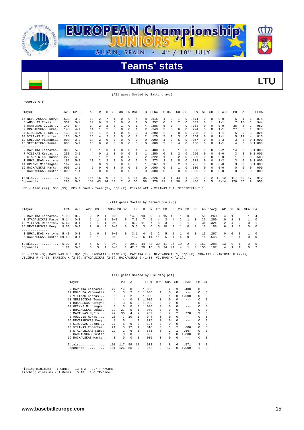

### Lithuania **Lithuania** LTU

(All games Sorted by Batting avg)

| Y<br>C.<br>$-r \cap$ .<br>×<br>۰.<br>w |  |
|----------------------------------------|--|
|----------------------------------------|--|

| Player                                                                                           | AVG   | $GP - GS$ | AB  | R        | н        | 2B       | 3B | HR.      | RBI | TB           | SLG <sup>§</sup> | BB. | HBP        | SO.          | GDP      | OB%             | SF       | SH       | SB-ATT    | PO. | Α        | E  | FLD%   |
|--------------------------------------------------------------------------------------------------|-------|-----------|-----|----------|----------|----------|----|----------|-----|--------------|------------------|-----|------------|--------------|----------|-----------------|----------|----------|-----------|-----|----------|----|--------|
| 15 NEVERAUSKAS Dovyd                                                                             | .538  | $3 - 3$   | 13  |          |          |          |    | 0        | 4   | 8            | .615             |     | 0          |              | 0        | .571            | 0        | $\Omega$ | $0 - 0$   | 6.  |          |    | .875   |
| 5 AUGULIS Rokas                                                                                  | .357  | $5 - 4$   | 14  | 0        |          | $\Omega$ | 0  | $\Omega$ |     | 5            | .357             | 0.  | $\Omega$   |              |          | .357            | 0        |          | $1 - 1$   |     | 10       |    | .944   |
| 8 MARTUNAS Gytis                                                                                 | .143  | $5 - 4$   | 14  |          |          |          |    |          |     |              | .286             |     | $\Omega$   |              |          | .368            |          | $\Omega$ | $0 - 0$   | 36  | 4        |    | .952   |
| 9 BRADAUSKAS Lukas                                                                               | .143  | $4 - 4$   | 14  |          |          |          |    |          |     |              | .143             |     | 0          | 6            |          | .294            |          | $\Omega$ | $1 - 1$   | 27  |          |    | .970   |
| 4 SIRGEDAS Lukas                                                                                 | .133  | $4 - 4$   | 15  |          |          |          |    |          |     | 3            | .200             |     | $\Omega$   | 0            |          | 235             | 0        |          | $1 - 1$   | 5   | 9        | 3  | .824   |
| 10 VILIMAS Robertas                                                                              | .125  | $5 - 5$   | 16  | 4        |          |          |    | $\Omega$ |     |              | .125             | 5.  |            | 3            |          | .364            |          | $\Omega$ | $1 - 1$   | 5   | 12       | 4  | .810   |
| 12 KOLDUBA Vidmantas                                                                             | .000  | $3 - 3$   | 14  | 2        | $\Omega$ | $\Omega$ | 0  | $\Omega$ | 0   | 0            | .000             |     | 0          | 5            | $\Omega$ | .067            | 0        | $\Omega$ | $3 - 3$   | 3   | 2        |    | 01.000 |
| 13 SEREICIKAS Tomas                                                                              | .000  | $5 - 4$   | 13  | $\Omega$ | $\Omega$ | $\Omega$ |    | $\Omega$ | 0   | 0            | .000             | 3   | $\Omega$   | 4            | O        | .188            | 0        | $\Omega$ | $1 - 1$   | 4   | 0        |    | 01.000 |
| -------                                                                                          |       |           |     |          |          |          |    |          |     |              |                  |     |            |              |          |                 |          |          |           |     |          |    |        |
| 2 BAREIKA Kasparas.                                                                              | .300  | $5 - 3$   | 10  |          |          |          |    |          |     | 4            | .400             |     | 0          |              | 0        | .300            | 0        | $\Omega$ | $2 - 2$   | 14  | 8        |    | 01.000 |
| 7 VILIMAS Kestas                                                                                 | . 250 | $3 - 1$   |     | $\Omega$ |          |          |    | 0        |     |              | .250             |     | $^{\circ}$ |              | $\Omega$ | .250            | 0        | $\Omega$ | $0 - 0$   | 3   | 2        |    | 01.000 |
| 3 STADALNIKAS Kaspa                                                                              | .222  | $4 - 3$   | 9   |          |          |          |    | $\Omega$ | 0   | 2            | .222             |     | $\Omega$   |              | $\Omega$ | .300            | 0        | $\Omega$ | $0 - 0$   |     | 6        | 5  | .583   |
| 1 BUKAUSKAS Martyna                                                                              | .182  | $5 - 3$   | 11  |          |          |          |    | 0        | 2   | 3            | .273             | 2   | $^{\circ}$ | 8            |          | .308            | $\Omega$ | $\Omega$ | $2 - 2$   | 3   | 0        |    | 01.000 |
| 14 GRINYS Mindaugas.                                                                             | .167  | $4 - 2$   | 6   | n        |          | $\Omega$ | 0  | $\Omega$ | 0   |              | .167             |     | $\Omega$   |              |          | .286            | $\Omega$ | $\Omega$ | $0 - 0$   | 3   | $\Omega$ |    | 01.000 |
| 19 RACKAUSKAS Martyn                                                                             | .000  | $1 - 1$   |     | $\Omega$ | $\Omega$ | $\Omega$ |    | 0        | 0   | $^{\circ}$   | .000             | 0   | $\Omega$   |              |          | .000            | 0        | $\Omega$ | $0 - 0$   | 0   | $\Omega$ | 0  | .000   |
| 6 RACKAUSKAS Justin                                                                              | .000  | $1 - 1$   | 0   | $\Omega$ | $\Omega$ | $\Omega$ |    | $\Omega$ |     | <sup>n</sup> | .000             | 0   | $\Omega$   | <sup>n</sup> |          | .000            | 0        | $\Omega$ | $0 - 0$   | 0   | 0        |    | .000   |
| $Totals$                                                                                         | .187  | $5 - 5$   | 155 | 16       | 29       | 4        |    | 0        | 11  | 35           | .226             | 24  |            | 44           |          | .300            |          |          | $12 - 12$ | 117 | 59       | 17 | .912   |
| Opponents                                                                                        | .288  | $5 - 5$   | 153 | 43       | 44       | 10       |    | $\Omega$ | 36  | 58           | .379             | 41  | 9          | 36           | $\Omega$ | .456            |          | 5        | $8 - 14$  | 126 | 56       | 9  | .953   |
| LOB - Team $(42)$ , Opp $(53)$ . DPs turned - Team $(1)$ , Opp $(2)$ . Picked off - VILIMAS R 1, |       |           |     |          |          |          |    |          |     |              |                  |     |            |              |          | SEREICIKAS T 1. |          |          |           |     |          |    |        |

#### (All games Sorted by Earned run avg)

| Player                                                                                     | ERA                          | $W-L$                                    | APP            | GS       |                          | CG SHO/CBO SV            |                                            | IP.                       | Н               |                | R ER                  | BB            | SO.               | 2B            | 3B                   | HR                                           |                      | AB B/Avq                      | WP HBP                              |                           | BK                           | SFA SHA                  |                            |
|--------------------------------------------------------------------------------------------|------------------------------|------------------------------------------|----------------|----------|--------------------------|--------------------------|--------------------------------------------|---------------------------|-----------------|----------------|-----------------------|---------------|-------------------|---------------|----------------------|----------------------------------------------|----------------------|-------------------------------|-------------------------------------|---------------------------|------------------------------|--------------------------|----------------------------|
| 2 BAREIKA Kasparas.<br>3 STADALNIKAS Kaspa<br>10 VILIMAS Robertas.<br>15 NEVERAUSKAS Dovyd | 1.93<br>5.14<br>5.62<br>9.00 | $0 - 2$<br>$0 - 0$<br>$0 - 1$<br>$0 - 1$ | $\overline{2}$ | $\Omega$ | 0<br>0                   | 0/0<br>0/0<br>0/0<br>0/0 | $\Box$<br>$\Omega$<br>$\Omega$<br>$\Omega$ | 14.0<br>7.0<br>8.0<br>5.0 | 13<br>-11<br>-3 | 9.<br>5.<br>6. | 3<br>4<br>5.<br>.5.   | 15<br>3<br>10 | 13<br>4<br>R<br>9 | $\mathcal{L}$ | $^{\circ}$<br>$\cap$ | $\Omega$<br>$\Omega$<br>$\Omega$<br>$\Omega$ | 50<br>27<br>34<br>16 | . 260<br>.259<br>.324<br>.188 | 4<br>$\cap$<br>$\overline{2}$<br>б. | 4                         | $\Omega$<br>$\cap$<br>$\cap$ | <sup>n</sup><br>$\Omega$ | -4<br>$\Omega$<br>$\Omega$ |
| 1 BUKAUSKAS Martyna 5.40<br>6 RACKAUSKAS Justin 59.40                                      |                              | $0 - 0$<br>$0 - 1$                       |                | $\Omega$ | $\Omega$<br><sup>n</sup> | 0/0<br>0/0               | $\Omega$<br>$\Omega$                       | 3.1<br>1.2                | 4<br>6          | 5.<br>11       | $\mathcal{L}$<br>- 11 | 5<br>5        |                   | 4             | $\Omega$<br>$\Omega$ | $\Omega$<br>$\Omega$                         | 15<br>11             | . 267<br>.545                 | $\Omega$                            | $\Omega$<br>$\mathcal{L}$ | $\Omega$                     | <sup>n</sup>             | $\cap$<br>$\Omega$         |
| Totals<br>Opponents $1.71$                                                                 | 6.92                         | $0 - 5$<br>$5 - 0$                       | 5.<br>5.       | 5.<br>5  |                          | 0/0<br>0/0               | $\Box$                                     | 39.0<br>42.0              | -44<br>29       | 43<br>16       | 30<br>8               | -41<br>24     | 36<br>44          | 10<br>4       | 2                    | $\Omega$                                     | 153<br>155           | .288<br>.187                  | 13<br>4                             | 9                         |                              | <sup>n</sup>             | -5<br>- 2                  |

PB - Team (3), MARTUNAS G 3, Opp (1). Pickoffs - Team (3), BAREIKA K 2, NEVERAUSKAS 1, Opp (2). SBA/ATT - MARTUNAS G (7-9),<br>VILIMAS R (3-5), BAREIKA K (2-5), STADALNIKAS (2-3), RACKAUSKAS J (1-1), VILIMAS K (1-1).

#### (All games Sorted by Fielding pct)

|     | Player               | C   | PO  | Α              | E        | FLD%  | DPs | SBA CSB        |                | SBA%    | PB       | CI       |
|-----|----------------------|-----|-----|----------------|----------|-------|-----|----------------|----------------|---------|----------|----------|
|     | 2 BAREIKA Kasparas.  | 22  | 14  | 8              | $\Omega$ | 1,000 | 0   | 2              | 3              | .400    | 0        | 0        |
|     | 12 KOLDUBA Vidmantas | 5   | 3   | 2              | 0        | 1,000 | 1   | 0              | 0              | $- - -$ | $\Omega$ | 0        |
|     | VILIMAS Kestas       | 5   | 3   | $\mathfrak{D}$ | $\Omega$ | 1,000 | 0   |                | 0              | 1.000   | $\Omega$ | 0        |
| 13. | SEREICIKAS Tomas.    | 4   | 4   | $\Omega$       | $\Omega$ | 1,000 | 0   | 0              | 0              | $- - -$ | $\Omega$ | $\Omega$ |
|     | BUKAUSKAS Martyna    | 3   | 3   | 0              | 0        | 1,000 | 0   | 0              | 0              | $- - -$ | $\Omega$ | 0        |
|     | 14 GRINYS Mindaugas. | 3   | 3   | $\Omega$       | 0        | 1,000 | 0   | 0              | 0              | $- - -$ | $\Omega$ | 0        |
| 9.  | BRADAUSKAS Lukas.    | 33  | 27  | 5              |          | .970  | 0   | 0              | 0              | $- - -$ | $\Omega$ | $\Omega$ |
|     | 8 MARTUNAS Gytis     | 42  | 36  | 4              | 2        | .952  | 0   |                | $\mathfrak{D}$ | .778    | 3        | $\Omega$ |
| 5.  | AUGULIS Rokas        | 18  | 7   | 10             |          | .944  | 0   | 0              | 0              | $- - -$ | $\Omega$ | 0        |
|     | 15 NEVERAUSKAS Dovyd | 8   | 6   | 1              | 1        | .875  | 0   | <sup>n</sup>   | 0              | $- - -$ | $\Omega$ | 0        |
| 4   | SIRGEDAS Lukas       | 17  | 5   | 9              | 3        | .824  | 0   | 0              | 0              | $- - -$ | $\Omega$ | $\Omega$ |
| 10. | VILIMAS Robertas.    | 21  | 5   | 12             | 4        | .810  | 0   | 3              | $\mathfrak{D}$ | .600    | 0        | $\Omega$ |
| 3.  | STADALNIKAS Kaspa    | 12  |     | 6              | 5        | .583  | 0   | $\mathfrak{D}$ | 1              | .667    | 0        | 0        |
| 6.  | RACKAUSKAS Justin    | 0   | 0   | $\Omega$       | 0        | .000  | 0   |                | 0              | 1.000   | $\Omega$ | 0        |
|     | 19 RACKAUSKAS Martyn | 0   | 0   | 0              | 0        | .000  | 0   | 0              | 0              | $- - -$ | 0        | 0        |
|     | Totals               | 193 | 117 | 59             | 17       | .912  |     | 8              | 6              | .571    | 3        | 0        |
|     | Opponents            | 191 | 126 | 56             | 9        | .953  | 2   | 12             | 0              | 1,000   |          | 0        |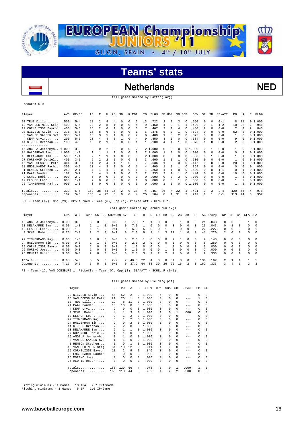

### Netherlands NED

(All games Sorted by Batting avg)

#### record: 5-0

 $\overline{\phantom{a}}$ 

| Player                                                                                | AVG  | $GP - GS$ | AB             | R                       | Η        | 2B       | 3B             | HR RBI   |              | TB       | $SLG$ $%$ |    | BB HBP   | SO GDP   |              | OB%       | SF         | SH         | SB-ATT  | PO.                      | Α            | E  | $FLD$ $%$ |
|---------------------------------------------------------------------------------------|------|-----------|----------------|-------------------------|----------|----------|----------------|----------|--------------|----------|-----------|----|----------|----------|--------------|-----------|------------|------------|---------|--------------------------|--------------|----|-----------|
| $10$ TRUE Dillon                                                                      | .500 | $5 - 4$   | 18             | 2                       | 9        | 4        | $\Omega$       | $\Omega$ | 6            | 13       | .722      | 2  | 0        | 3        | 0            | .550      | 0          | $\Omega$   | $0 - 1$ | 8                        | 11           |    | 01.000    |
| 18 VAN DER MEER Stij                                                                  | .400 | $5 - 5$   | 20             | 2                       | 8        |          | $\Omega$       | $\Omega$ | 4            | 9        | .450      |    | $\Omega$ | 1        |              | .429      | $^{\circ}$ | 1          | $1 - 2$ | 10                       | 22           | 2  | .941      |
| 19 CORNELISSE Bayron                                                                  | .400 | $5 - 5$   | 15             |                         | 6        |          | 0              | $\cap$   | 3            |          | .467      |    |          | 4        |              | .450      | 2          | $\Omega$   | $0 - 0$ | $\overline{\mathcal{L}}$ | 9            | 2. | .846      |
| 20 NIEVELD Kevin                                                                      | .375 | $5 - 5$   | 16             | я                       | 6        | 0        | $\Omega$       | $\Omega$ |              | 6        | .375      | 5  | $\Omega$ |          |              | .524      | 0          | $\Omega$   | $0 - 0$ | 52                       |              |    | 01.000    |
| 3 VAN DE SANDEN Sve                                                                   | .333 | $5 - 4$   | 15             |                         | 5        |          | 0              | $\Omega$ |              | 6        | .400      |    | $\Omega$ |          |              | .375      | 0          | $\Omega$   | $0 - 0$ | 1                        | $\Omega$     |    | 01.000    |
| 4 KEMP Urving                                                                         | .200 | $5 - 5$   | 20             | 4                       | 4        |          |                | $\Omega$ | 4            | 9        | .450      | 3  | $\Omega$ | 0        | $\Omega$     | .304      | 0          | $\Omega$   | $0 - 0$ | 9                        | 0            |    | 01.000    |
| 14 NIJHOF Brennan                                                                     | .100 | $4 - 3$   | 10             | $\overline{\mathbf{c}}$ |          | 0        | $\Omega$       | $\Omega$ |              |          | .100      | 4  |          |          | 0            | .375      |            | $\Omega$   | $0 - 0$ | 2                        | 0            |    | 01.000    |
| -------------                                                                         |      |           |                |                         |          |          |                |          |              |          |           |    |          |          |              |           |            |            |         |                          |              |    |           |
| 15 ANGELA Jerremyh 1.000                                                              |      | $3 - 0$   | $\mathfrak{D}$ | 0                       |          | $\Omega$ | $\Omega$       | $\Omega$ | 2            |          | 2, 1, 000 | 0  | $\Omega$ | $\Omega$ |              | 0, 1, 000 | $\Omega$   |            | $0 - 0$ | $\mathbf{1}$             | <sup>n</sup> |    | 0, 1, 000 |
| 24 HALDERMAN Tim 1.000                                                                |      | $1 - 1$   |                | -1                      |          |          | $\Omega$       | $\Omega$ | 3            |          | 2 2.000   |    | $\Omega$ | $\Omega$ |              | 01.000    | $^{\circ}$ | 0          | $0 - 0$ | 0                        | 2            |    | 01.000    |
| 13 DELAMARRE Ian                                                                      | .500 | $1 - 1$   |                |                         |          |          | $\Omega$       | $\Omega$ | <sup>n</sup> |          | 2 1.000   | 0  | $\Omega$ | n        | <sup>n</sup> | .500      | 0          |            | $0 - 0$ |                          |              |    | 01.000    |
| 27 KORENHOF Daniel                                                                    | .400 | $3 - 1$   |                |                         |          |          | O              | $\Omega$ |              |          | .600      |    | $\Omega$ |          |              | .500      | $\Omega$   | $\Omega$   | $0 - 0$ |                          | 0            |    | 01.000    |
| 16 VAN DOESBURG Pete                                                                  | .364 | $3 - 3$   | 11             |                         | 4        |          |                | $\Omega$ | 3            |          | .636      |    | $\cap$   | 3        | <sup>0</sup> | .417      | $^{\circ}$ | $\Omega$   | $0 - 0$ | 20                       |              |    | 01.000    |
| 28 ENGELHARDT Rachid                                                                  | .300 | $4 - 2$   | 10             |                         |          |          | O              | $\cap$   |              |          | .400      |    | $\Omega$ |          |              | .364      | 0          | $\Omega$   | $0 - 0$ | $\Omega$                 | 0            | 0  | .000      |
| 1 HENSON Stephen                                                                      | .250 | $2 - 1$   | 4              |                         |          | 0        | $\Omega$       | $\Omega$ |              |          | .250      |    |          | $\Omega$ |              | .500      | 0          | $\Omega$   | $1 - 1$ | $\Omega$                 |              |    | 01.000    |
| 21 PAAP Sander                                                                        | .167 | $3 - 2$   | 6              | 4                       |          |          | O              | $\Omega$ | 3            |          | .333      |    |          |          |              | .444      | 0          | $\Omega$   | $0 - 0$ | 10                       | $\Omega$     |    | 01.000    |
| 9 SCHEL Robin                                                                         | .000 | $2 - 2$   | 5              | 0                       | $\Omega$ | 0        | 0              | $\Omega$ | $\Omega$     | $\Omega$ | .000      | 0  | $\Omega$ | ٦        |              | .000      | 0          | $\Omega$   | $0 - 0$ | 1                        | 3            |    | 01.000    |
| 12 ELSHOF Leon                                                                        | .000 | $1 - 1$   | 2              | 0                       | 0        | 0        | 0              | $\Omega$ |              | $\Omega$ | .000      | 0  | $\Omega$ |          | $\Omega$     | .000      | 0          | $^{\circ}$ | $0 - 0$ | $\mathbf{1}$             |              |    | 01.000    |
| 22 TIMMERMANS Kaj                                                                     | .000 | $1 - 0$   | 0              | 0                       | 0        | 0        | 0              | $\Omega$ | $\Omega$     | n        | .000      |    | $\Omega$ | $\Omega$ |              | 01.000    | 0          | $\Omega$   | $0 - 0$ | 1                        | 2            |    | 01.000    |
| Totals                                                                                | .333 | $5 - 5$   | 162            | 38                      | 54       | 16       | $\mathfrak{D}$ | $\Omega$ | 38           | 74       | .457      | 26 | 4        | 2.2      |              | .431      | 3          | 3          | $2 - 4$ | 120                      | 56           | 4  | .978      |
| Opponents                                                                             | .162 | $5 - 5$   | 136            | 4                       | 22       | 3        | 0              | 0        | 4            | 25       | .184      | 8  | 1        | 31       | 3            | .212      |            |            | $0 - 1$ | 113                      | 44           | 8  | .952      |
| 그 그 그 그 그 사람은 그 그 사람이 있는 그 그 사람들은 그 사람이 없다. 그는 그 그 그는 그 그들은 그 그들은 그 그들은 그 그들을 그리고 있다. |      |           |                |                         |          |          |                |          |              |          |           |    |          |          |              |           |            |            |         |                          |              |    |           |

LOB - Team (47), Opp (23). DPs turned - Team (6), Opp (1). Picked off - KEMP U 1.

#### (All games Sorted by Earned run avg)

| Player               | ERA  | $W-L$   | APP            | GS       |              | CG SHO/CBO SV |              | ΙP   | Η   | R            | ER            | BB       | SO  | 2B       | 3B           | HR       |               | AB B/Avq | WP HBP        |          | BK         | SFA SHA  |          |
|----------------------|------|---------|----------------|----------|--------------|---------------|--------------|------|-----|--------------|---------------|----------|-----|----------|--------------|----------|---------------|----------|---------------|----------|------------|----------|----------|
| 15 ANGELA Jerremyh   | 0.00 | $0 - 0$ | $\mathcal{R}$  | 0        | 0            | 0/2           |              | 7.0  |     |              |               |          |     |          |              | $\Omega$ | 21            | . 048    | $\Omega$      | 0        |            |          | $\Omega$ |
| 13 DELAMARRE Ian     | 0.00 | $1 - 0$ |                |          | $\Omega$     | 0/0           | n.           | 7.0  |     | 0            | 0             | $\Omega$ | 3.  | $\Omega$ | 0            | 0        | 23            | .043     | 0             |          | $\Omega$   | $\Omega$ | $\Omega$ |
| 12 ELSHOF Leon       | 0.00 | $1 - 0$ |                |          | 0            | 0/1           | $\Omega$     | 6.0  | 5   |              | 0             |          |     | $\Omega$ | 0            | $\Omega$ | 22            | .227     | $\Omega$      | $\Omega$ | $\Omega$   | $\Omega$ |          |
| 9 SCHEL Robin        | 0.75 | $2 - 0$ |                | 2.       | 0            | 0/1           | $\cap$       | 12.0 | q   |              |               | ર        | 12. |          | <sup>n</sup> | $\Omega$ | 41            | .220     | 2             | $\Omega$ | $\Omega$   | 0        | $\Omega$ |
| . <u>.</u> .         |      |         |                |          |              |               |              |      |     |              |               |          |     |          |              |          |               |          |               |          |            |          |          |
| 22 TIMMERMANS Kaj    | 0.00 | $1 - 0$ |                | 0        | 0            | 0/0           | $\mathbf{r}$ | 2.0  |     |              |               |          |     |          |              | $\Omega$ |               | .143     | $\Omega$      | $\Omega$ | $\cap$     |          | $\Omega$ |
| 24 HALDERMAN Tim     | 0.00 | $0 - 0$ |                |          | 0            | 0/0           | $\Omega$     | 2.0  | 2   | $\Omega$     | $\Omega$      | 0        |     | $\Omega$ | 0            | 0        | 8             | .250     | $\Omega$      | 0        | $^{\circ}$ | $\Omega$ | $\Omega$ |
| 19 CORNELISSE Bayron | 0.00 | $0 - 0$ |                | $\Omega$ | $\Omega$     | 0/1           |              | 1.0  |     | <sup>n</sup> | 0             |          |     | $\cap$   | <sup>n</sup> | $\Omega$ | 3             | . 000    | 0             | $\Omega$ | $^{\circ}$ | $\Omega$ | $\Omega$ |
| 26 MORENO Jose       | 0.00 | $0 - 0$ |                | $\Omega$ | $\Omega$     | 0/0           | <sup>n</sup> | 1.0  |     | $\Omega$     | 0             |          | n.  | $\Omega$ | <sup>n</sup> | $\Omega$ | $\mathcal{L}$ | 000      | $\cap$        | $\Omega$ | $\cap$     | $\cap$   | $\Omega$ |
| 25 MEURIS Oscar      | 9.00 | $0 - 0$ | $\overline{2}$ | $\Omega$ | 0            | 0/0           | $\cap$       | 2.0  | 3   | 2.           | $\mathcal{L}$ | 2        | 4   | $\Omega$ | <sup>n</sup> | $\Omega$ | 9             | .333     | $\Omega$      | $\Omega$ |            | $\Omega$ | $\Omega$ |
| Totals               | 0.68 | $5 - 0$ | 5.             | 5        | <sup>n</sup> | 2/2           |              | 40.0 | 2.2 | 4            |               | R        | 31  | 3        | 0            | $\Omega$ | 136           | .162     | $\mathcal{L}$ |          |            |          |          |
| Opponents            | 7.17 | $0 - 5$ | 5.             | 5.       | 0            | 0/0           | ∩.           | 37.2 | 54  | 38           | 30            | 26       | 22  | 16       | 2            | $\Omega$ | 162           | .333     | 3.            | 4        |            |          | 3        |
|                      |      |         |                |          |              |               |              |      |     |              |               |          |     |          |              |          |               |          |               |          |            |          |          |

PB - Team (1), VAN DOESBURG 1. Pickoffs - Team (0), Opp (1). SBA/ATT - SCHEL R (0-1).

#### (All games Sorted by Fielding pct)

| Player                         | C              | P <sub>0</sub> | Α           | Е        | FLD%  | DPs      | SBA CSB |             | SBA%    | PB       | CI          |
|--------------------------------|----------------|----------------|-------------|----------|-------|----------|---------|-------------|---------|----------|-------------|
| 20 NIEVELD Kevin               | 54             | 52             | 2           | 0        | 1,000 | 5        | 0       | $\Omega$    | $- - -$ | $\Omega$ | 0           |
| VAN DOESBURG Pete<br>16        | 21             | 2.0            | 1           | $\Omega$ | 1.000 | 0        | 0       | 0           | $- - -$ | 1        | 0           |
| TRUE Dillon<br>10              | 19             | 8              | 11          | 0        | 1.000 | 3        | 0       | $\Omega$    | $- - -$ | 0        | 0           |
| PAAP Sander<br>21              | 10             | 10             | 0           | 0        | 1,000 | 0        | 0       | $\Omega$    |         | $\Omega$ | 0           |
| 4 KEMP Urving                  | 9              | 9              | 0           | 0        | 1,000 | $\Omega$ | 0       | 0           | $- - -$ | $\Omega$ | 0           |
| 9 SCHEL Robin                  | 4              | 1              | 3           | 0        | 1,000 | 1        | 0       | 1           | .000    | 0        | 0           |
| ELSHOF Leon<br>12 <sub>1</sub> | 3              | 1              | 2           | $\Omega$ | 1,000 | $\Omega$ | 0       | 0           | $- - -$ | $\Omega$ | 0           |
| 22 TIMMERMANS Kaj              | 3              | 1              | 2           | 0        | 1,000 | 0        | 0       | 0           | $--$    | 0        | 0           |
| 24 HALDERMAN Tim               | $\mathfrak{D}$ | 0              | 2           | 0        | 1,000 | 1        | 0       | 0           | $--$    | $\Omega$ | $\Omega$    |
| 14 NIJHOF Brennan              | $\overline{a}$ | $\overline{a}$ | $\mathbf 0$ | $\Omega$ | 1,000 | $\Omega$ | 0       | 0           | $- - -$ | $\Omega$ | $\Omega$    |
| DELAMARRE Ian<br>13            | 2              | 1              | 1           | $\Omega$ | 1,000 | $\Omega$ | 0       | $\mathbf 0$ | $- - -$ | $\Omega$ | $\mathbf 0$ |
| KORENHOF Daniel<br>27          | 1              | 1              | 0           | $\Omega$ | 1,000 | 0        | 0       | 0           | $- - -$ | $\Omega$ | 0           |
| 15 ANGELA Jerremyh             | 1              | 1              | 0           | 0        | 1,000 | 0        | 0       | 0           | $- - -$ | $\Omega$ | $\mathbf 0$ |
| 3 VAN DE SANDEN Sve            | 1              | $\mathbf{1}$   | 0           | 0        | 1,000 | 0        | 0       | 0           | $- - -$ | $\Omega$ | $\mathbf 0$ |
| 1 HENSON Stephen               | 1              | 0              | 1           | $\Omega$ | 1.000 | 0        | 0       | 0           | $- - -$ | $\Omega$ | 0           |
| VAN DER MEER Stij<br>18        | 34             | 10             | 22          | 2        | .941  | 4        | 0       | $\Omega$    | $- - -$ | $\Omega$ | 0           |
| 19 CORNELISSE Bayron           | 13             | 2              | 9           | 2        | .846  | 0        | 0       | $\Omega$    | $- - -$ | 0        | 0           |
| ENGELHARDT Rachid<br>28        | 0              | 0              | 0           | $\Omega$ | .000  | 0        | 0       | $\Omega$    | $- - -$ | $\Omega$ | $\Omega$    |
| 26 MORENO Jose                 | 0              | 0              | 0           | $\Omega$ | .000  | 0        | 0       | 0           | $- - -$ | $\Omega$ | 0           |
| 25 MEURIS Oscar                | 0              | 0              | $\Omega$    | 0        | .000  | $\Omega$ | 0       | 0           | $- - -$ | $\Omega$ | $\Omega$    |
| Totals                         | 180            | 120            | 56          | 4        | .978  | 6        | 0       | 1           | .000    | 1        | 0           |
| Opponents                      | 165            | 113            | 44          | 8        | .952  | 1        | 2       | 2           | .500    | 0        | 0           |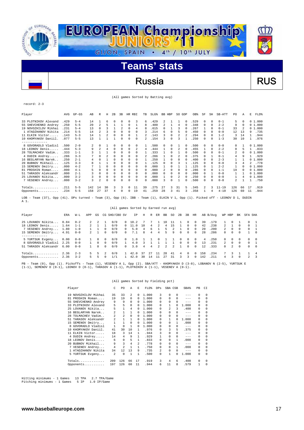

### Russia RUS

|  |  |  |  |  | (All games Sorted by Batting avg) |  |  |
|--|--|--|--|--|-----------------------------------|--|--|
|--|--|--|--|--|-----------------------------------|--|--|

| Player                                                                                                                                | AVG  | $GP-GS$ | AB                      | R              | Н            | 2B       | 3B       |          | HR RBI       | TB            | SLG <sup>§</sup>                     | BB HBP       |              | SO GDP         |                | OB%  | SF         | SH       | SB-ATT    | PO.          | Α        | E            | $FLD$ $%$ |
|---------------------------------------------------------------------------------------------------------------------------------------|------|---------|-------------------------|----------------|--------------|----------|----------|----------|--------------|---------------|--------------------------------------|--------------|--------------|----------------|----------------|------|------------|----------|-----------|--------------|----------|--------------|-----------|
| 33 PLOTNIKOV Alexand                                                                                                                  | .429 | $5 - 4$ | 14                      | 1              | 6            | $\Omega$ | 0        | 0        | 3            | 6             | .429                                 | 2            | 1            | 1              | $\Omega$       | .529 | 0          | $\Omega$ | $0 - 1$   | 5            | $\Omega$ |              | 01.000    |
| 55 SHEVCHENKO Andrey                                                                                                                  | .250 | $5 - 5$ | 20                      | 2              | 5            | 1        |          | $\Omega$ | 1            | 8             | .400                                 | 2            | 1            | 4              | $\Omega$       | .348 | $^{\circ}$ | $\Omega$ | $2 - 2$   | 9            | $\Omega$ |              | 01.000    |
| 19 NOVOZHILOV Mikhai                                                                                                                  | .231 | $5 - 4$ | 13                      | 0              | 3            | 1        | 2        | 0        | 4            | 8             | .615                                 | 0            | $\mathbf{1}$ | 3              | $\Omega$       | .267 | 1          | $\Omega$ | $0 - 1$   | 33           | 2        |              | 01.000    |
| 1 ATADZHANOV Nikita                                                                                                                   | .214 | $5 - 5$ | 14                      | $\mathfrak{D}$ | 3            | $\Omega$ | $\Omega$ | $\Omega$ | 0            | 3             | .214                                 | 6            | $\Omega$     | 5              | $\Omega$       | .450 | $^{\circ}$ | $\Omega$ | $0 - 0$   | 12           | 13       | 9            | .735      |
| 11 ELKIN Victor                                                                                                                       | .143 | $5 - 3$ | 14                      | $\mathbf{1}$   | 2            | $\Omega$ | 0        | $\Omega$ | $\mathbf{1}$ | 2             | .143                                 | 3            | $\Omega$     | $\mathfrak{D}$ | $\mathfrak{D}$ | .294 | $\Omega$   | $\Omega$ | $1 - 2$   | 3            | 14       | $\mathbf{1}$ | .944      |
| 10 KHOMYAKOV Daniil.                                                                                                                  | .077 | $5 - 5$ | 13                      | $\mathbf{1}$   | 1            |          | 0        | 0        | $\Omega$     | $\mathcal{L}$ | .154                                 | 3            | $\Omega$     | 3              | $\mathbf{1}$   | .250 | $\Omega$   | $\Omega$ | $1 - 3$   | 30           | 10       |              | 1 .976    |
| -------------                                                                                                                         |      |         |                         |                |              |          |          |          |              |               |                                      |              |              |                |                |      |            |          |           |              |          |              |           |
| 8 GOVORADLO Vladisl                                                                                                                   | .500 | $2 - 0$ | $\overline{\mathbf{c}}$ | $\Omega$       |              | $\Omega$ | 0        | $\Omega$ | 0            | $\mathbf{1}$  | .500                                 | 0            | $\Omega$     | $\mathbf{1}$   | $\Omega$       | .500 | $\Omega$   | $\Omega$ | $0 - 0$   | 0            | 1        |              | 01.000    |
| 18 LEONOV Denis                                                                                                                       | .444 | $5 - 3$ | 9                       | $\overline{a}$ | 4            | $\Omega$ | 0        | $\circ$  | 2            | 4             | .444                                 |              | 0            | 2              | $\Omega$       | .455 | 1          | $\Omega$ | $2 - 2$   | 0            | 5        | 1            | .833      |
| 28 TOLMACHEV Vadim                                                                                                                    | .333 | $1 - 1$ | 3                       | $\mathbf{1}$   | $\mathbf{1}$ | $\Omega$ | $\Omega$ | $\Omega$ | $\Omega$     | 1             | .333                                 | $\mathbf{1}$ | $\Omega$     | $\mathbf{1}$   | $\Omega$       | .500 | $\Omega$   | $\Omega$ | $0 - 1$   | 2            | $\Omega$ |              | 01.000    |
| 4 DUDIN Andrey                                                                                                                        | .286 | $3 - 3$ |                         | $\Omega$       | 2            | $\Omega$ | 0        | 0        | 0            |               | 286                                  |              | 0            |                |                | .375 | 0          |          | $0 - 1$   | 4            | 9        | $\mathbf{1}$ | .929      |
| 16 BEGLARYAN Narek                                                                                                                    | .250 | $2 - 1$ | 4                       | $\Omega$       |              | $\Omega$ | 0        | 0        | 0            |               | .250                                 |              | 0            | 0              |                | .400 | $\Omega$   | $\Omega$ | $2 - 3$   |              |          |              | 01.000    |
| 20 BUBNOV Mikhail                                                                                                                     | .125 | $3 - 3$ | 8                       |                |              | $\Omega$ | 0        | 0        | 0            |               | .125                                 | 0            | 0            | κ              |                | .125 | 0          | $\Omega$ | $0 - 0$   | 3            | 4        | 2.           | .778      |
| 15 SEMENOV Dmitry                                                                                                                     | .000 | $4 - 2$ |                         |                | $\Omega$     | $\Omega$ | 0        | 0        | 0            | $\Omega$      | .000                                 |              | 0            |                |                | .125 | 0          |          | $2 - 2$   | $\mathbf{1}$ | 0        |              | 01.000    |
| 81 PROSHIN Roman                                                                                                                      | .000 | $4 - 1$ | 5                       | $\Omega$       | $\Omega$     | $\Omega$ | 0        | 0        | 0            | $\Omega$      | .000                                 | 2            | 0            | 0              |                | .286 | $\Omega$   | $\Omega$ | $1 - 1$   | 19           | $\Omega$ |              | 01.000    |
| 51 TARASOV Aleksandr                                                                                                                  | .000 | $2 - 1$ | 3                       | $\Omega$       | $\Omega$     | $\Omega$ | 0        | 0        | 0            | $\Omega$      | .000                                 | 0            | 0            | $\Omega$       | $\Omega$       | .000 | $\Omega$   |          | $0 - 0$   |              | 1        |              | 01.000    |
| 25 LOVANOV Nikita                                                                                                                     | .000 | $3 - 2$ | 3                       | $\Omega$       | $\Omega$     | $\Omega$ | 0        | $\Omega$ | 0            | 0             | .000                                 |              | 0            | 2              |                | .250 | 0          | $\Omega$ | $0 - 0$   | 1            | 4        |              | 01.000    |
| 7 VESENEV Andrey                                                                                                                      | .000 | $3 - 2$ | 3                       | 2              | 0            | $\Omega$ | 0        | 0        | 0            | 0             | .000                                 | 3            | $\Omega$     | $\mathbf{1}$   | $\Omega$       | .500 | $\Omega$   | $\Omega$ | $0 - 0$   | 2            | 1        |              | 1 .750    |
|                                                                                                                                       | .211 | $5 - 5$ | 142                     | 14             | 30           | 3        | 3        | 0        | 11           | 39            | .275                                 | 27           | 3            | 31             | 5              | .345 | 2          | 3        | $11 - 19$ | 126          | 66       | 17           | .919      |
| Opponents                                                                                                                             | .234 | $5 - 5$ | 158                     | 27             | 37           | 4        | 0        | 0        | 19           | 41            | .259                                 | 28           | 3            | 41             | 3              | .358 | 1          | 4        | $4 - 10$  | 126          | 60       | 11           | .944      |
| LOB - Team (37), Opp (41). DPs turned - Team (3), Opp (6). IBB - Team (1), ELKIN V 1, Opp (1). Picked off - LEONOV D 1, DUDIN<br>A 1. |      |         |                         |                |              |          |          |          |              |               |                                      |              |              |                |                |      |            |          |           |              |          |              |           |
|                                                                                                                                       |      |         |                         |                |              |          |          |          |              |               | (All games Sorted by Earned run avg) |              |              |                |                |      |            |          |           |              |          |              |           |

| Player                 | ERA          | W-L     | APP            | GS       |              | CG SHO/CBO SV                                                                                                                                                                                                                              |              | IP.    | Н  |    | R ER           | BB            | SO             | 2B             | 3B       | HR         |     | AB B/Avq |               | WP HBP        | BK           | SFA SHA      |                 |
|------------------------|--------------|---------|----------------|----------|--------------|--------------------------------------------------------------------------------------------------------------------------------------------------------------------------------------------------------------------------------------------|--------------|--------|----|----|----------------|---------------|----------------|----------------|----------|------------|-----|----------|---------------|---------------|--------------|--------------|-----------------|
| 25 LOVANOV Nikita      | 0.84         | $0 - 2$ | $\mathcal{L}$  |          |              | 0/0                                                                                                                                                                                                                                        | $^{\circ}$   | 10.2   |    |    |                | 1 O           |                |                | 0        | $^{\circ}$ | 39  | .179     |               |               |              |              | $\blacksquare$  |
| 18 LEONOV Denis        | 1.64         | $1 - 1$ | $\overline{2}$ |          |              | 0/0                                                                                                                                                                                                                                        |              | 0 11.0 | 10 | 4  | $\mathcal{L}$  | 4             | 15             |                | $\Omega$ | $\Omega$   | 42  | .238     | $\mathcal{L}$ |               | $\cap$       | $\cap$       | $\overline{1}$  |
| 7 VESENEV Andrey       | 1.80         | $1 - 0$ |                |          | $\Omega$     | 0/0                                                                                                                                                                                                                                        | $\cap$       | 5.0    | 4  | 6. |                | 5             |                |                | 0        | $\Omega$   | 20  | .200     | $\mathcal{L}$ | $^{\circ}$    | 0            | $\Omega$     | $\overline{1}$  |
| 15 SEMENOV Dmitry 4.91 |              | $0 - 0$ | $2^{\circ}$    |          | $\Omega$     | 0/0                                                                                                                                                                                                                                        | $\Omega$     | 7.1    | 8  | 4  | $\overline{4}$ | 5             | 9              | $\Omega$       | $\Omega$ | $\Omega$   | 2.8 | .286     | $\Omega$      | $\Omega$      | $\Omega$     |              | $\overline{0}$  |
| .                      |              |         |                |          |              |                                                                                                                                                                                                                                            |              |        |    |    |                |               |                |                |          |            |     |          |               |               |              |              |                 |
| 5 YURTSUK Evgeny       | 0.00         | $0 - 0$ |                |          | $\Omega$     | 0/0                                                                                                                                                                                                                                        | $\mathbf{r}$ | 1.0    |    |    | 0              |               |                | $\Omega$       | 0        | $^{\circ}$ | 4   | . 250    | ∩.            | $^{\circ}$    | $\mathbf{r}$ | $\cap$       | $\sim$ 0        |
| 8 GOVORADLO Vladisl    | 2.25         | $0 - 0$ |                | $\Omega$ | $\Omega$     | 0/0                                                                                                                                                                                                                                        |              | 4.0    | 3  |    |                |               |                | $\Omega$       | $\Omega$ | $\Omega$   | 13  | .231     | $\mathcal{L}$ | $\Omega$      | $\Omega$     | <sup>n</sup> |                 |
| 51 TARASOV Aleksandr   | 6.00         | $0 - 0$ |                | $\Omega$ | $\Omega$     | 0/0                                                                                                                                                                                                                                        | $\cap$       | 3.0    | 4  | 4  | $\mathcal{L}$  | $\mathcal{D}$ | $\mathfrak{D}$ |                | $\Omega$ | $\Omega$   | 12  | .333     | $\cap$        | $\mathcal{L}$ | $\cap$       | $\cap$       | $\Omega$        |
| $Totals$               | $2.36$ $2-3$ |         | 5.             | .5       |              | 0/0                                                                                                                                                                                                                                        |              | 42.0   | 37 | 27 | - 11           | 28            | 41             | $\overline{4}$ | $\Omega$ | $^{\circ}$ | 158 | .234     | 7             | $\mathcal{L}$ |              |              | $\overline{4}$  |
| Opponents $2.36$ $3-2$ |              |         | 5.             | 5        | <sup>n</sup> | 1/1                                                                                                                                                                                                                                        | $\mathbf{1}$ | 42.0   | 30 | 14 | 11             | 27            | -31            | २              | 3        | $\Omega$   | 142 | .211     | 4             | 3             | $\Omega$     |              | $2 \frac{3}{2}$ |
|                        |              |         |                |          |              | $\overline{\phantom{a}}$ , and the contract of the contract of the contract of the contract of the contract of the contract of the contract of the contract of the contract of the contract of the contract of the contract of the contrac |              |        |    |    |                |               |                |                |          |            |     |          |               |               |              |              |                 |

PB - Team (0), Opp (1). Pickoffs - Team (1), VESENEV A 1, Opp (2). SBA/ATT - KHOMYAKOV D (3-8), LOBANOV N (2-5), YURTSUK E (1-1), SEMENOV D (0-1), LEONOV D (0-1), TARASOV A (1-1), PLOTNIKOV A (1-1), VESENEV A (0-1).

#### (All games Sorted by Fielding pct)

| Player                   | C            | PO. | A              | Е            | FLD%  | DPs | SBA CSB  |    | SBA%    | PB       | CI       |
|--------------------------|--------------|-----|----------------|--------------|-------|-----|----------|----|---------|----------|----------|
| 19 NOVOZHILOV Mikhai     | 35           | 33  | $\mathfrak{D}$ | $\Omega$     | 1,000 | 3   | 0        | 0  | $- - -$ | $\Omega$ | $\Omega$ |
| PROSHIN Roman<br>81      | 19           | 19  | 0              | 0            | 1,000 | 0   | $\Omega$ | 0  | $- - -$ | 0        | 0        |
| SHEVCHENKO Andrey<br>55  | 9            | 9   | 0              | $\Omega$     | 1,000 | 0   | 0        | 0  | $- - -$ | $\Omega$ | $\Omega$ |
| 33 PLOTNIKOV Alexand     | 5            | 5   | 0              | $\Omega$     | 1,000 | 0   | 1        | 0  | 1,000   | $\Omega$ | $\Omega$ |
| 25 LOVANOV Nikita        | 5            | 1   | $\overline{4}$ | 0            | 1,000 | 0   | 2        | 3  | .400    | 0        | 0        |
| BEGLARYAN Narek<br>16    | 2            | 1   | 1              | 0            | 1,000 | 0   | 0        | 0  | $-- -$  | 0        | $\Omega$ |
| 28 TOLMACHEV Vadim       | 2            | 2   | 0              | $\Omega$     | 1,000 | 0   | 0        | 0  | $- - -$ | $\Omega$ | $\Omega$ |
| TARASOV Aleksandr<br>51  | 2            | 1   | 1              | 0            | 1,000 | 0   |          | 0  | 1,000   | $\Omega$ | $\Omega$ |
| 15 SEMENOV Dmitry        | $\mathbf{1}$ | 1   | $\Omega$       | $\Omega$     | 1,000 | 0   | 0        | 1. | .000    | 0        | $\Omega$ |
| GOVORADLO Vladisl        | 1            | 0   | 1              | 0            | 1,000 | 0   | 0        | 0  | $-- -$  | $\Omega$ | $\Omega$ |
| KHOMYAKOV Daniil.<br>10. | 41           | 30  | 10             | 1            | .976  | 0   | 3        | 5  | .375    | 0        | 0        |
| ELKIN Victor<br>11       | 18           | 3   | 14             | 1            | .944  | 3   | $\Omega$ | 0  | $-- -$  | $\Omega$ | $\Omega$ |
| 4 DUDIN Andrey           | 14           | 4   | 9              | $\mathbf{1}$ | .929  |     | 0        | 0  | $- - -$ | $\Omega$ | $\Omega$ |
| 18 LEONOV Denis          | 6            | 0   | 5              | $\mathbf{1}$ | .833  | 0   | 0        | 1  | .000    | 0        | $\Omega$ |
| 20 BUBNOV Mikhail        | 9            | 3   | 4              | 2            | .778  | 0   | 0        | 0  | $-- -$  | 0        | $\Omega$ |
| 7 VESENEV Andrey         | 4            | 2   | $\mathbf{1}$   | 1            | .750  | 0   | 0        | 1  | .000    | 0        | 0        |
| 1 ATADZHANOV Nikita      | 34           | 12. | 13             | 9            | .735  | 2   | 0        | 0  | $-- -$  | 0        | $\Omega$ |
| 5 YURTSUK Evgeny         | 2            | 0   | 1              | 1            | .500  | 0   |          | 0  | 1.000   | 0        | 0        |
| Totals                   | 209          | 126 | 66             | 17           | .919  | 3   | 4        | 6  | .400    | $\Omega$ | $\Omega$ |
| Opponents                | 197          | 126 | 60             | 11           | .944  | 6   | 11       | 8  | .579    |          | 0        |
|                          |              |     |                |              |       |     |          |    |         |          |          |

Hitting minimums - 1 Games 13 TPA 2.7 TPA/Game Pitching minimums - 1 Games 5 IP 1.0 IP/Game

record: 2-3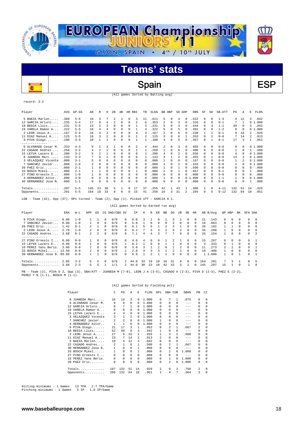

Spain BSP

record: 3-2

ī8

 $\overline{a}$ 

| Player              | AVG  | $GP - GS$ | AB  | R                        | н        | 2B       | 3B           | HR RBI      |                | TB             | SLG <sup>§</sup> | BB. | HBP        | SO.          | GDP      | OB <sup>%</sup> | SF       | SH       | SB-ATT   | PO  | Α        | E                        | FLD%   |
|---------------------|------|-----------|-----|--------------------------|----------|----------|--------------|-------------|----------------|----------------|------------------|-----|------------|--------------|----------|-----------------|----------|----------|----------|-----|----------|--------------------------|--------|
| 5 BAEZA Marlon      | .389 | $5 - 5$   | 18  | 3                        |          | 2        |              | 0           | 3              | 11             | .611             | 5.  | 0          | 3            | $\Omega$ | .522            | 0        | $\Omega$ | $1 - 3$  | 4   | 12       | 3                        | .842   |
| 12 GARCIA Arturo    | .235 | $5 - 4$   | 17  | n                        | 4        |          |              | $\Omega$    | $\mathfrak{D}$ | 6              | .353             |     | $^{\circ}$ | 3            |          | .316            | $\Omega$ | $\Omega$ | $0 - 1$  |     | -1       | $\Omega$                 | 1,000  |
| 18 BEDIA Lluis      | .231 | $5 - 5$   | 13  | $\overline{\mathcal{L}}$ |          | $\Omega$ | 0            | $\Omega$    |                | 3              | .231             |     | $\Omega$   |              | $\Omega$ | .444            | $\Omega$ | 3        | $1 - 1$  | 49  | 0        | 3                        | .942   |
| 19 VARELA Ramon A   | .222 | $5 - 5$   | 18  | $\overline{4}$           |          | $\Omega$ | 0            | $\Omega$    |                | 4              | .222             |     | $\Omega$   | 5            |          | .391            | $\Omega$ | $\Omega$ | $1 - 2$  | 8   | $\Omega$ |                          | 01.000 |
| 2 LEON Jesus A      | .167 | $5 - 4$   | 18  | $\overline{4}$           | 3        | $\Omega$ |              | $\Omega$    | 4              | 3              | .167             |     | $\Omega$   | 6            |          | .238            |          |          | $0 - 1$  | 9   | 16       |                          | .926   |
| 11 DIAZ Manuel A    | .125 | $5 - 5$   | 16  | 3                        |          | $\Omega$ |              | $\mathbf 0$ |                | $\mathfrak{D}$ | .125             | 3   | $\Omega$   | 6            |          | 263             | $\Omega$ | 2        | $0 - 0$  | 7   | 14       | $\overline{\mathcal{L}}$ | .913   |
| 9 PIVA Diego        | .100 | $3 - 3$   | 10  |                          |          | 0        | 0            | $\mathbf 0$ |                |                | .100             | 4   | $^{\circ}$ | 5            | $\Omega$ | .357            | 0        |          | $0 - 1$  | 17  | 3        |                          | .952   |
| ------------        |      |           |     |                          |          |          |              |             |                |                |                  |     |            |              |          |                 |          |          |          |     |          |                          |        |
| 6 ALVARADO Cesar M  | .333 | $4 - 3$   | 9   |                          |          |          | 0            | $\Omega$    | 2              | 4              | 444              | 2   | $\Omega$   | 3            | 0        | .455            |          | $\Omega$ | $0 - 0$  | 9   | 0        |                          | 01.000 |
| 22 CASADO Andres    | .250 | $3 - 2$   |     |                          |          |          |              | $\Omega$    |                |                | .250             |     | $\Omega$   | $\Omega$     | $\Omega$ | .400            | $\Omega$ | $\Omega$ | $0 - 0$  |     | 0        |                          | .500   |
| 15 LEYVA Lazaro E   | .200 | $3 - 2$   |     | $\mathfrak{D}$           |          | $\Omega$ | $\Omega$     | $\Omega$    | $\Omega$       |                | .200             | 4   | $\Omega$   |              |          | .556            | 0        | $\Omega$ | $0 - 0$  | 4   | 0        |                          | 01.000 |
| 8 JUANEDA Marc      | .143 | $3 - 3$   |     | n                        |          | $\Omega$ | 0            | $\Omega$    | 0              |                | .143             |     |            |              | 0        | .455            | $\Omega$ |          | $0 - 0$  | 13  | 3        |                          | 01.000 |
| 3 VELAZQUEZ Vicente | .000 | $3 - 1$   |     | n                        | $\Omega$ | $\Omega$ |              | $\circ$     | 0              | 0              | .000             |     | $\Omega$   | 0            |          | .167            | 0        | $\Omega$ | $0 - 0$  |     | 2        |                          | 01.000 |
| 7 SANCHEZ Javier    | .000 | $2 - 0$   | 2   | n                        | $\Omega$ | $\Omega$ |              | $\mathbf 0$ | 0              | 0              | .000             |     | $\Omega$   |              |          | .333            | $\Omega$ | $\Omega$ | $0 - 0$  | 2   | $\Omega$ |                          | 01.000 |
| 20 PAEZ Eric.<br>.  | .000 | $2 - 1$   |     | $\Omega$                 | $\Omega$ | $\Omega$ | 0            | 0           | $\Omega$       | $\Omega$       | .000             |     | $\Omega$   |              |          | .500            | 0        | $\Omega$ | $0 - 0$  | 0   | 0        | 0                        | .000   |
| 33 BOSCH Mikel      | .000 | $2 - 1$   |     |                          | 0        | $\Omega$ | 0            | $\Omega$    |                | $\Omega$       | .000             | 2   | $\Omega$   |              |          | .667            | 0        | n        | $0 - 1$  | 0   | 0        |                          | .000   |
| 27 PINO Ernesto I   | .000 | $1 - 0$   |     | n                        |          |          |              | $\Omega$    | 0              | 0              | .000             |     | $\Omega$   | n            |          | .000            | 0        | $\Omega$ | $0 - 0$  | 0   | 0        | $\Omega$                 | .000   |
| 4 HERNANDEZ Aitor.  | .000 | $3 - 0$   | 0   | 0                        | 0        | 0        | $\Omega$     | 0           | 0              | $\Omega$       | .000             |     | 0          | 0            |          | 01.000          | 0        | $\Omega$ | $1 - 1$  |     | $\Omega$ |                          | 01.000 |
| 30 HERNANDEZ Jose N | .000 | $1 - 1$   | 0   | n                        | $\Omega$ | $\Omega$ | <sup>0</sup> | n           | 0              | <sup>n</sup>   | .000             | U.  | $\Omega$   | <sup>n</sup> | $\Omega$ | .000            | 0        | $\Omega$ | $0 - 0$  | 0   | 0        |                          | .000   |
| $Totals$            | .207 | $5 - 5$   | 145 | 23                       | 30       | 5        |              | 0           |                | 37             | .255             | 42  |            | 43           |          | .386            |          | 8        | $4 - 11$ | 132 | 51       | 14                       | .929   |
| Opponents           | .201 | $5 - 5$   | 164 | 19                       | 33       | 8        |              | 0           | 15             | 41             | .250             | 16  | κ          | 31           |          | .284            | O        | 5        | $9 - 12$ | 132 | 64       | 10                       | .951   |

(All games Sorted by Batting avg)

LOB - Team (42), Opp (37). DPs turned - Team (2), Opp (1). Picked off - GARCIA A 1.

| (All games Sorted by Earned run avg) |  |
|--------------------------------------|--|
|--------------------------------------|--|

| Player                                                                                                         | ERA  | $W-L$   | APP            | GS             |              | CG SHO/CBO SV                                                                          |              | ΙP   | H  | R        | ER.      | BB           | SO       | 2B            | 3B           | HR         |     | AB B/Avq  | WP HBP   |            | BK       | SFA SHA  |                |
|----------------------------------------------------------------------------------------------------------------|------|---------|----------------|----------------|--------------|----------------------------------------------------------------------------------------|--------------|------|----|----------|----------|--------------|----------|---------------|--------------|------------|-----|-----------|----------|------------|----------|----------|----------------|
| 9 PIVA Diego                                                                                                   | 0.00 | $1 - 0$ |                |                | $\Omega$     | 0/0                                                                                    | $\mathbf{r}$ | 6.0  |    |          | 0        |              |          |               | 0            | $^{\circ}$ | 21  | .143      | 0        | $^{\circ}$ | $\Omega$ | $\Omega$ | $\Omega$       |
| 7 SANCHEZ Javier                                                                                               | 0.00 | $1 - 0$ |                | 0              | $\Omega$     | 0/0                                                                                    | $\cap$       | 5.0  |    | 0        | $\Omega$ | O.           |          | $\Omega$      | $\Omega$     | $^{\circ}$ | 16  | .063      | 0        | $\Omega$   | $\Omega$ | $\Omega$ | $\Omega$       |
| 20 PAEZ Eric                                                                                                   | 1.42 | $0 - 1$ | $\mathcal{L}$  |                | <sup>n</sup> | 0/0                                                                                    | $\cap$       | 6.1  |    | ь.       |          |              | $\sim$   |               | 0            | $^{\circ}$ | 26  | .192      |          |            | $\Omega$ | 0        | $\Omega$       |
| 2 LEON Jesus A                                                                                                 | 2.79 | $1 - 0$ | $\mathcal{L}$  | $\Omega$       | $\Omega$     | 0/0                                                                                    | $\cap$       | 9.2  |    | ર        | 3        |              | 9.       | $\mathcal{L}$ | $\Omega$     | $^{\circ}$ | 35  | .200      |          | $\Omega$   | $\Omega$ | $\Omega$ | $\Omega$       |
| 22 CASADO Andres                                                                                               | 3.68 | $0 - 1$ | $\mathcal{L}$  | $\mathfrak{D}$ | $\Omega$     | 0/0                                                                                    | $\cap$       | 7.1  |    |          |          |              |          | $\Omega$      | <sup>n</sup> | $\Omega$   | 26  | .154      |          | $\Omega$   | $\Omega$ | 0        | - 2            |
|                                                                                                                |      |         |                |                |              |                                                                                        |              |      |    |          |          |              |          |               |              |            |     |           |          |            |          |          |                |
| 27 PINO Ernesto I                                                                                              | 0.00 | $0 - 0$ |                |                | $\Omega$     | 0/0                                                                                    | $\Omega$     | 4.0  |    |          | 0        |              |          |               | 0            | $\Omega$   | 1.5 | .267      | $\Omega$ | $\Omega$   | $\Omega$ | $\Omega$ |                |
| 15 LEYVA Lazaro E                                                                                              | 0.00 | $0 - 0$ |                | $\Omega$       | $\Omega$     | 0/0                                                                                    |              | 0.2  |    | $\Omega$ | $\Omega$ |              |          | $\cap$        | 0            | $\Omega$   | ર   | .333      | 0        |            | $\Omega$ | $\Omega$ | $\Omega$       |
| 16 PEREZ Yans Beris.                                                                                           | 3.00 | $0 - 0$ |                | $\Omega$       | $\Omega$     | 0/0                                                                                    | n.           | 3.0  |    |          |          | <sup>n</sup> |          | 2             | 0            | $^{\circ}$ | 11  | .273      | 2.       |            | $\Omega$ | 0        |                |
| 33 BOSCH Mikel 13.50                                                                                           |      | $0 - 0$ | $\mathfrak{D}$ | $\Omega$       | $\Omega$     | 0/0                                                                                    |              | 2.0  |    |          |          |              |          |               | $\Omega$     | $\Omega$   | 10  | .400      |          | 0          | $\Omega$ | $\Omega$ | $\Omega$       |
| 30 HERNANDEZ Jose N. 99.00                                                                                     |      | $0 - 0$ |                |                | $\Omega$     | 0/0                                                                                    | $\cap$       | 0.0  |    |          |          |              | $\Omega$ | $\Omega$      | 0            | $\Omega$   |     | 1, 1, 000 |          | 0          |          | 0        | $\overline{1}$ |
| Totals                                                                                                         | 2.05 | $3 - 2$ | 5.             | 5              | $\Omega$     | 0/0                                                                                    | $2^{\circ}$  | 44.0 | スス | 19       | 10       | 16           | 31       | 8             | $\Omega$     | $\Omega$   | 164 | .201      | 7        | 3          |          | $\Omega$ | -5             |
| Opponents                                                                                                      | 3.68 | $2 - 3$ | 5.             | 5.             |              | 1/1                                                                                    | $2^{\circ}$  | 44.0 | 30 | 23       | 18       | 42           | 43       | 5             |              | $\Omega$   | 145 | .207      | 1.5      |            | $\Omega$ |          | -8             |
| $m_{\pi\pi\pi\pi}$ (0) $D_{\pi\pi\pi}$ $D_{\pi}$ 0, $D_{\pi\pi\pi}$ (0) $D_{\pi}$ (3) $D_{\pi}$<br>$n_{\rm m}$ |      |         |                |                |              | TUINTERS M $(B, 0)$ THOM IS $(B, T)$ CACINO 3 $(B, 2)$ DIUS D $(B, 2)$ DIEG E $(B, 2)$ |              |      |    |          |          |              |          |               |              |            |     |           |          |            |          |          |                |

JUANEDA M (7-8), LEON J A (3-5), CASADO A (2-3), PIVA D (2-3), PAEZ E (2-2),  $\begin{tabular}{lllllll} $\mathit{FB}$ & \color{red}Team (2), \color{blue}PIVA & D 2, \color{blue}Opp (3). \color{black} SBA/ATT\\ \color{red}PEREZ & Y B (1\text{--}1), \color{red}BOSCH & M (1\text{--}1). \end{tabular}$ 

#### (All games Sorted by Fielding pct) Player C PO A E FLD% DPs SBA CSB SBA% PB CI 8 JUANEDA Marc..... 16 13 3 0 1.000 0 7 1 .875 0 0 6 ALVARADO Cesar M. 9 9 0 0 1.000 0 0 0 --- 0 0 12 GARCIA Arturo.... 8 7 1 0 1.000 0 0 0 --- 0 0 19 VARELA Ramon A... 8 8 0 0 1.000 0 0 0 --- 0 0 15 LEYVA Lazaro E... 4 4 0 0 1.000 0 0 0 --- 0 0 3 VELAZQUEZ Vicente 3 1 2 0 1.000 0 0 0 --- 0 0 7 SANCHEZ Javier... 2 2 0 0 1.000 1 0 0 --- 0 0 4 HERNANDEZ Aitor.. 1 1 0 0 1.000 0 0 0 --- 0 0 9 PIVA Diego....... 21 17 3 1 .952 0 2 1 .667 2 0 18 BEDIA Lluis...... 52 49 0 3 .942 1 0 0 --- 0 0 2 LEON Jesus A..... 27 9 16 2 .926 1 3 2 .600 0 0  $\begin{array}{cccccccccccc} \texttt{11} & \texttt{DLA} & \texttt{Mann} & \texttt{12} & \texttt{13} & \texttt{23} & \texttt{24} & \texttt{35} & \texttt{25} & \texttt{4600} & \texttt{00} & \texttt{00} \\ \texttt{11} & \texttt{DLA} & \texttt{Mann} & \texttt{A} & \texttt{A} & \texttt{A} & \texttt{A} & \texttt{A} & \texttt{A} & \texttt{A} & \texttt{A} & \texttt{A} & \texttt{A} & \texttt{A} & \texttt{A} & \texttt{A$  5 BAEZA Marlon..... 19 4 12 3 .842 0 0 0 --- 0 0 22 CASADO Andres.... 2 1 0 1 .500 0 2 1 .667 0 0 30 HERNANDEZ Jose N. 1 0 0 1 .000 0 0 0 ---<br>33 BOSCH Mikel...... 1 0 0 1 .000 0 1 0 1.000 33 BOSCH Mikel...... 1 0 0 1 .000 0 1 0 1.000 0 0 27 PINO Ernesto I... 0 0 0 0 .000 0 0 0 --- 0 0 16 PEREZ Yans Beris. 0 0 0 0 .000 0 1 0 1.000 0 0 20 PAEZ Eric........ 0 0 0 0 .000 0 2 0 1.000 0 0 Totals.............. 197 132 51 14 .929 2 9 3 .750 2 0 Opponents........... 206 132 64 10 .951 1 4 7 .364 3 0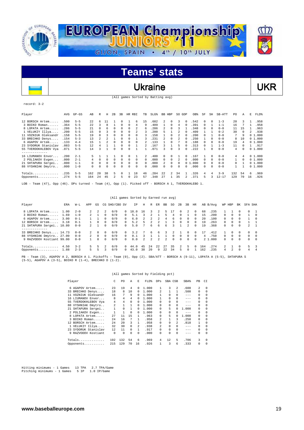

### Ukraine VKR

(All games Sorted by Batting avg)

#### record: 3-2

 $\overline{\phantom{a}}$ 

| Player                                                                                                 | AVG  | $GP - GS$ | AB  | R          | Н        | 2B       | 3B       | HR       | RBI           | TB       | $SLG\$ |                | BB HBP         | SO GDP         |          | OB%         | SF           | SH           | SB-ATT    | PO.      | Α        | E  | FLD%   |
|--------------------------------------------------------------------------------------------------------|------|-----------|-----|------------|----------|----------|----------|----------|---------------|----------|--------|----------------|----------------|----------------|----------|-------------|--------------|--------------|-----------|----------|----------|----|--------|
| 12 BORSCH Artem                                                                                        | .500 | $5 - 5$   | 22  | $\epsilon$ | 11       |          | 0        |          | 6             | 15       | .682   | $\mathfrak{D}$ | 0              | 3              | 0        | .542        | $\Omega$     | $\Omega$     | $1 - 3$   | 20       |          |    | .958   |
| 3 BOIKO Roman                                                                                          | .364 | $5 - 5$   | 22  | 3          | 8        |          | $\Omega$ | $\Omega$ | 4             | 9        | .409   |                | $\Omega$       | $\overline{4}$ | $\Omega$ | .391        | $\Omega$     |              | $1 - 1$   | 16       |          |    | .958   |
| 8 LOPATA Artem                                                                                         | .286 | $5 - 5$   | 21  | U          | 6        | $\Omega$ | $\Omega$ | $\Omega$ | $\mathcal{L}$ | 6        | .286   | 2              | 0              | 3              |          | .348        | $\Omega$     | $\Omega$     | $0 - 0$   | 11       | 15       |    | .963   |
| 1 VELUKIY Illya                                                                                        | .200 | $5 - 5$   | 15  |            | 3        | $\Omega$ | $\Omega$ | $\Omega$ |               |          | .200   | 5.             |                |                |          | .409        |              |              | $0 - 2$   | 30       | $\Omega$ |    | .938   |
| 11 VOZNIUK Oleksandr                                                                                   | .158 | $5 - 5$   | 19  | n          |          | U        | $\Omega$ | U        | $\Omega$      | 3        | .158   |                | U              |                |          | .200        | <sup>0</sup> |              | $0 - 0$   | 7        | 9        |    | 01.000 |
| 33 BRECHKO Denys                                                                                       | .154 | $5 - 3$   | 13  |            |          |          | $\Omega$ | $\Omega$ |               |          | .231   | 2              | <sup>n</sup>   |                | 0        | .250        |              | $\Omega$     | $0 - 0$   | 8        | 10       |    | 01.000 |
| 6 AGAPOV Artem                                                                                         | .133 | $4 - 4$   | 15  |            |          | $\Omega$ | $\Omega$ | $\Omega$ | $\Omega$      |          | .133   |                | 0              |                |          | .188        | $\Omega$     | $\Omega$     | $0 - 0$   | 19       | 4        |    | 01.000 |
| 23 SYDORUK Stanislav                                                                                   | .083 | $5 - 5$   | 12  |            |          |          | $\Omega$ | 0        |               |          | .167   | ς              |                | 5              |          | .313        | $\Omega$     |              | $1 - 3$   | 11       |          |    | 1.917  |
| 55 TVERDOKHLEBOV Vya                                                                                   | .071 | $5 - 5$   | 14  |            |          | U        | $\Omega$ | 0        |               |          | .071   |                | U              |                |          | 222         |              | <sup>n</sup> | $0 - 0$   | 4        |          |    | 01.000 |
| --------------                                                                                         |      |           |     |            |          |          |          |          |               |          |        |                |                |                |          |             |              |              |           |          |          |    |        |
| 16 LIUMANOV Enver                                                                                      | .200 | $2 - 1$   | 5   |            |          |          | 0        | $\Omega$ |               |          | .400   | 0              | 0              |                | 0        | .167        |              | $\Omega$     | $0 - 0$   | 4        |          |    | 01.000 |
| 2 POLIAKOV Evgen                                                                                       | .000 | $2 - 1$   | 4   | $\Omega$   | $\Omega$ | $\Omega$ | $\Omega$ | $\Omega$ | $\Omega$      | $\Omega$ | .000.  | $\Omega$       | $\Omega$       |                | 0        | .000        | $\Omega$     | $\Omega$     | $0 - 0$   |          | $\Omega$ |    | 01.000 |
| 21 SHTAPURA Sergei                                                                                     | .000 | $1 - 1$   | 0   | $\Omega$   | $\Omega$ | $\Omega$ | $\Omega$ | $\Omega$ | $\Omega$      | $\Omega$ | .000   | $\mathcal{L}$  | $\Omega$       | $\Omega$       |          | .000<br>0 1 | $\Omega$     | $\Omega$     | $0 - 0$   | $\Omega$ |          |    | 01.000 |
| 88 VYSHNIAK Dmytro                                                                                     | .000 | $1 - 0$   | 0   | $\Omega$   | $\Omega$ | 0        | $\Omega$ | 0        | $\Omega$      | n        | .000   | $\Omega$       | 0              | $\Omega$       | 0        | .000        | $\Omega$     | $\Omega$     | $0 - 0$   |          |          |    | 01.000 |
| Totals                                                                                                 | .235 | $5 - 5$   | 162 | 20         | 38       | 5        | O        |          | 18            | 46       | .284   | 22             | $\mathfrak{D}$ | 34             |          | .326        | 4            | 4            | $3 - 9$   | 132      | 54       | 6  | .969   |
| Opponents                                                                                              | .274 | $5 - 5$   | 164 | 24         | 45       | 2        | 5        | $\Omega$ | 23            | 57       | .348   | 27             |                | 35             | 2.       | .371        | 5            |              | $12 - 17$ | 129      | 70       | 16 | .926   |
| - Team (47), Opp (46). DPs turned - Team (4), Opp (1). Picked off - BORSCH A 1, TVERDOKHLEBO 1.<br>LOB |      |           |     |            |          |          |          |          |               |          |        |                |                |                |          |             |              |              |           |          |          |    |        |

#### (All games Sorted by Earned run avg)

| Player                    | ERA  | W-L     | APP            | GS            |          | CG SHO/CBO SV |          | ΙP   | Н              | R             | ER.           | BB            | SO.          | 2B           | 3В            | HR         |     | AB B/Avq | WP HBP      |          | BK       | SFA SHA |                         |
|---------------------------|------|---------|----------------|---------------|----------|---------------|----------|------|----------------|---------------|---------------|---------------|--------------|--------------|---------------|------------|-----|----------|-------------|----------|----------|---------|-------------------------|
| 8 LOPATA Artem            | 1.00 | $2 - 0$ | $\overline{2}$ | $\mathcal{L}$ |          | 0/0           |          | 18.0 | 16             | 3.            | 2             | 5             | 17           | <sup>n</sup> | $\mathcal{L}$ | $^{\circ}$ | 68  | . 235    |             |          |          |         | $\overline{1}$          |
| 3 BOIKO Roman             | 1.69 | $1 - 0$ |                |               |          | 0/0           |          | 5.1  |                |               |               |               |              |              |               |            | 15  | .200     | 0           |          |          |         | $^{\circ}$              |
| 6 AGAPOV Artem            | 3.00 | $0 - 1$ |                |               |          | 0/0           | $\Omega$ | 6.0  | 2.             | 2.            | $\mathcal{L}$ | 4             | 6.           | $\Omega$     | 0             | $\Omega$   | 2.0 | .100     | $\cap$      | $\Omega$ | $\cap$   |         | $\Omega$                |
| 12 BORSCH Artem           | 3.18 | $0 - 1$ |                | $\Omega$      |          | 0/0           | $\cap$   | 5.2  |                |               |               |               |              | $\Omega$     | <sup>n</sup>  | $^{\circ}$ | 19  | .263     | $\cap$      | $\Omega$ | $\cap$   |         |                         |
| 21 SHTAPURA Sergei 10.80  |      | $0 - 0$ | $\overline{2}$ |               | $\Omega$ | 0/0           | $\Omega$ | 5.0  |                | 6             | 6.            | 6             |              |              | $\mathcal{L}$ | $\Omega$   | 19  | .368     | 0           | $\Omega$ | $\Omega$ | 2       |                         |
| ------------              |      |         |                |               |          |               |          |      |                |               |               |               |              |              |               |            |     |          |             |          |          |         |                         |
| 33 BRECHKO Denys 14.73    |      | $0 - 0$ |                | $\Omega$      | 0        | 0/0           |          | 3.2  |                | 6             | 6.            |               |              |              | 0             | $^{\circ}$ | 17  | .412     |             | 0        | $\cap$   |         | - 0                     |
| 88 VYSHNIAK Dmytro 27.00  |      | $0 - 0$ | $\overline{2}$ | $\Omega$      | $\Omega$ | 0/0           | $\Omega$ | 0.1  |                |               |               |               | <sup>n</sup> | $\Omega$     | <sup>n</sup>  | $\Omega$   | 4   | .750     | $\cap$      | $\Omega$ | $\cap$   |         | $\bigcap$               |
| 9 RAZVODOV Kostiant 99.00 |      | $0 - 0$ |                | $\Omega$      |          | 0/0           | $\cap$   | 0.0  | $\mathfrak{D}$ | $\mathcal{L}$ | $\mathcal{L}$ | $\mathcal{D}$ | $\Omega$     | $\cap$       | <sup>n</sup>  | $\Omega$   |     | 2 1.000  | $\cap$      | $\Omega$ | $\cap$   |         | $\Omega$                |
| Totals                    | 4.50 | $3 - 2$ | 5.             | 5.            |          | 0/0           |          | 44.0 | 45             | 2.4           | 2.2.          | 27            | 35           | 2            | 5             |            | 64  | .274     | $2^{\circ}$ |          | $\cap$   | 5.      | $\overline{\mathbf{3}}$ |
| Opponents                 | 1.88 | $2 - 3$ |                |               |          | 0/0           |          | 43.0 | 38             | $20 \Omega$   | 9             | 22            | 34           | 5.           | 0             |            | 62  | .235     | 4           |          | $\cap$   |         | 4                       |

PB - Team (3), AGAPOV A 2, BORSCH A 1. Pickoffs - Team (0), Opp (2). SBA/ATT - BORSCH A (9-11), LOPATA A (5-5), SHTAPURA S (5-5), AGAPOV A (3-5), BOIKO R (1-4), BRECHKO D (1-2).

#### (All games Sorted by Fielding pct)

| Player                   | C   | PO       | Α   | E.       | FLD%  | <b>DPs</b>     |              | SBA CSB       | SBA%    | PB       | CI       |
|--------------------------|-----|----------|-----|----------|-------|----------------|--------------|---------------|---------|----------|----------|
| 6 AGAPOV Artem           | 23  | 19       | 4   | $\Omega$ | 1,000 |                | 3            | $\mathcal{L}$ | .600    | 2        | 0        |
| 33 BRECHKO Denys         | 18  | 8        | 10  | $\Omega$ | 1,000 | 2.             | 1            | 1             | .500    | 0        | $\Omega$ |
| VOZNIUK Oleksandr<br>11. | 16  | 7        | 9   | $\Omega$ | 1,000 |                |              | $\Omega$      | $---$   | 0        | $\Omega$ |
| 16 LIUMANOV Enver        | 8   | 4        | 4   | 0        | 1,000 |                | <sup>n</sup> | $\Omega$      | $-- -$  | 0        | $\Omega$ |
| 55 TVERDOKHLEBOV Vya     | 4   | 4        | 0   | 0        | 1,000 | 0              | <sup>n</sup> | 0             | $- - -$ | 0        | $\Omega$ |
| 88 VYSHNIAK Dmytro       | 2   | 1        |     |          | 1.000 | 0              | <sup>n</sup> | 0             | $- - -$ | 0        | $\Omega$ |
| 21 SHTAPURA Sergei       | 1   | $\Omega$ |     | 0        | 1.000 | 0              | 5            | 0             | 1.000   | 0        | $\Omega$ |
| 2 POLIAKOV Evgen         |     | 1        | 0   |          | 1.000 | 0              | <sup>n</sup> | $\Omega$      | $- - -$ | 0        | $\Omega$ |
| 8 LOPATA Artem           | 27  | 11       | 1.5 | 1        | .963  | 0              | 5            |               | 1.000   | 0        | $\Omega$ |
| 3 BOIKO Roman            | 2.4 | 16       | 7   | 1        | .958  | 2              |              | 3             | .250    | $\Omega$ | $\Omega$ |
| 12 BORSCH Artem          | 2.4 | 2.0      | 3   | 1        | .958  | 0              | 9            | 2             | .818    |          | $\Omega$ |
| 1 VELUKIY Illya          | 32  | 30       | 0   | 2        | .938  | $\mathfrak{D}$ |              | $\Omega$      | $-- -$  | 0        | $\Omega$ |
| 23 SYDORUK Stanislav     | 12  | 11       | 0   | 1        | .917  | 0              |              | 0             | $-- -$  | 0        | $\Omega$ |
| 9 RAZVODOV Kostiant      | 0   | $\Omega$ | 0   | $\Omega$ | .000  | 0              | <sup>n</sup> | 0             | $- - -$ | 0        | $\Omega$ |
|                          |     | 132      |     | 6        |       | 4              | 12           | 5             | .706    | 3        | $\Omega$ |
| $Totals$                 | 192 |          | 54  |          | .969  |                |              |               |         |          |          |
| Opponents                | 215 | 129      | 70  | 16       | .926  |                | 3            | 6             | .333    | 0        | $\Omega$ |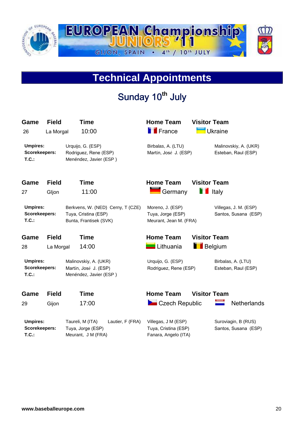

### **Technical Appointments**

## Sunday 10<sup>th</sup> July

| Game<br>26                                | <b>Field</b><br>La Morgal | Time<br>10:00                                                                       | <b>Home Team</b><br><b>F</b> France                                 | <b>Visitor Team</b><br><b>Ukraine</b>         |
|-------------------------------------------|---------------------------|-------------------------------------------------------------------------------------|---------------------------------------------------------------------|-----------------------------------------------|
| <b>Umpires:</b><br>Scorekeepers:<br>T.C.: |                           | Urquijo, G. (ESP)<br>Rodriguez, Rene (ESP)<br>Menéndez, Javier (ESP)                | Birbalas, A. (LTU)<br>Martín, José J. (ESP)                         | Malinovskiy, A. (UKR)<br>Esteban, Raul (ESP)  |
| Game                                      | <b>Field</b>              | <b>Time</b>                                                                         | <b>Home Team</b>                                                    | <b>Visitor Team</b>                           |
| 27                                        | Gljon                     | 11:00                                                                               | Germany                                                             | <b>T</b> Italy                                |
| <b>Umpires:</b><br>Scorekeepers:<br>T.C.: |                           | Berkvens, W. (NED) Cerny, T (CZE)<br>Tuya, Cristina (ESP)<br>Bunta, Frantisek (SVK) | Moreno, J. (ESP)<br>Tuya, Jorge (ESP)<br>Meurant, Jean M. (FRA)     | Villegas, J. M. (ESP)<br>Santos, Susana (ESP) |
| Game                                      | <b>Field</b>              | Time                                                                                | <b>Home Team</b>                                                    | <b>Visitor Team</b>                           |
| 28                                        | La Morgal                 | 14:00                                                                               | Lithuania                                                           | <b>Belgium</b>                                |
| <b>Umpires:</b><br>Scorekeepers:<br>T.C.: |                           | Malinovskiy, A. (UKR)<br>Martín, José J. (ESP)<br>Menéndez, Javier (ESP)            | Urquijo, G. (ESP)<br>Rodriguez, Rene (ESP)                          | Birbalas, A. (LTU)<br>Esteban, Raul (ESP)     |
| Game                                      | <b>Field</b>              | <b>Time</b>                                                                         | <b>Home Team</b>                                                    | <b>Visitor Team</b>                           |
| 29                                        | Gijon                     | 17:00                                                                               | <b>De</b> Czech Republic                                            | <b>Netherlands</b>                            |
| <b>Umpires:</b><br>Scorekeepers:<br>T.C.  |                           | Lautier, F (FRA)<br>Taureli, M (ITA)<br>Tuya, Jorge (ESP)<br>Meurant, J M (FRA)     | Villegas, J M (ESP)<br>Tuya, Cristina (ESP)<br>Fanara, Angelo (ITA) | Suroviagin, B (RUS)<br>Santos, Susana (ESP)   |